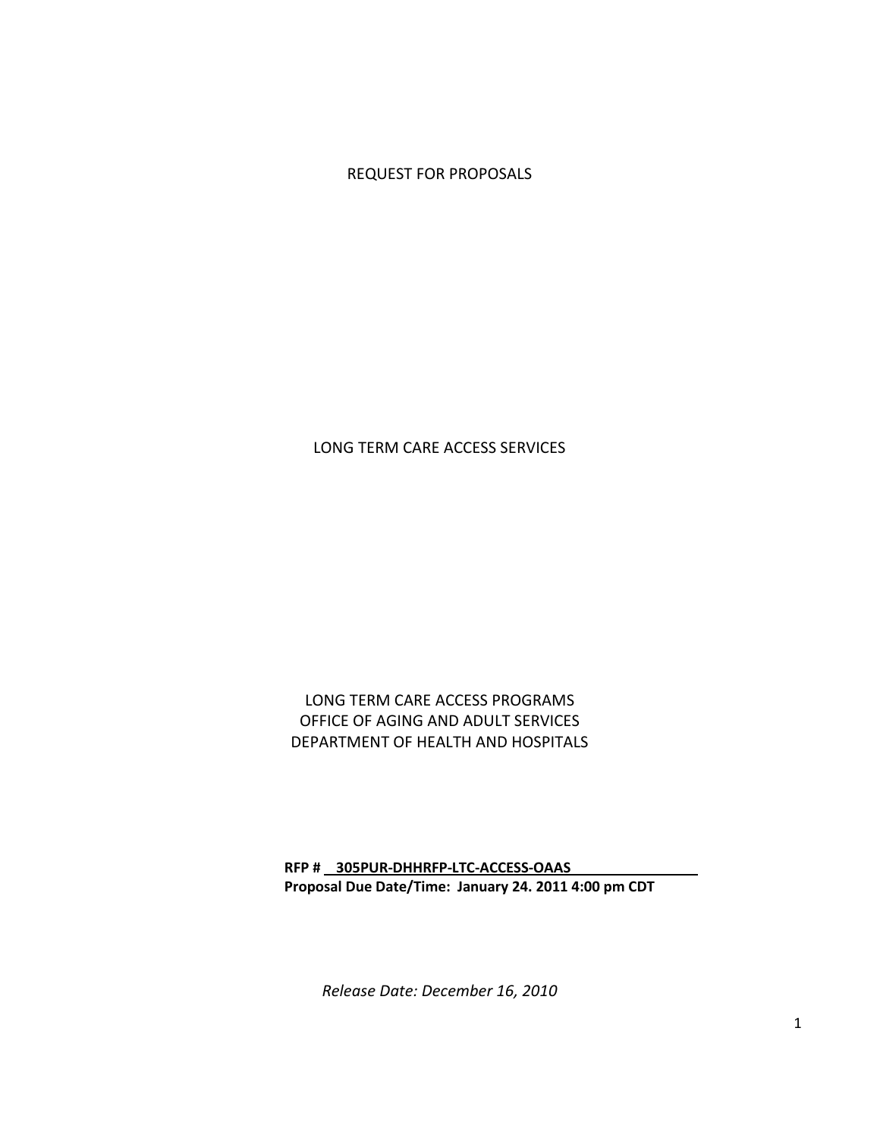REQUEST FOR PROPOSALS

LONG TERM CARE ACCESS SERVICES

LONG TERM CARE ACCESS PROGRAMS OFFICE OF AGING AND ADULT SERVICES DEPARTMENT OF HEALTH AND HOSPITALS

RFP # 305PUR-DHHRFP-LTC-ACCESS-OAAS Proposal Due Date/Time: January 24. 2011 4:00 pm CDT

Release Date: December 16, 2010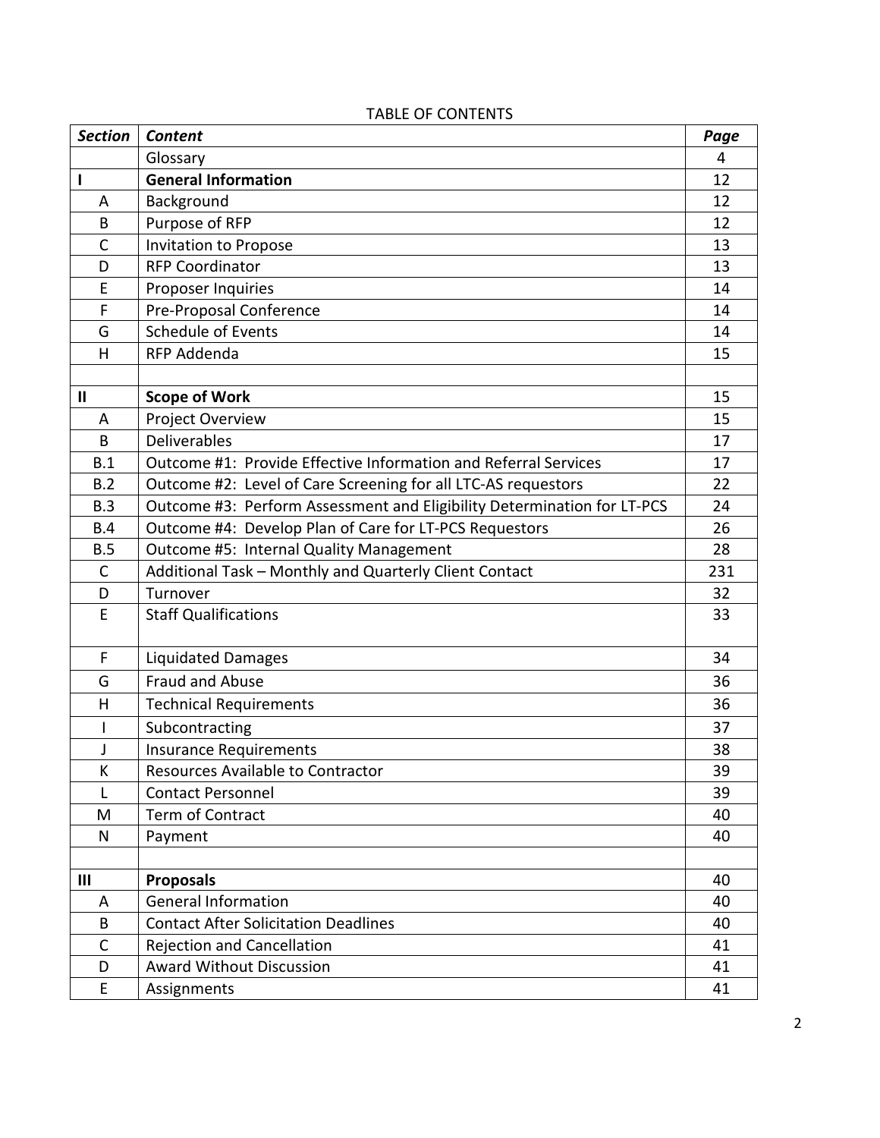| <b>Section</b> | Content                                                                 | Page |
|----------------|-------------------------------------------------------------------------|------|
|                | Glossary                                                                | 4    |
|                | <b>General Information</b>                                              | 12   |
| Α              | Background                                                              | 12   |
| B              | Purpose of RFP                                                          | 12   |
| $\mathsf{C}$   | Invitation to Propose                                                   | 13   |
| D              | <b>RFP Coordinator</b>                                                  | 13   |
| E              | Proposer Inquiries                                                      | 14   |
| F              | Pre-Proposal Conference                                                 | 14   |
| G              | Schedule of Events                                                      | 14   |
| H              | RFP Addenda                                                             | 15   |
|                |                                                                         |      |
| $\mathbf{I}$   | <b>Scope of Work</b>                                                    | 15   |
| A              | Project Overview                                                        | 15   |
| B              | Deliverables                                                            | 17   |
| B.1            | Outcome #1: Provide Effective Information and Referral Services         | 17   |
| B.2            | Outcome #2: Level of Care Screening for all LTC-AS requestors           | 22   |
| B.3            | Outcome #3: Perform Assessment and Eligibility Determination for LT-PCS | 24   |
| B.4            | Outcome #4: Develop Plan of Care for LT-PCS Requestors                  | 26   |
| B.5            | Outcome #5: Internal Quality Management                                 | 28   |
| $\mathsf{C}$   | Additional Task - Monthly and Quarterly Client Contact                  | 231  |
| D              | Turnover                                                                | 32   |
| E              | <b>Staff Qualifications</b>                                             | 33   |
| F              | <b>Liquidated Damages</b>                                               | 34   |
| G              | <b>Fraud and Abuse</b>                                                  | 36   |
| H              | <b>Technical Requirements</b>                                           | 36   |
| ı              | Subcontracting                                                          | 37   |
| J              | <b>Insurance Requirements</b>                                           | 38   |
| К              | Resources Available to Contractor                                       | 39   |
| L              | <b>Contact Personnel</b>                                                | 39   |
| M              | Term of Contract                                                        | 40   |
| N              | Payment                                                                 | 40   |
|                |                                                                         |      |
| Ш              | <b>Proposals</b>                                                        | 40   |
| A              | <b>General Information</b>                                              | 40   |
| B              | <b>Contact After Solicitation Deadlines</b>                             | 40   |
| $\mathsf{C}$   | <b>Rejection and Cancellation</b>                                       | 41   |
| D              | <b>Award Without Discussion</b>                                         | 41   |
| E              | Assignments                                                             | 41   |

# TABLE OF CONTENTS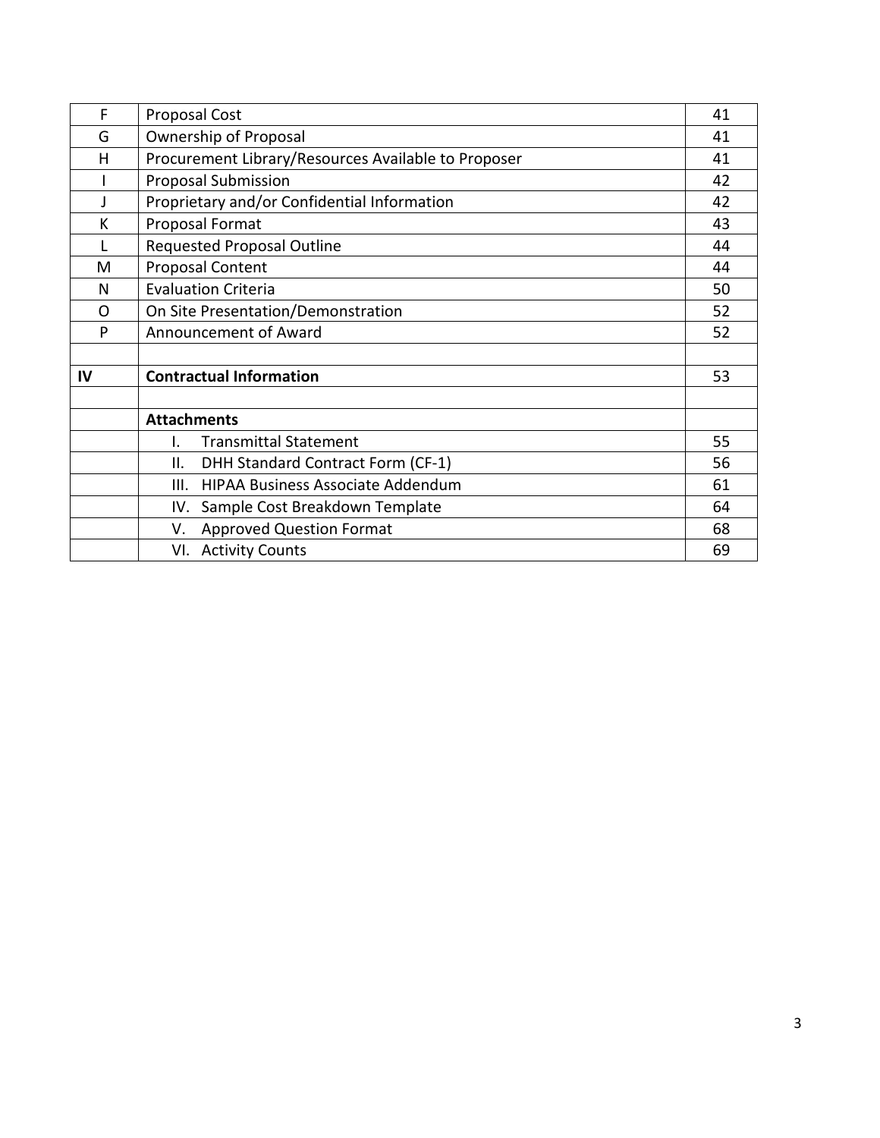| F  | <b>Proposal Cost</b>                                | 41 |
|----|-----------------------------------------------------|----|
| G  | Ownership of Proposal                               | 41 |
| н  | Procurement Library/Resources Available to Proposer | 41 |
|    | <b>Proposal Submission</b>                          | 42 |
|    | Proprietary and/or Confidential Information         | 42 |
| К  | Proposal Format                                     | 43 |
|    | <b>Requested Proposal Outline</b>                   | 44 |
| M  | <b>Proposal Content</b>                             | 44 |
| N  | <b>Evaluation Criteria</b>                          | 50 |
| O  | On Site Presentation/Demonstration                  | 52 |
| P  | Announcement of Award                               | 52 |
|    |                                                     |    |
| IV | <b>Contractual Information</b>                      | 53 |
|    |                                                     |    |
|    | <b>Attachments</b>                                  |    |
|    | <b>Transmittal Statement</b><br>I.                  | 55 |
|    | DHH Standard Contract Form (CF-1)<br>ΙΙ.            | 56 |
|    | HIPAA Business Associate Addendum<br>III.           | 61 |
|    | Sample Cost Breakdown Template<br>IV.               | 64 |
|    | <b>Approved Question Format</b><br>V.               | 68 |
|    | VI. Activity Counts                                 | 69 |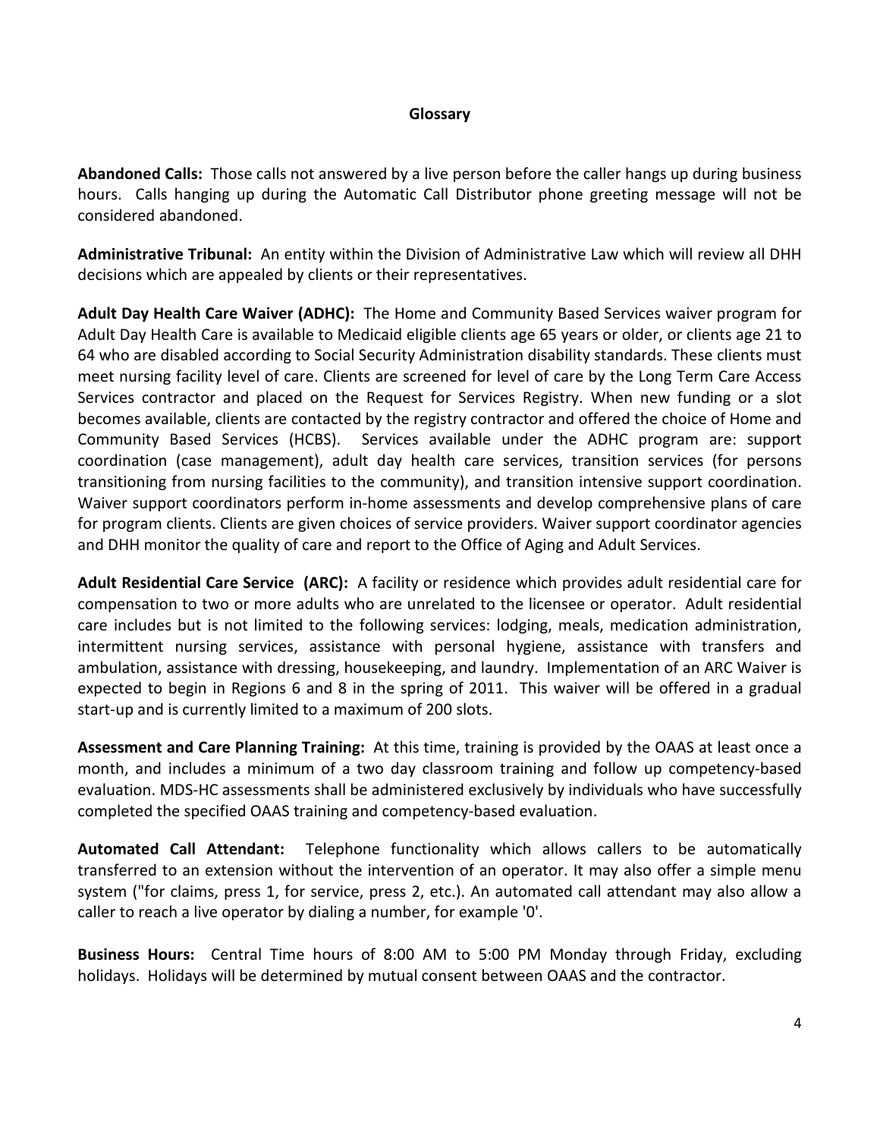#### Glossary

Abandoned Calls: Those calls not answered by a live person before the caller hangs up during business hours. Calls hanging up during the Automatic Call Distributor phone greeting message will not be considered abandoned.

Administrative Tribunal: An entity within the Division of Administrative Law which will review all DHH decisions which are appealed by clients or their representatives.

Adult Day Health Care Waiver (ADHC): The Home and Community Based Services waiver program for Adult Day Health Care is available to Medicaid eligible clients age 65 years or older, or clients age 21 to 64 who are disabled according to Social Security Administration disability standards. These clients must meet nursing facility level of care. Clients are screened for level of care by the Long Term Care Access Services contractor and placed on the Request for Services Registry. When new funding or a slot becomes available, clients are contacted by the registry contractor and offered the choice of Home and Community Based Services (HCBS). Services available under the ADHC program are: support coordination (case management), adult day health care services, transition services (for persons transitioning from nursing facilities to the community), and transition intensive support coordination. Waiver support coordinators perform in-home assessments and develop comprehensive plans of care for program clients. Clients are given choices of service providers. Waiver support coordinator agencies and DHH monitor the quality of care and report to the Office of Aging and Adult Services.

Adult Residential Care Service (ARC): A facility or residence which provides adult residential care for compensation to two or more adults who are unrelated to the licensee or operator. Adult residential care includes but is not limited to the following services: lodging, meals, medication administration, intermittent nursing services, assistance with personal hygiene, assistance with transfers and ambulation, assistance with dressing, housekeeping, and laundry. Implementation of an ARC Waiver is expected to begin in Regions 6 and 8 in the spring of 2011. This waiver will be offered in a gradual start-up and is currently limited to a maximum of 200 slots.

Assessment and Care Planning Training: At this time, training is provided by the OAAS at least once a month, and includes a minimum of a two day classroom training and follow up competency-based evaluation. MDS-HC assessments shall be administered exclusively by individuals who have successfully completed the specified OAAS training and competency-based evaluation.

Automated Call Attendant: Telephone functionality which allows callers to be automatically transferred to an extension without the intervention of an operator. It may also offer a simple menu system ("for claims, press 1, for service, press 2, etc.). An automated call attendant may also allow a caller to reach a live operator by dialing a number, for example '0'.

Business Hours: Central Time hours of 8:00 AM to 5:00 PM Monday through Friday, excluding holidays. Holidays will be determined by mutual consent between OAAS and the contractor.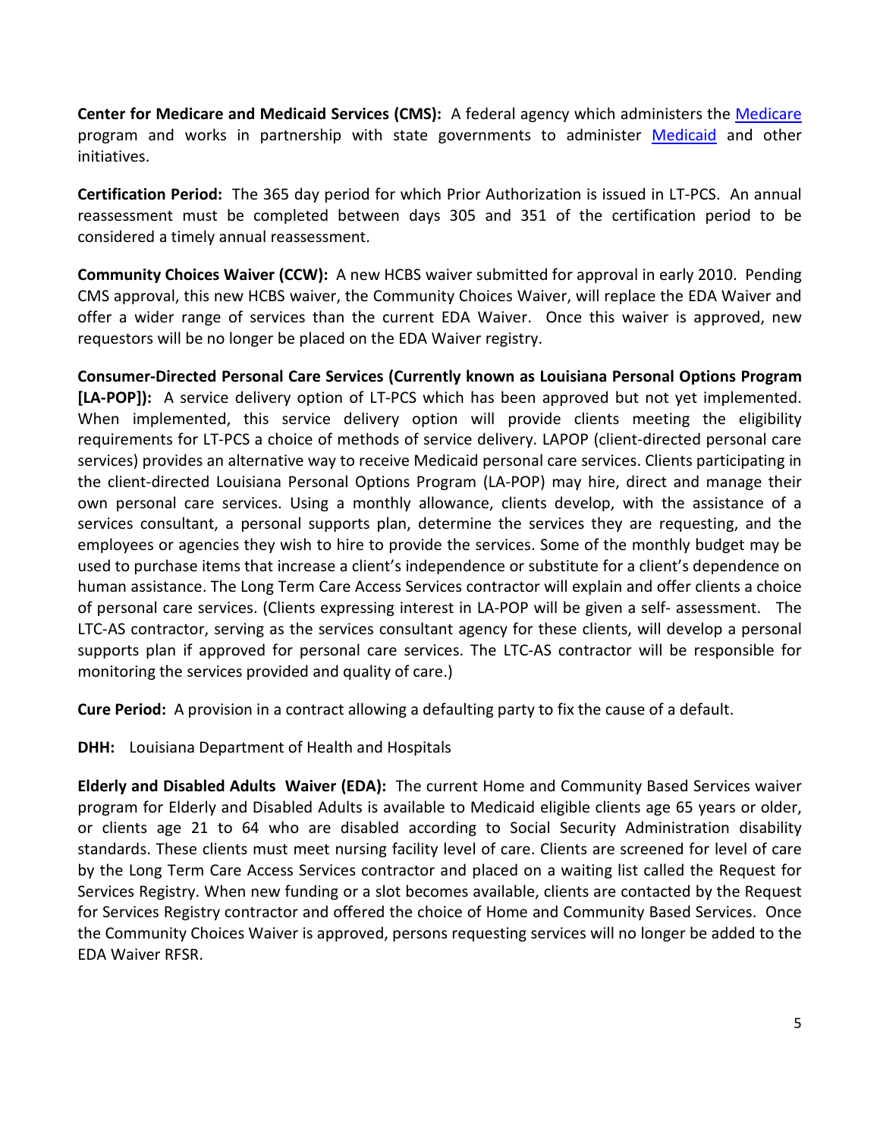Center for Medicare and Medicaid Services (CMS): A federal agency which administers the Medicare program and works in partnership with state governments to administer Medicaid and other initiatives.

Certification Period: The 365 day period for which Prior Authorization is issued in LT-PCS. An annual reassessment must be completed between days 305 and 351 of the certification period to be considered a timely annual reassessment.

Community Choices Waiver (CCW): A new HCBS waiver submitted for approval in early 2010. Pending CMS approval, this new HCBS waiver, the Community Choices Waiver, will replace the EDA Waiver and offer a wider range of services than the current EDA Waiver. Once this waiver is approved, new requestors will be no longer be placed on the EDA Waiver registry.

Consumer-Directed Personal Care Services (Currently known as Louisiana Personal Options Program [LA-POP]): A service delivery option of LT-PCS which has been approved but not yet implemented. When implemented, this service delivery option will provide clients meeting the eligibility requirements for LT-PCS a choice of methods of service delivery. LAPOP (client-directed personal care services) provides an alternative way to receive Medicaid personal care services. Clients participating in the client-directed Louisiana Personal Options Program (LA-POP) may hire, direct and manage their own personal care services. Using a monthly allowance, clients develop, with the assistance of a services consultant, a personal supports plan, determine the services they are requesting, and the employees or agencies they wish to hire to provide the services. Some of the monthly budget may be used to purchase items that increase a client's independence or substitute for a client's dependence on human assistance. The Long Term Care Access Services contractor will explain and offer clients a choice of personal care services. (Clients expressing interest in LA-POP will be given a self- assessment. The LTC-AS contractor, serving as the services consultant agency for these clients, will develop a personal supports plan if approved for personal care services. The LTC-AS contractor will be responsible for monitoring the services provided and quality of care.)

Cure Period: A provision in a contract allowing a defaulting party to fix the cause of a default.

**DHH:** Louisiana Department of Health and Hospitals

Elderly and Disabled Adults Waiver (EDA): The current Home and Community Based Services waiver program for Elderly and Disabled Adults is available to Medicaid eligible clients age 65 years or older, or clients age 21 to 64 who are disabled according to Social Security Administration disability standards. These clients must meet nursing facility level of care. Clients are screened for level of care by the Long Term Care Access Services contractor and placed on a waiting list called the Request for Services Registry. When new funding or a slot becomes available, clients are contacted by the Request for Services Registry contractor and offered the choice of Home and Community Based Services. Once the Community Choices Waiver is approved, persons requesting services will no longer be added to the EDA Waiver RFSR.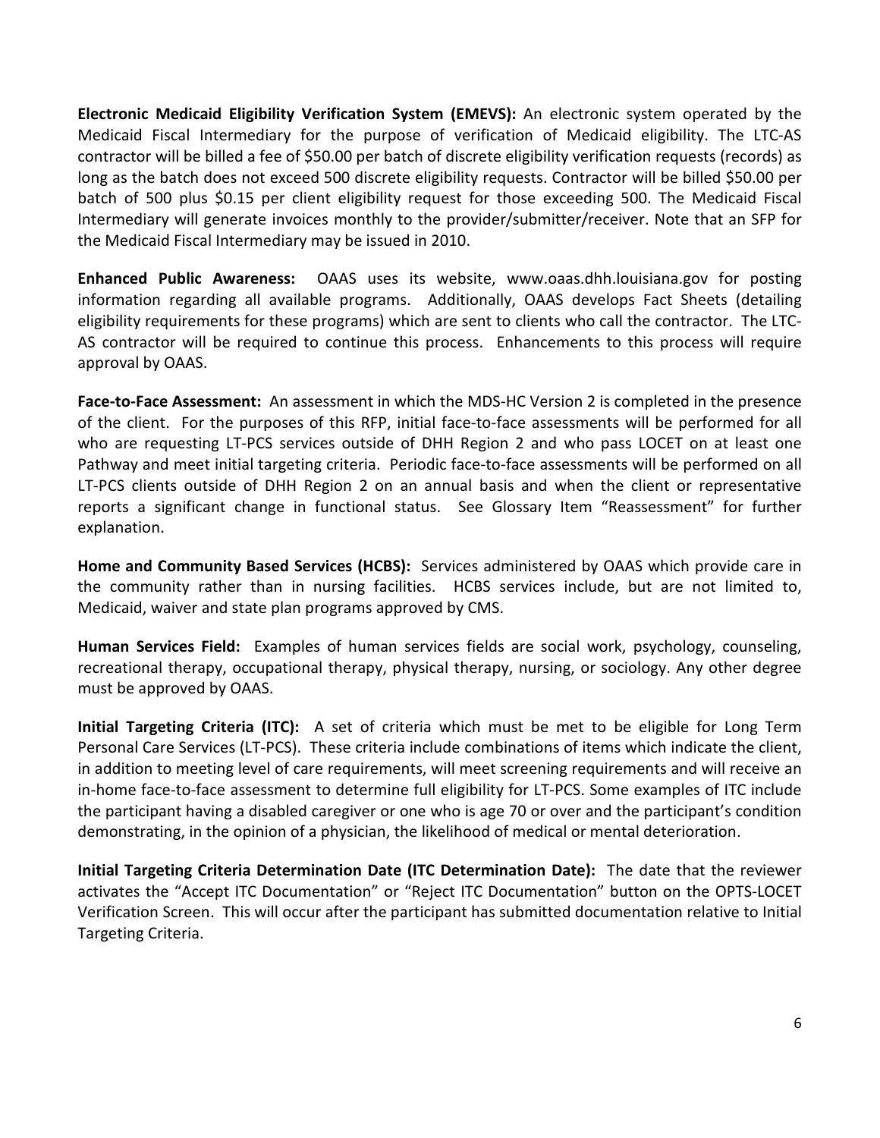Electronic Medicaid Eligibility Verification System (EMEVS): An electronic system operated by the Medicaid Fiscal Intermediary for the purpose of verification of Medicaid eligibility. The LTC-AS contractor will be billed a fee of \$50.00 per batch of discrete eligibility verification requests (records) as long as the batch does not exceed 500 discrete eligibility requests. Contractor will be billed \$50.00 per batch of 500 plus \$0.15 per client eligibility request for those exceeding 500. The Medicaid Fiscal Intermediary will generate invoices monthly to the provider/submitter/receiver. Note that an SFP for the Medicaid Fiscal Intermediary may be issued in 2010.

Enhanced Public Awareness: OAAS uses its website, www.oaas.dhh.louisiana.gov for posting information regarding all available programs. Additionally, OAAS develops Fact Sheets (detailing eligibility requirements for these programs) which are sent to clients who call the contractor. The LTC-AS contractor will be required to continue this process. Enhancements to this process will require approval by OAAS.

Face-to-Face Assessment: An assessment in which the MDS-HC Version 2 is completed in the presence of the client. For the purposes of this RFP, initial face-to-face assessments will be performed for all who are requesting LT-PCS services outside of DHH Region 2 and who pass LOCET on at least one Pathway and meet initial targeting criteria. Periodic face-to-face assessments will be performed on all LT-PCS clients outside of DHH Region 2 on an annual basis and when the client or representative reports a significant change in functional status. See Glossary Item "Reassessment" for further explanation.

Home and Community Based Services (HCBS): Services administered by OAAS which provide care in the community rather than in nursing facilities. HCBS services include, but are not limited to, Medicaid, waiver and state plan programs approved by CMS.

Human Services Field: Examples of human services fields are social work, psychology, counseling, recreational therapy, occupational therapy, physical therapy, nursing, or sociology. Any other degree must be approved by OAAS.

Initial Targeting Criteria (ITC): A set of criteria which must be met to be eligible for Long Term Personal Care Services (LT-PCS). These criteria include combinations of items which indicate the client, in addition to meeting level of care requirements, will meet screening requirements and will receive an in-home face-to-face assessment to determine full eligibility for LT-PCS. Some examples of ITC include the participant having a disabled caregiver or one who is age 70 or over and the participant's condition demonstrating, in the opinion of a physician, the likelihood of medical or mental deterioration.

Initial Targeting Criteria Determination Date (ITC Determination Date): The date that the reviewer activates the "Accept ITC Documentation" or "Reject ITC Documentation" button on the OPTS-LOCET Verification Screen. This will occur after the participant has submitted documentation relative to Initial Targeting Criteria.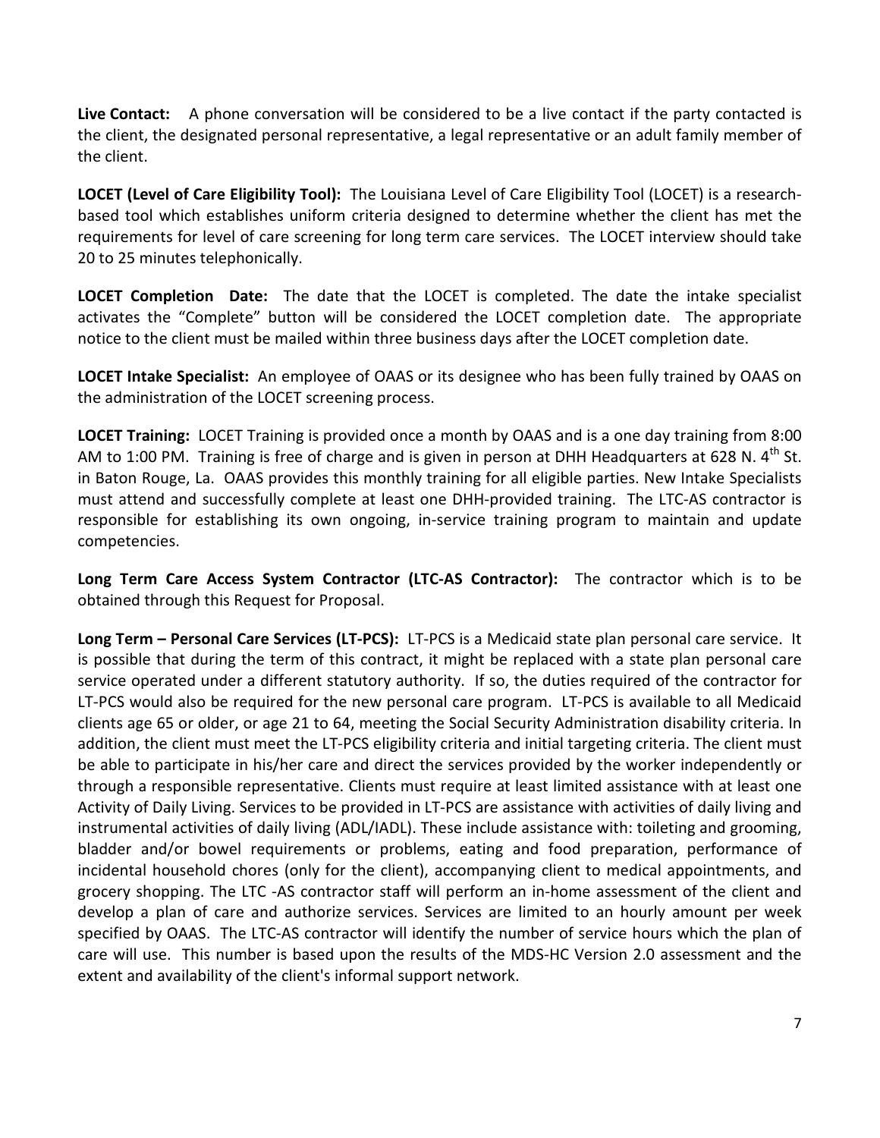Live Contact: A phone conversation will be considered to be a live contact if the party contacted is the client, the designated personal representative, a legal representative or an adult family member of the client.

LOCET (Level of Care Eligibility Tool): The Louisiana Level of Care Eligibility Tool (LOCET) is a researchbased tool which establishes uniform criteria designed to determine whether the client has met the requirements for level of care screening for long term care services. The LOCET interview should take 20 to 25 minutes telephonically.

LOCET Completion Date: The date that the LOCET is completed. The date the intake specialist activates the "Complete" button will be considered the LOCET completion date. The appropriate notice to the client must be mailed within three business days after the LOCET completion date.

LOCET Intake Specialist: An employee of OAAS or its designee who has been fully trained by OAAS on the administration of the LOCET screening process.

LOCET Training: LOCET Training is provided once a month by OAAS and is a one day training from 8:00 AM to 1:00 PM. Training is free of charge and is given in person at DHH Headquarters at 628 N.  $4^{\text{th}}$  St. in Baton Rouge, La. OAAS provides this monthly training for all eligible parties. New Intake Specialists must attend and successfully complete at least one DHH-provided training. The LTC-AS contractor is responsible for establishing its own ongoing, in-service training program to maintain and update competencies.

Long Term Care Access System Contractor (LTC-AS Contractor): The contractor which is to be obtained through this Request for Proposal.

Long Term - Personal Care Services (LT-PCS): LT-PCS is a Medicaid state plan personal care service. It is possible that during the term of this contract, it might be replaced with a state plan personal care service operated under a different statutory authority. If so, the duties required of the contractor for LT-PCS would also be required for the new personal care program. LT-PCS is available to all Medicaid clients age 65 or older, or age 21 to 64, meeting the Social Security Administration disability criteria. In addition, the client must meet the LT-PCS eligibility criteria and initial targeting criteria. The client must be able to participate in his/her care and direct the services provided by the worker independently or through a responsible representative. Clients must require at least limited assistance with at least one Activity of Daily Living. Services to be provided in LT-PCS are assistance with activities of daily living and instrumental activities of daily living (ADL/IADL). These include assistance with: toileting and grooming, bladder and/or bowel requirements or problems, eating and food preparation, performance of incidental household chores (only for the client), accompanying client to medical appointments, and grocery shopping. The LTC -AS contractor staff will perform an in-home assessment of the client and develop a plan of care and authorize services. Services are limited to an hourly amount per week specified by OAAS. The LTC-AS contractor will identify the number of service hours which the plan of care will use. This number is based upon the results of the MDS-HC Version 2.0 assessment and the extent and availability of the client's informal support network.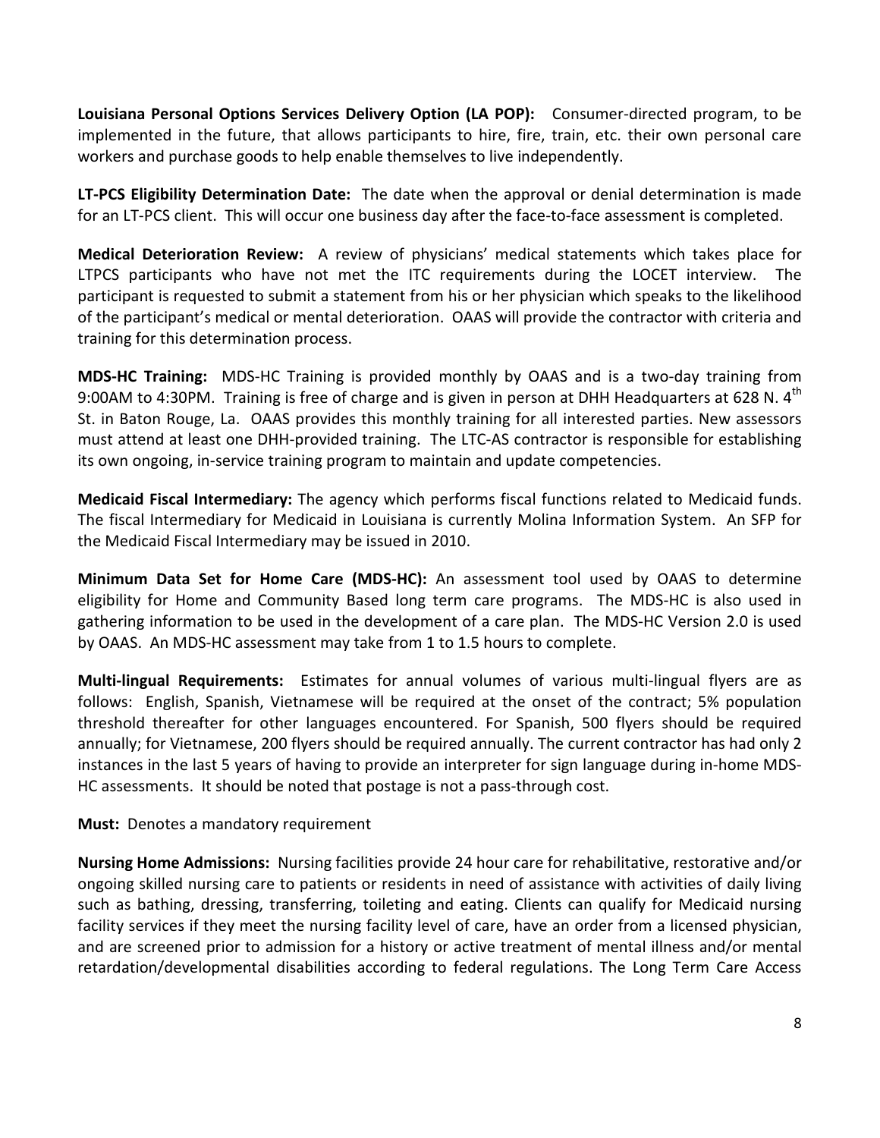Louisiana Personal Options Services Delivery Option (LA POP): Consumer-directed program, to be implemented in the future, that allows participants to hire, fire, train, etc. their own personal care workers and purchase goods to help enable themselves to live independently.

LT-PCS Eligibility Determination Date: The date when the approval or denial determination is made for an LT-PCS client. This will occur one business day after the face-to-face assessment is completed.

Medical Deterioration Review: A review of physicians' medical statements which takes place for LTPCS participants who have not met the ITC requirements during the LOCET interview. The participant is requested to submit a statement from his or her physician which speaks to the likelihood of the participant's medical or mental deterioration. OAAS will provide the contractor with criteria and training for this determination process.

MDS-HC Training: MDS-HC Training is provided monthly by OAAS and is a two-day training from 9:00AM to 4:30PM. Training is free of charge and is given in person at DHH Headquarters at 628 N. 4th St. in Baton Rouge, La. OAAS provides this monthly training for all interested parties. New assessors must attend at least one DHH-provided training. The LTC-AS contractor is responsible for establishing its own ongoing, in-service training program to maintain and update competencies.

Medicaid Fiscal Intermediary: The agency which performs fiscal functions related to Medicaid funds. The fiscal Intermediary for Medicaid in Louisiana is currently Molina Information System. An SFP for the Medicaid Fiscal Intermediary may be issued in 2010.

Minimum Data Set for Home Care (MDS-HC): An assessment tool used by OAAS to determine eligibility for Home and Community Based long term care programs. The MDS-HC is also used in gathering information to be used in the development of a care plan. The MDS-HC Version 2.0 is used by OAAS. An MDS-HC assessment may take from 1 to 1.5 hours to complete.

Multi-lingual Requirements: Estimates for annual volumes of various multi-lingual flyers are as follows: English, Spanish, Vietnamese will be required at the onset of the contract; 5% population threshold thereafter for other languages encountered. For Spanish, 500 flyers should be required annually; for Vietnamese, 200 flyers should be required annually. The current contractor has had only 2 instances in the last 5 years of having to provide an interpreter for sign language during in-home MDS-HC assessments. It should be noted that postage is not a pass-through cost.

Must: Denotes a mandatory requirement

Nursing Home Admissions: Nursing facilities provide 24 hour care for rehabilitative, restorative and/or ongoing skilled nursing care to patients or residents in need of assistance with activities of daily living such as bathing, dressing, transferring, toileting and eating. Clients can qualify for Medicaid nursing facility services if they meet the nursing facility level of care, have an order from a licensed physician, and are screened prior to admission for a history or active treatment of mental illness and/or mental retardation/developmental disabilities according to federal regulations. The Long Term Care Access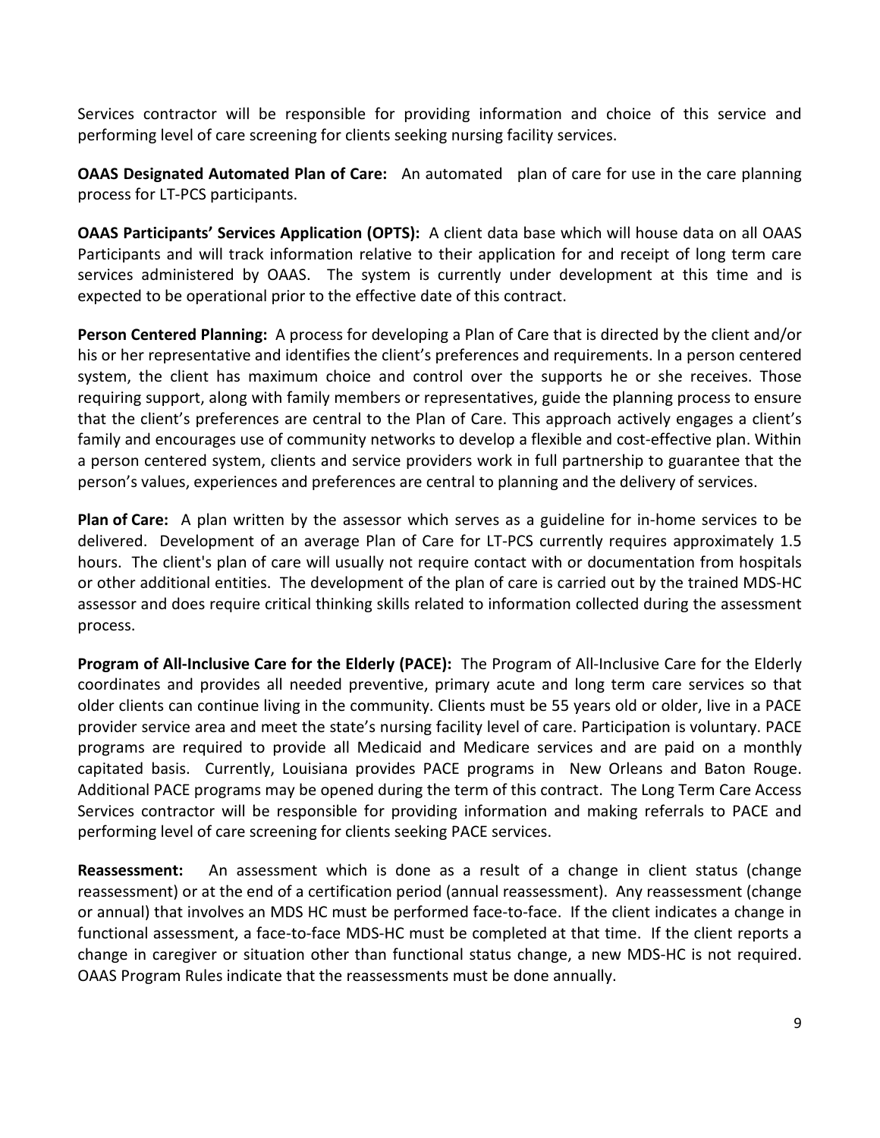Services contractor will be responsible for providing information and choice of this service and performing level of care screening for clients seeking nursing facility services.

**OAAS Designated Automated Plan of Care:** An automated plan of care for use in the care planning process for LT-PCS participants.

OAAS Participants' Services Application (OPTS): A client data base which will house data on all OAAS Participants and will track information relative to their application for and receipt of long term care services administered by OAAS. The system is currently under development at this time and is expected to be operational prior to the effective date of this contract.

Person Centered Planning: A process for developing a Plan of Care that is directed by the client and/or his or her representative and identifies the client's preferences and requirements. In a person centered system, the client has maximum choice and control over the supports he or she receives. Those requiring support, along with family members or representatives, guide the planning process to ensure that the client's preferences are central to the Plan of Care. This approach actively engages a client's family and encourages use of community networks to develop a flexible and cost-effective plan. Within a person centered system, clients and service providers work in full partnership to guarantee that the person's values, experiences and preferences are central to planning and the delivery of services.

Plan of Care: A plan written by the assessor which serves as a guideline for in-home services to be delivered. Development of an average Plan of Care for LT-PCS currently requires approximately 1.5 hours. The client's plan of care will usually not require contact with or documentation from hospitals or other additional entities. The development of the plan of care is carried out by the trained MDS-HC assessor and does require critical thinking skills related to information collected during the assessment process.

Program of All-Inclusive Care for the Elderly (PACE): The Program of All-Inclusive Care for the Elderly coordinates and provides all needed preventive, primary acute and long term care services so that older clients can continue living in the community. Clients must be 55 years old or older, live in a PACE provider service area and meet the state's nursing facility level of care. Participation is voluntary. PACE programs are required to provide all Medicaid and Medicare services and are paid on a monthly capitated basis. Currently, Louisiana provides PACE programs in New Orleans and Baton Rouge. Additional PACE programs may be opened during the term of this contract. The Long Term Care Access Services contractor will be responsible for providing information and making referrals to PACE and performing level of care screening for clients seeking PACE services.

**Reassessment:** An assessment which is done as a result of a change in client status (change reassessment) or at the end of a certification period (annual reassessment). Any reassessment (change or annual) that involves an MDS HC must be performed face-to-face. If the client indicates a change in functional assessment, a face-to-face MDS-HC must be completed at that time. If the client reports a change in caregiver or situation other than functional status change, a new MDS-HC is not required. OAAS Program Rules indicate that the reassessments must be done annually.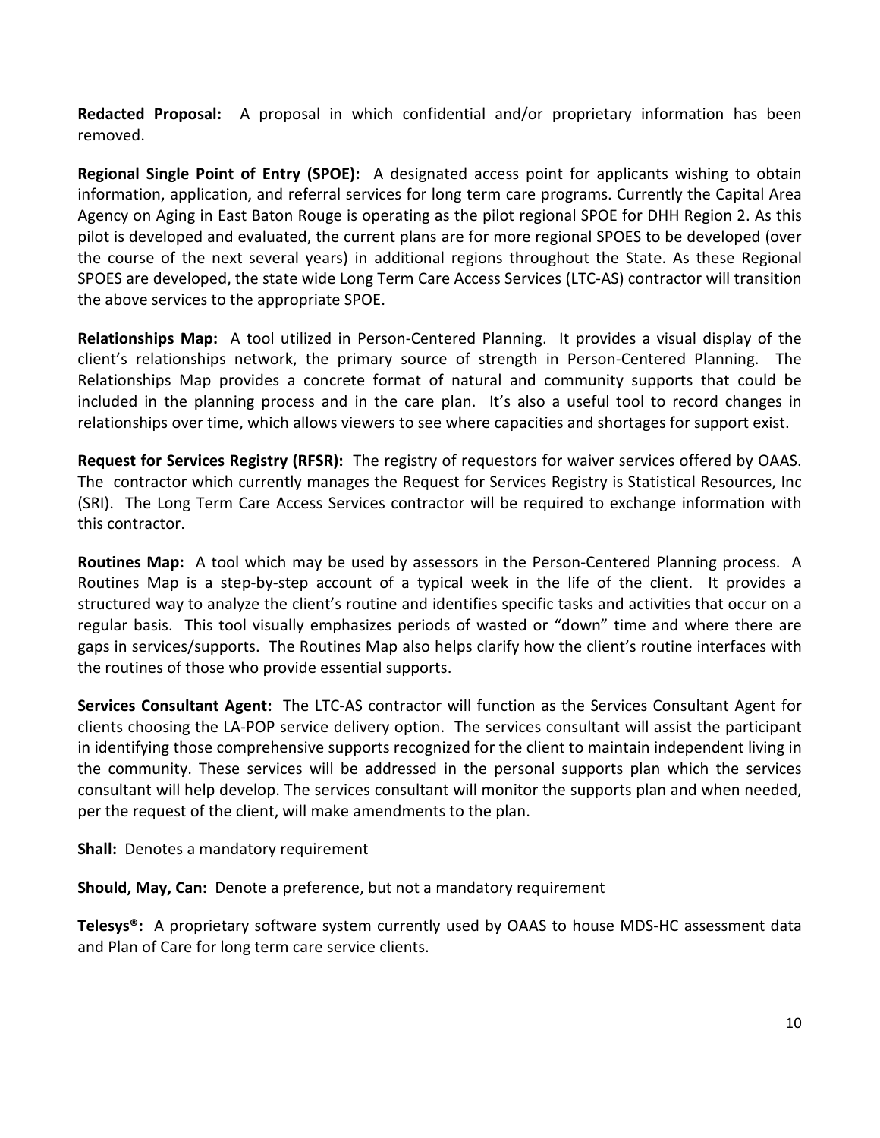Redacted Proposal: A proposal in which confidential and/or proprietary information has been removed.

Regional Single Point of Entry (SPOE): A designated access point for applicants wishing to obtain information, application, and referral services for long term care programs. Currently the Capital Area Agency on Aging in East Baton Rouge is operating as the pilot regional SPOE for DHH Region 2. As this pilot is developed and evaluated, the current plans are for more regional SPOES to be developed (over the course of the next several years) in additional regions throughout the State. As these Regional SPOES are developed, the state wide Long Term Care Access Services (LTC-AS) contractor will transition the above services to the appropriate SPOE.

Relationships Map: A tool utilized in Person-Centered Planning. It provides a visual display of the client's relationships network, the primary source of strength in Person-Centered Planning. The Relationships Map provides a concrete format of natural and community supports that could be included in the planning process and in the care plan. It's also a useful tool to record changes in relationships over time, which allows viewers to see where capacities and shortages for support exist.

Request for Services Registry (RFSR): The registry of requestors for waiver services offered by OAAS. The contractor which currently manages the Request for Services Registry is Statistical Resources, Inc (SRI). The Long Term Care Access Services contractor will be required to exchange information with this contractor.

Routines Map: A tool which may be used by assessors in the Person-Centered Planning process. A Routines Map is a step-by-step account of a typical week in the life of the client. It provides a structured way to analyze the client's routine and identifies specific tasks and activities that occur on a regular basis. This tool visually emphasizes periods of wasted or "down" time and where there are gaps in services/supports. The Routines Map also helps clarify how the client's routine interfaces with the routines of those who provide essential supports.

Services Consultant Agent: The LTC-AS contractor will function as the Services Consultant Agent for clients choosing the LA-POP service delivery option. The services consultant will assist the participant in identifying those comprehensive supports recognized for the client to maintain independent living in the community. These services will be addressed in the personal supports plan which the services consultant will help develop. The services consultant will monitor the supports plan and when needed, per the request of the client, will make amendments to the plan.

Shall: Denotes a mandatory requirement

Should, May, Can: Denote a preference, but not a mandatory requirement

Telesys<sup>®</sup>: A proprietary software system currently used by OAAS to house MDS-HC assessment data and Plan of Care for long term care service clients.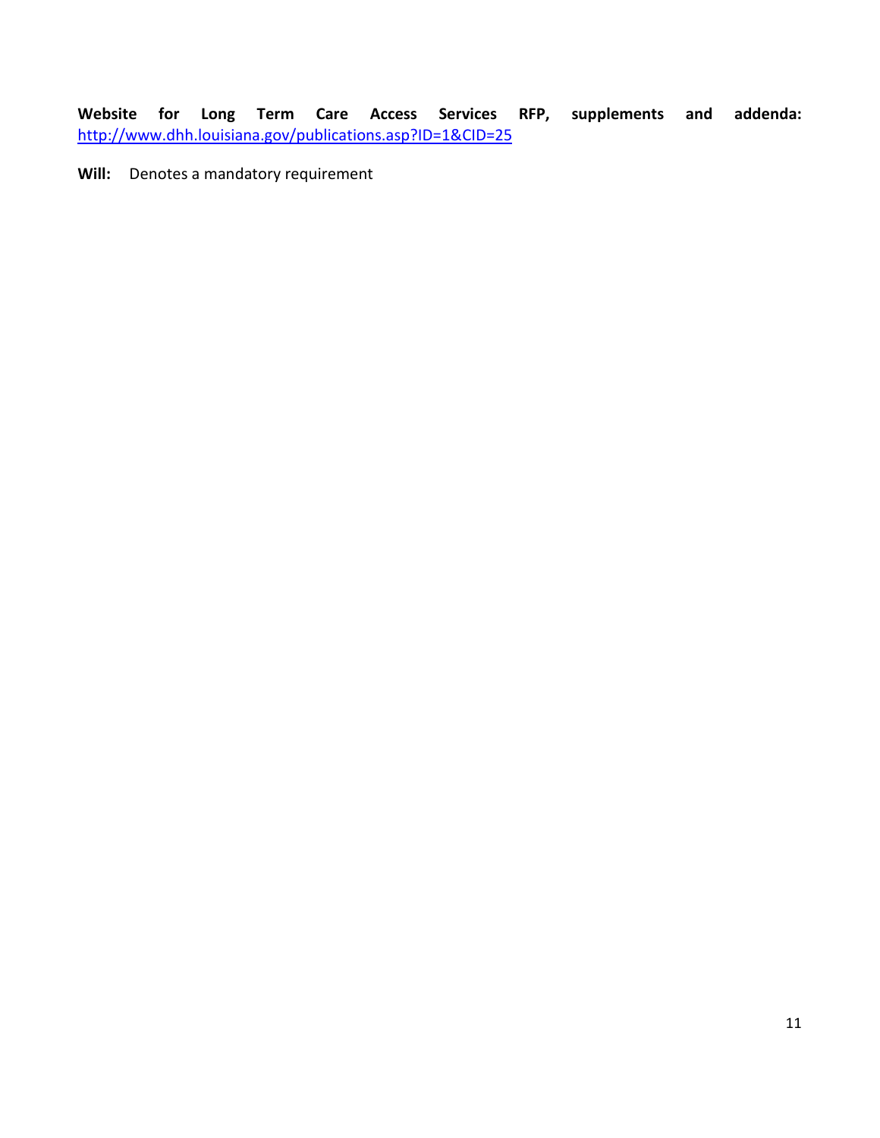Website for Long Term Care Access Services RFP, supplements and addenda: http://www.dhh.louisiana.gov/publications.asp?ID=1&CID=25

Will: Denotes a mandatory requirement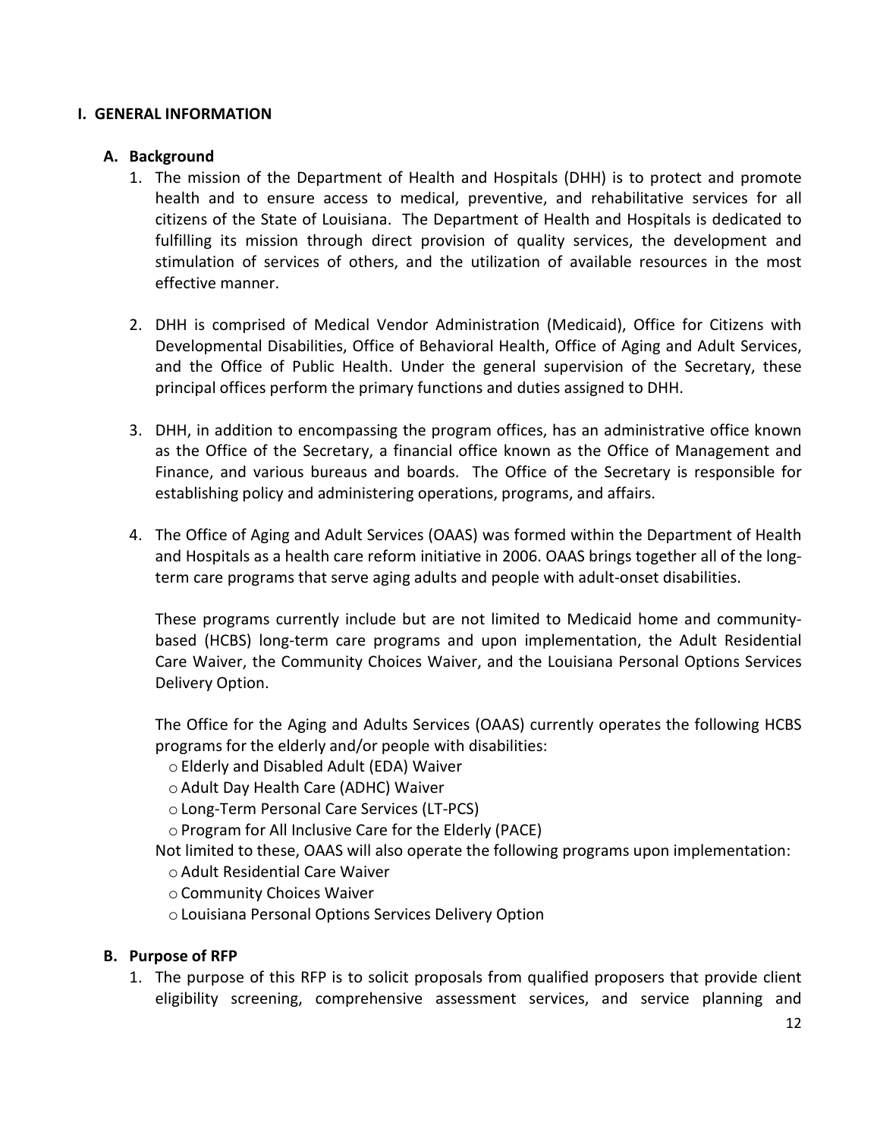#### I. GENERAL INFORMATION

#### A. Background

- 1. The mission of the Department of Health and Hospitals (DHH) is to protect and promote health and to ensure access to medical, preventive, and rehabilitative services for all citizens of the State of Louisiana. The Department of Health and Hospitals is dedicated to fulfilling its mission through direct provision of quality services, the development and stimulation of services of others, and the utilization of available resources in the most effective manner.
- 2. DHH is comprised of Medical Vendor Administration (Medicaid), Office for Citizens with Developmental Disabilities, Office of Behavioral Health, Office of Aging and Adult Services, and the Office of Public Health. Under the general supervision of the Secretary, these principal offices perform the primary functions and duties assigned to DHH.
- 3. DHH, in addition to encompassing the program offices, has an administrative office known as the Office of the Secretary, a financial office known as the Office of Management and Finance, and various bureaus and boards. The Office of the Secretary is responsible for establishing policy and administering operations, programs, and affairs.
- 4. The Office of Aging and Adult Services (OAAS) was formed within the Department of Health and Hospitals as a health care reform initiative in 2006. OAAS brings together all of the longterm care programs that serve aging adults and people with adult-onset disabilities.

These programs currently include but are not limited to Medicaid home and communitybased (HCBS) long-term care programs and upon implementation, the Adult Residential Care Waiver, the Community Choices Waiver, and the Louisiana Personal Options Services Delivery Option.

The Office for the Aging and Adults Services (OAAS) currently operates the following HCBS programs for the elderly and/or people with disabilities:

- o Elderly and Disabled Adult (EDA) Waiver
- o Adult Day Health Care (ADHC) Waiver
- o Long-Term Personal Care Services (LT-PCS)
- o Program for All Inclusive Care for the Elderly (PACE)
- Not limited to these, OAAS will also operate the following programs upon implementation:
	- o Adult Residential Care Waiver
	- o Community Choices Waiver
	- o Louisiana Personal Options Services Delivery Option

#### B. Purpose of RFP

1. The purpose of this RFP is to solicit proposals from qualified proposers that provide client eligibility screening, comprehensive assessment services, and service planning and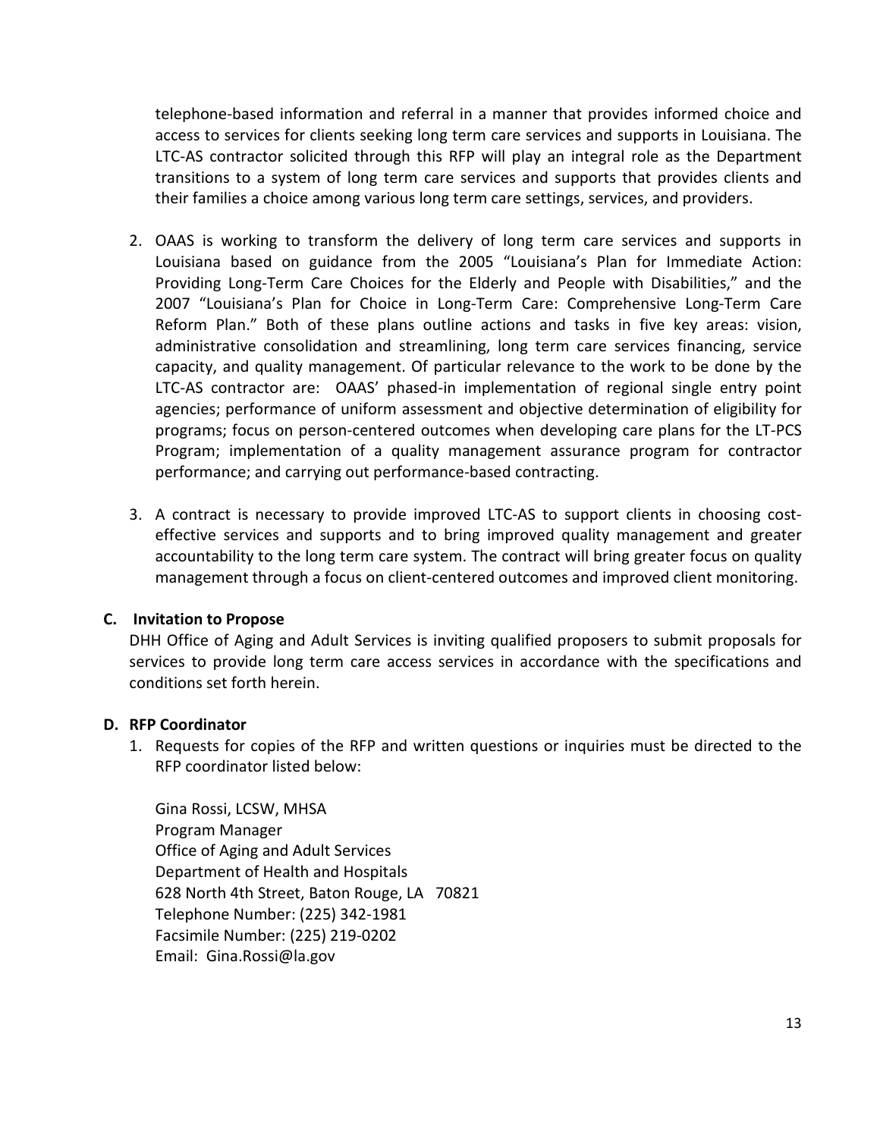telephone-based information and referral in a manner that provides informed choice and access to services for clients seeking long term care services and supports in Louisiana. The LTC-AS contractor solicited through this RFP will play an integral role as the Department transitions to a system of long term care services and supports that provides clients and their families a choice among various long term care settings, services, and providers.

- 2. OAAS is working to transform the delivery of long term care services and supports in Louisiana based on guidance from the 2005 "Louisiana's Plan for Immediate Action: Providing Long-Term Care Choices for the Elderly and People with Disabilities," and the 2007 "Louisiana's Plan for Choice in Long-Term Care: Comprehensive Long-Term Care Reform Plan." Both of these plans outline actions and tasks in five key areas: vision, administrative consolidation and streamlining, long term care services financing, service capacity, and quality management. Of particular relevance to the work to be done by the LTC-AS contractor are: OAAS' phased-in implementation of regional single entry point agencies; performance of uniform assessment and objective determination of eligibility for programs; focus on person-centered outcomes when developing care plans for the LT-PCS Program; implementation of a quality management assurance program for contractor performance; and carrying out performance-based contracting.
- 3. A contract is necessary to provide improved LTC-AS to support clients in choosing costeffective services and supports and to bring improved quality management and greater accountability to the long term care system. The contract will bring greater focus on quality management through a focus on client-centered outcomes and improved client monitoring.

#### C. Invitation to Propose

DHH Office of Aging and Adult Services is inviting qualified proposers to submit proposals for services to provide long term care access services in accordance with the specifications and conditions set forth herein.

#### D. RFP Coordinator

1. Requests for copies of the RFP and written questions or inquiries must be directed to the RFP coordinator listed below:

Gina Rossi, LCSW, MHSA Program Manager Office of Aging and Adult Services Department of Health and Hospitals 628 North 4th Street, Baton Rouge, LA 70821 Telephone Number: (225) 342-1981 Facsimile Number: (225) 219-0202 Email: Gina.Rossi@la.gov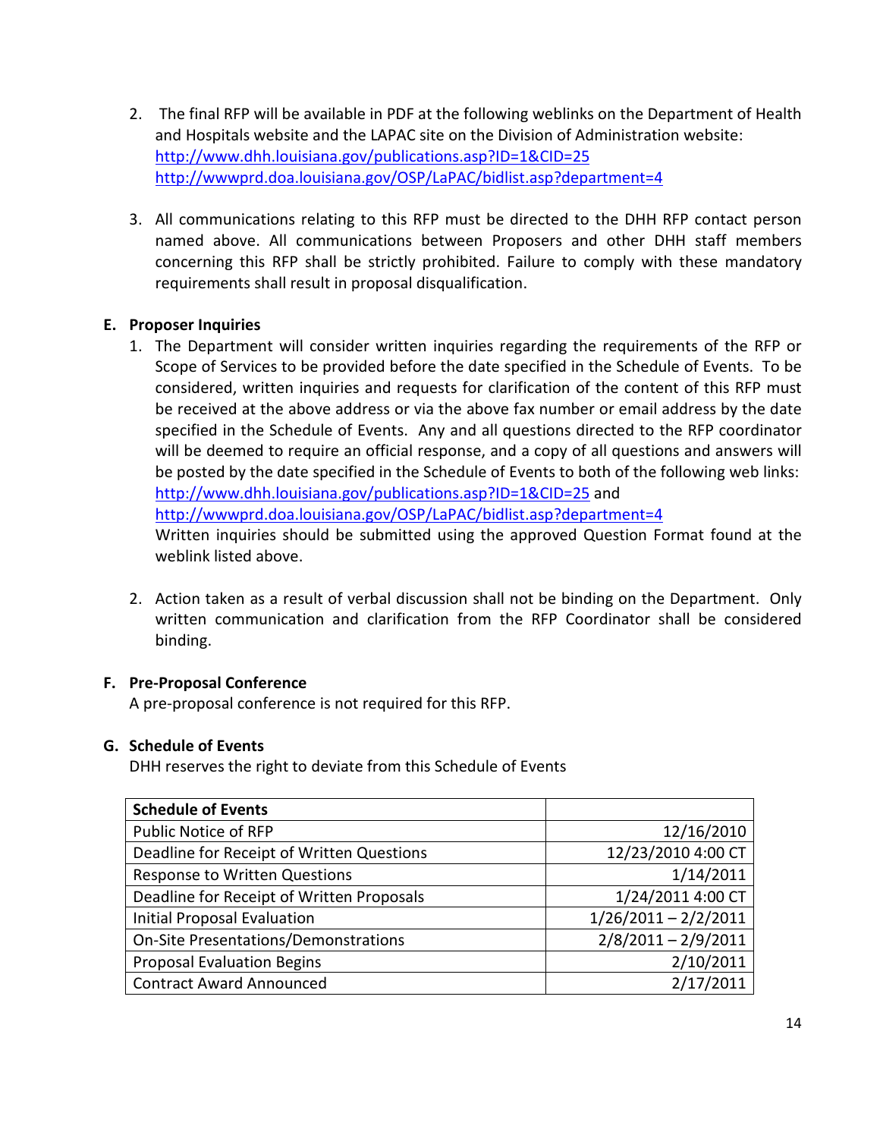- 2. The final RFP will be available in PDF at the following weblinks on the Department of Health and Hospitals website and the LAPAC site on the Division of Administration website: http://www.dhh.louisiana.gov/publications.asp?ID=1&CID=25 http://wwwprd.doa.louisiana.gov/OSP/LaPAC/bidlist.asp?department=4
- 3. All communications relating to this RFP must be directed to the DHH RFP contact person named above. All communications between Proposers and other DHH staff members concerning this RFP shall be strictly prohibited. Failure to comply with these mandatory requirements shall result in proposal disqualification.

## E. Proposer Inquiries

- 1. The Department will consider written inquiries regarding the requirements of the RFP or Scope of Services to be provided before the date specified in the Schedule of Events. To be considered, written inquiries and requests for clarification of the content of this RFP must be received at the above address or via the above fax number or email address by the date specified in the Schedule of Events. Any and all questions directed to the RFP coordinator will be deemed to require an official response, and a copy of all questions and answers will be posted by the date specified in the Schedule of Events to both of the following web links: http://www.dhh.louisiana.gov/publications.asp?ID=1&CID=25 and http://wwwprd.doa.louisiana.gov/OSP/LaPAC/bidlist.asp?department=4 Written inquiries should be submitted using the approved Question Format found at the weblink listed above.
- 2. Action taken as a result of verbal discussion shall not be binding on the Department. Only written communication and clarification from the RFP Coordinator shall be considered binding.

## F. Pre-Proposal Conference

A pre-proposal conference is not required for this RFP.

#### G. Schedule of Events

DHH reserves the right to deviate from this Schedule of Events

| <b>Schedule of Events</b>                 |                        |
|-------------------------------------------|------------------------|
| Public Notice of RFP                      | 12/16/2010             |
| Deadline for Receipt of Written Questions | 12/23/2010 4:00 CT     |
| <b>Response to Written Questions</b>      | 1/14/2011              |
| Deadline for Receipt of Written Proposals | 1/24/2011 4:00 CT      |
| Initial Proposal Evaluation               | $1/26/2011 - 2/2/2011$ |
| On-Site Presentations/Demonstrations      | $2/8/2011 - 2/9/2011$  |
| <b>Proposal Evaluation Begins</b>         | 2/10/2011              |
| <b>Contract Award Announced</b>           | 2/17/2011              |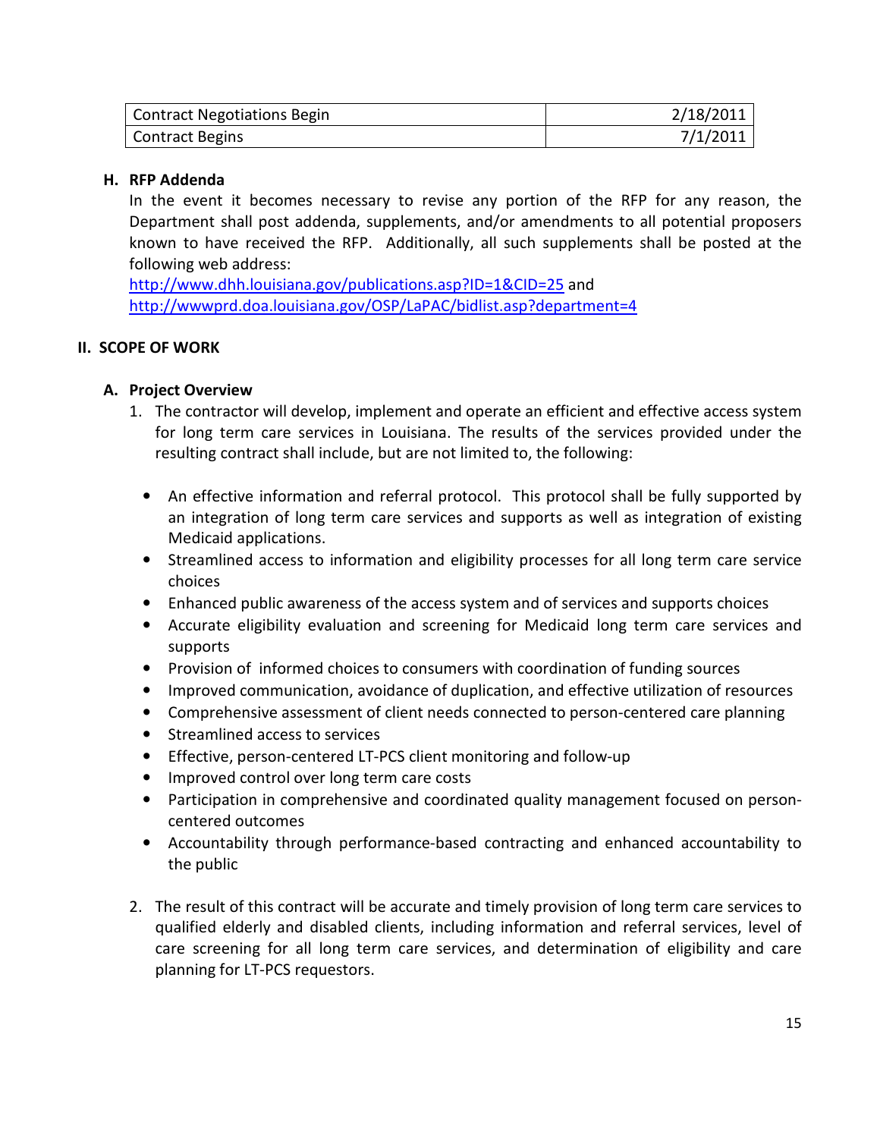| Contract Negotiations Begin | 2/18/2011 |
|-----------------------------|-----------|
| Contract Begins             | 7/1/2011  |

#### H. RFP Addenda

In the event it becomes necessary to revise any portion of the RFP for any reason, the Department shall post addenda, supplements, and/or amendments to all potential proposers known to have received the RFP. Additionally, all such supplements shall be posted at the following web address:

http://www.dhh.louisiana.gov/publications.asp?ID=1&CID=25 and http://wwwprd.doa.louisiana.gov/OSP/LaPAC/bidlist.asp?department=4

#### II. SCOPE OF WORK

### A. Project Overview

- 1. The contractor will develop, implement and operate an efficient and effective access system for long term care services in Louisiana. The results of the services provided under the resulting contract shall include, but are not limited to, the following:
	- An effective information and referral protocol. This protocol shall be fully supported by an integration of long term care services and supports as well as integration of existing Medicaid applications.
	- Streamlined access to information and eligibility processes for all long term care service choices
	- Enhanced public awareness of the access system and of services and supports choices
	- Accurate eligibility evaluation and screening for Medicaid long term care services and supports
	- Provision of informed choices to consumers with coordination of funding sources
	- Improved communication, avoidance of duplication, and effective utilization of resources
	- Comprehensive assessment of client needs connected to person-centered care planning
	- Streamlined access to services
	- Effective, person-centered LT-PCS client monitoring and follow-up
	- Improved control over long term care costs
	- Participation in comprehensive and coordinated quality management focused on personcentered outcomes
	- Accountability through performance-based contracting and enhanced accountability to the public
- 2. The result of this contract will be accurate and timely provision of long term care services to qualified elderly and disabled clients, including information and referral services, level of care screening for all long term care services, and determination of eligibility and care planning for LT-PCS requestors.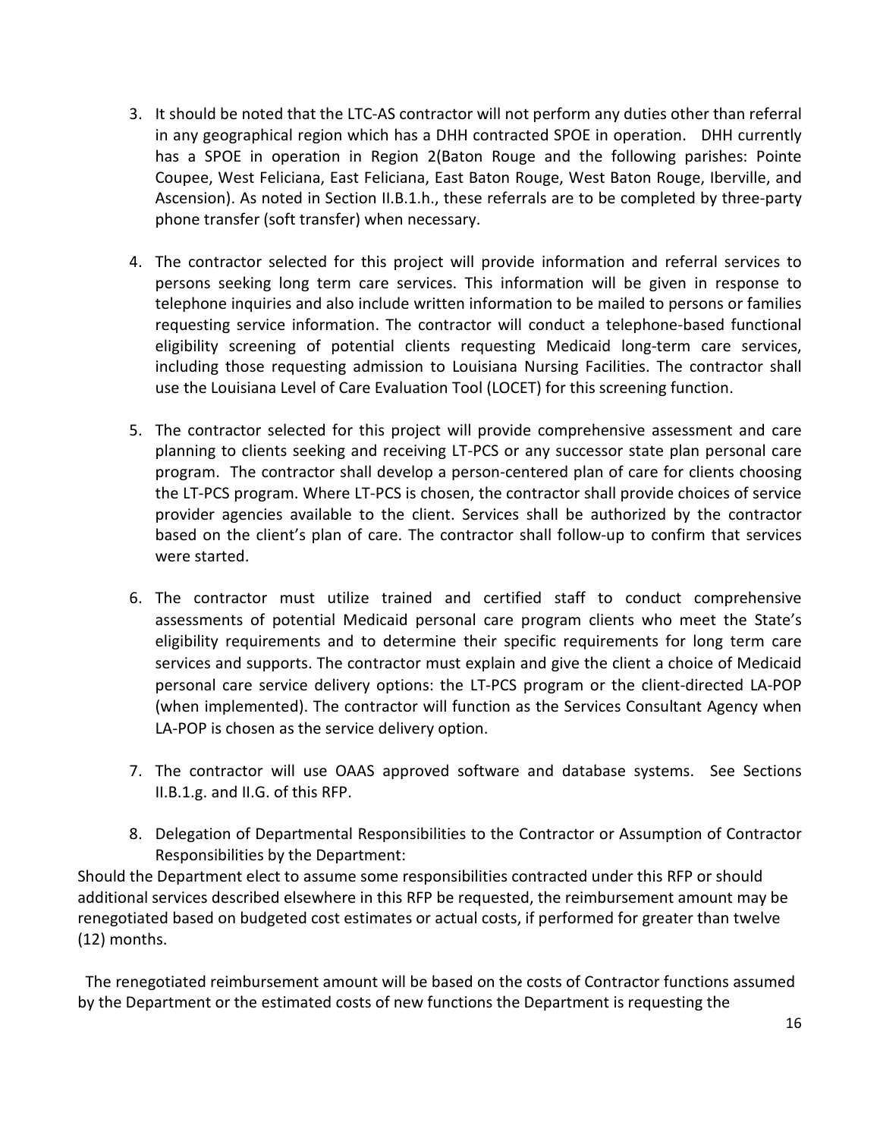- 3. It should be noted that the LTC-AS contractor will not perform any duties other than referral in any geographical region which has a DHH contracted SPOE in operation. DHH currently has a SPOE in operation in Region 2(Baton Rouge and the following parishes: Pointe Coupee, West Feliciana, East Feliciana, East Baton Rouge, West Baton Rouge, Iberville, and Ascension). As noted in Section II.B.1.h., these referrals are to be completed by three-party phone transfer (soft transfer) when necessary.
- 4. The contractor selected for this project will provide information and referral services to persons seeking long term care services. This information will be given in response to telephone inquiries and also include written information to be mailed to persons or families requesting service information. The contractor will conduct a telephone-based functional eligibility screening of potential clients requesting Medicaid long-term care services, including those requesting admission to Louisiana Nursing Facilities. The contractor shall use the Louisiana Level of Care Evaluation Tool (LOCET) for this screening function.
- 5. The contractor selected for this project will provide comprehensive assessment and care planning to clients seeking and receiving LT-PCS or any successor state plan personal care program. The contractor shall develop a person-centered plan of care for clients choosing the LT-PCS program. Where LT-PCS is chosen, the contractor shall provide choices of service provider agencies available to the client. Services shall be authorized by the contractor based on the client's plan of care. The contractor shall follow-up to confirm that services were started.
- 6. The contractor must utilize trained and certified staff to conduct comprehensive assessments of potential Medicaid personal care program clients who meet the State's eligibility requirements and to determine their specific requirements for long term care services and supports. The contractor must explain and give the client a choice of Medicaid personal care service delivery options: the LT-PCS program or the client-directed LA-POP (when implemented). The contractor will function as the Services Consultant Agency when LA-POP is chosen as the service delivery option.
- 7. The contractor will use OAAS approved software and database systems. See Sections II.B.1.g. and II.G. of this RFP.
- 8. Delegation of Departmental Responsibilities to the Contractor or Assumption of Contractor Responsibilities by the Department:

Should the Department elect to assume some responsibilities contracted under this RFP or should additional services described elsewhere in this RFP be requested, the reimbursement amount may be renegotiated based on budgeted cost estimates or actual costs, if performed for greater than twelve (12) months.

 The renegotiated reimbursement amount will be based on the costs of Contractor functions assumed by the Department or the estimated costs of new functions the Department is requesting the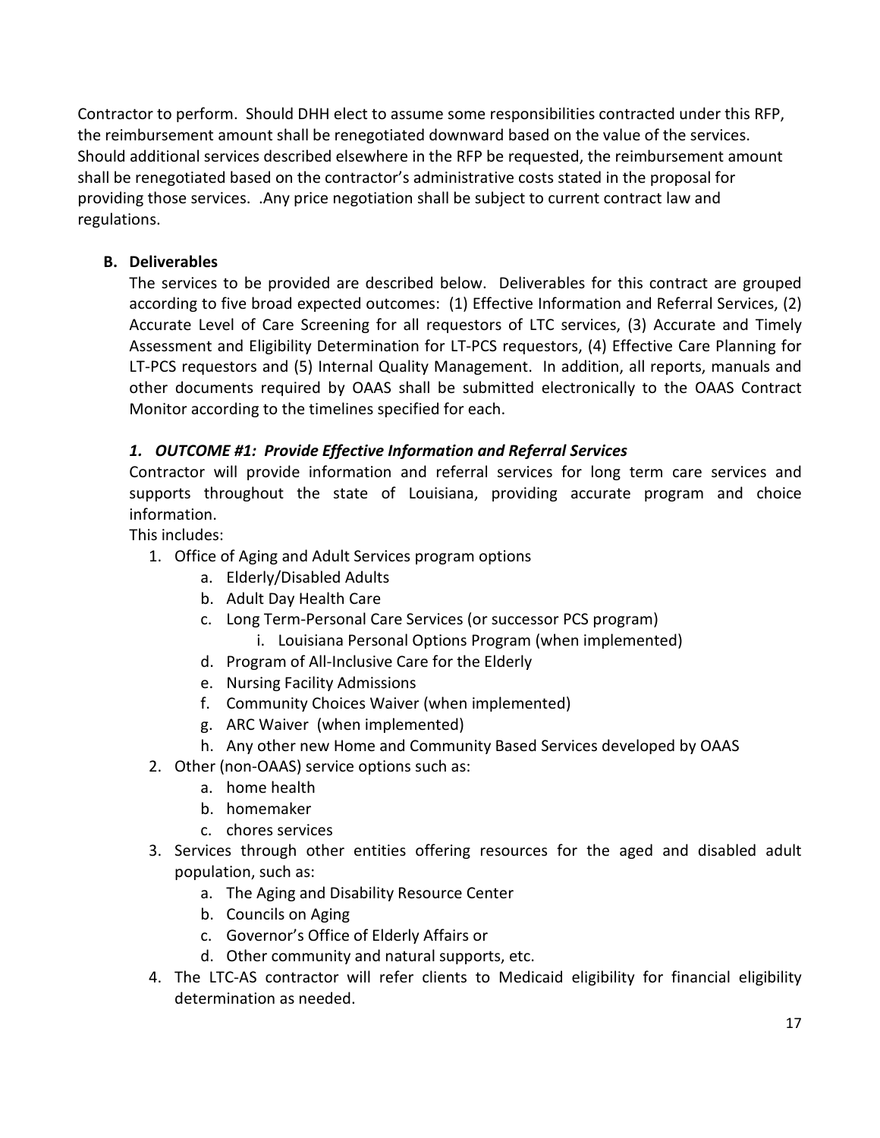Contractor to perform. Should DHH elect to assume some responsibilities contracted under this RFP, the reimbursement amount shall be renegotiated downward based on the value of the services. Should additional services described elsewhere in the RFP be requested, the reimbursement amount shall be renegotiated based on the contractor's administrative costs stated in the proposal for providing those services. .Any price negotiation shall be subject to current contract law and regulations.

# B. Deliverables

The services to be provided are described below. Deliverables for this contract are grouped according to five broad expected outcomes: (1) Effective Information and Referral Services, (2) Accurate Level of Care Screening for all requestors of LTC services, (3) Accurate and Timely Assessment and Eligibility Determination for LT-PCS requestors, (4) Effective Care Planning for LT-PCS requestors and (5) Internal Quality Management. In addition, all reports, manuals and other documents required by OAAS shall be submitted electronically to the OAAS Contract Monitor according to the timelines specified for each.

# 1. OUTCOME #1: Provide Effective Information and Referral Services

Contractor will provide information and referral services for long term care services and supports throughout the state of Louisiana, providing accurate program and choice information.

This includes:

- 1. Office of Aging and Adult Services program options
	- a. Elderly/Disabled Adults
	- b. Adult Day Health Care
	- c. Long Term-Personal Care Services (or successor PCS program) i. Louisiana Personal Options Program (when implemented)
	- d. Program of All-Inclusive Care for the Elderly
	- e. Nursing Facility Admissions
	- f. Community Choices Waiver (when implemented)
	- g. ARC Waiver (when implemented)
	- h. Any other new Home and Community Based Services developed by OAAS
- 2. Other (non-OAAS) service options such as:
	- a. home health
	- b. homemaker
	- c. chores services
- 3. Services through other entities offering resources for the aged and disabled adult population, such as:
	- a. The Aging and Disability Resource Center
	- b. Councils on Aging
	- c. Governor's Office of Elderly Affairs or
	- d. Other community and natural supports, etc.
- 4. The LTC-AS contractor will refer clients to Medicaid eligibility for financial eligibility determination as needed.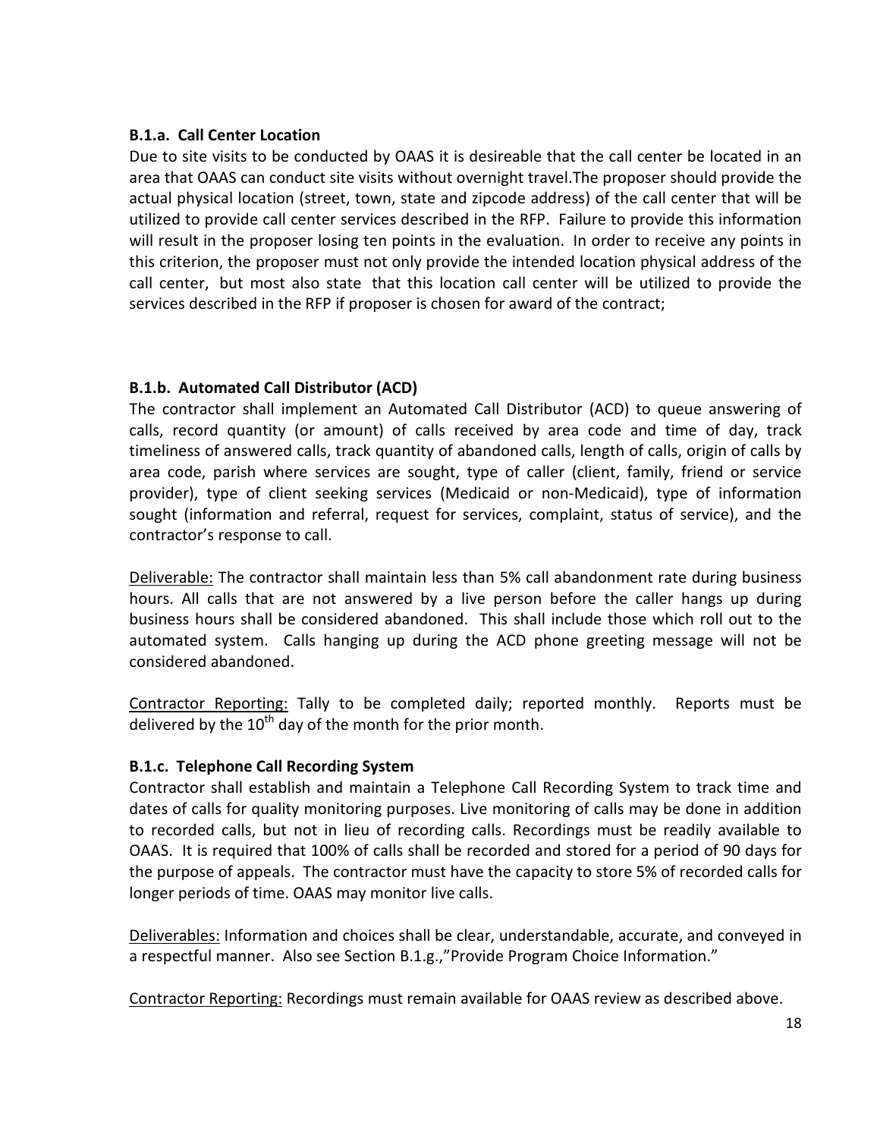### B.1.a. Call Center Location

Due to site visits to be conducted by OAAS it is desireable that the call center be located in an area that OAAS can conduct site visits without overnight travel.The proposer should provide the actual physical location (street, town, state and zipcode address) of the call center that will be utilized to provide call center services described in the RFP. Failure to provide this information will result in the proposer losing ten points in the evaluation. In order to receive any points in this criterion, the proposer must not only provide the intended location physical address of the call center, but most also state that this location call center will be utilized to provide the services described in the RFP if proposer is chosen for award of the contract;

# B.1.b. Automated Call Distributor (ACD)

The contractor shall implement an Automated Call Distributor (ACD) to queue answering of calls, record quantity (or amount) of calls received by area code and time of day, track timeliness of answered calls, track quantity of abandoned calls, length of calls, origin of calls by area code, parish where services are sought, type of caller (client, family, friend or service provider), type of client seeking services (Medicaid or non-Medicaid), type of information sought (information and referral, request for services, complaint, status of service), and the contractor's response to call.

Deliverable: The contractor shall maintain less than 5% call abandonment rate during business hours. All calls that are not answered by a live person before the caller hangs up during business hours shall be considered abandoned. This shall include those which roll out to the automated system. Calls hanging up during the ACD phone greeting message will not be considered abandoned.

Contractor Reporting: Tally to be completed daily; reported monthly. Reports must be delivered by the  $10^{th}$  day of the month for the prior month.

## B.1.c. Telephone Call Recording System

Contractor shall establish and maintain a Telephone Call Recording System to track time and dates of calls for quality monitoring purposes. Live monitoring of calls may be done in addition to recorded calls, but not in lieu of recording calls. Recordings must be readily available to OAAS. It is required that 100% of calls shall be recorded and stored for a period of 90 days for the purpose of appeals. The contractor must have the capacity to store 5% of recorded calls for longer periods of time. OAAS may monitor live calls.

Deliverables: Information and choices shall be clear, understandable, accurate, and conveyed in a respectful manner. Also see Section B.1.g.,"Provide Program Choice Information."

Contractor Reporting: Recordings must remain available for OAAS review as described above.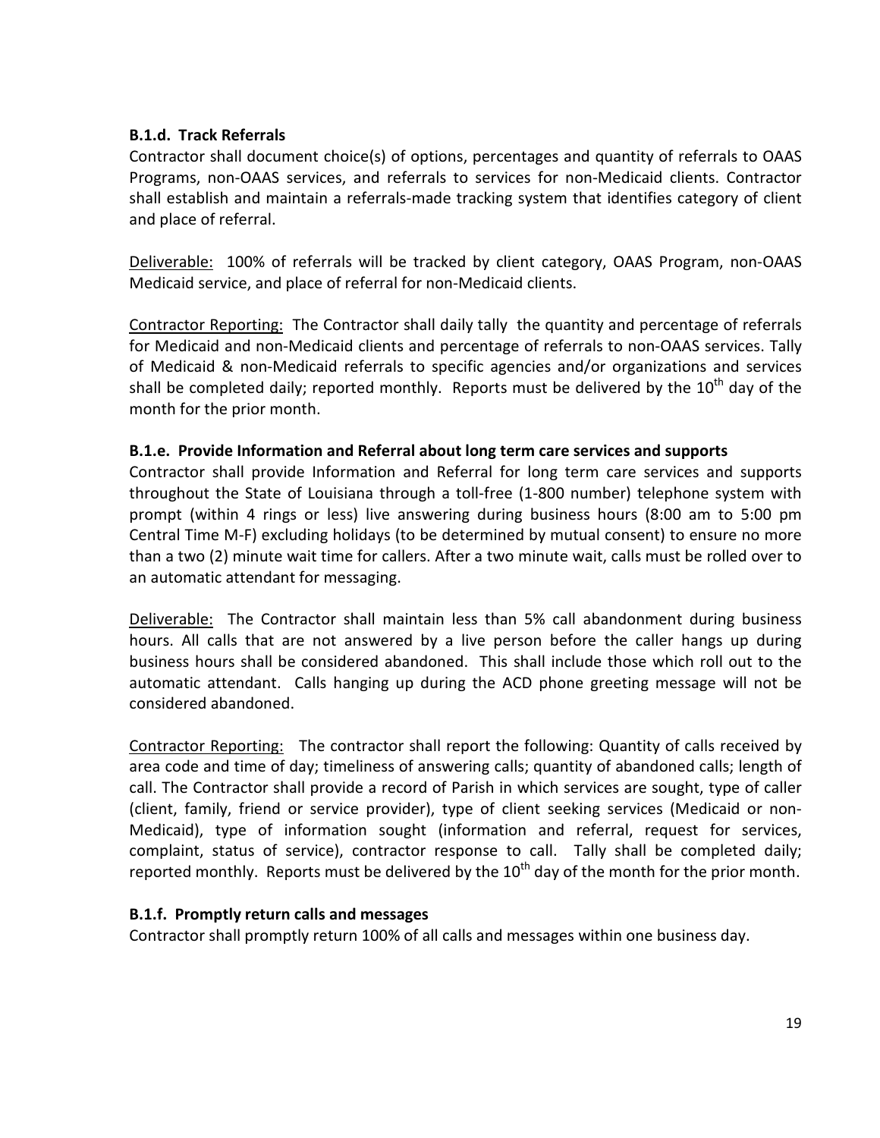### B.1.d. Track Referrals

Contractor shall document choice(s) of options, percentages and quantity of referrals to OAAS Programs, non-OAAS services, and referrals to services for non-Medicaid clients. Contractor shall establish and maintain a referrals-made tracking system that identifies category of client and place of referral.

Deliverable: 100% of referrals will be tracked by client category, OAAS Program, non-OAAS Medicaid service, and place of referral for non-Medicaid clients.

Contractor Reporting: The Contractor shall daily tally the quantity and percentage of referrals for Medicaid and non-Medicaid clients and percentage of referrals to non-OAAS services. Tally of Medicaid & non-Medicaid referrals to specific agencies and/or organizations and services shall be completed daily; reported monthly. Reports must be delivered by the  $10^{th}$  day of the month for the prior month.

### B.1.e. Provide Information and Referral about long term care services and supports

Contractor shall provide Information and Referral for long term care services and supports throughout the State of Louisiana through a toll-free (1-800 number) telephone system with prompt (within 4 rings or less) live answering during business hours (8:00 am to 5:00 pm Central Time M-F) excluding holidays (to be determined by mutual consent) to ensure no more than a two (2) minute wait time for callers. After a two minute wait, calls must be rolled over to an automatic attendant for messaging.

Deliverable: The Contractor shall maintain less than 5% call abandonment during business hours. All calls that are not answered by a live person before the caller hangs up during business hours shall be considered abandoned. This shall include those which roll out to the automatic attendant. Calls hanging up during the ACD phone greeting message will not be considered abandoned.

Contractor Reporting: The contractor shall report the following: Quantity of calls received by area code and time of day; timeliness of answering calls; quantity of abandoned calls; length of call. The Contractor shall provide a record of Parish in which services are sought, type of caller (client, family, friend or service provider), type of client seeking services (Medicaid or non-Medicaid), type of information sought (information and referral, request for services, complaint, status of service), contractor response to call. Tally shall be completed daily; reported monthly. Reports must be delivered by the  $10^{th}$  day of the month for the prior month.

## B.1.f. Promptly return calls and messages

Contractor shall promptly return 100% of all calls and messages within one business day.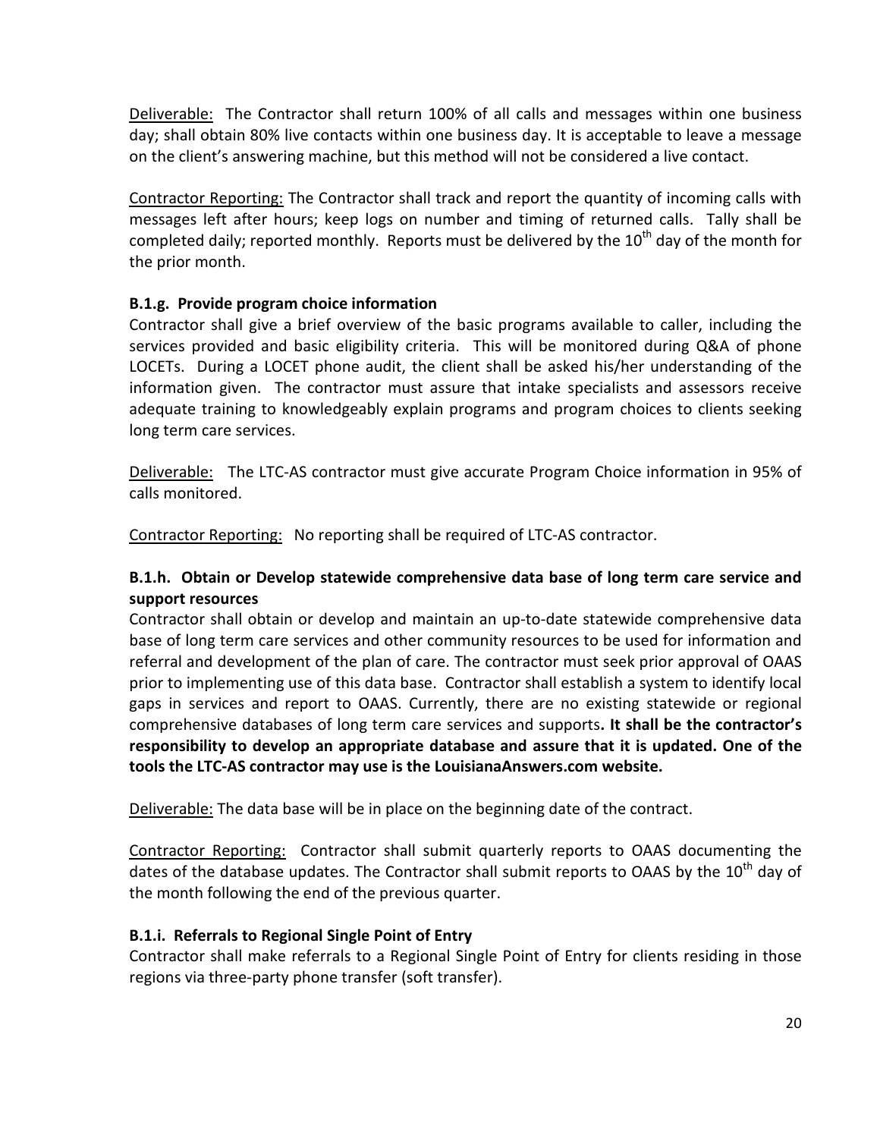Deliverable: The Contractor shall return 100% of all calls and messages within one business day; shall obtain 80% live contacts within one business day. It is acceptable to leave a message on the client's answering machine, but this method will not be considered a live contact.

Contractor Reporting: The Contractor shall track and report the quantity of incoming calls with messages left after hours; keep logs on number and timing of returned calls. Tally shall be completed daily; reported monthly. Reports must be delivered by the  $10<sup>th</sup>$  dav of the month for the prior month.

# B.1.g. Provide program choice information

Contractor shall give a brief overview of the basic programs available to caller, including the services provided and basic eligibility criteria. This will be monitored during Q&A of phone LOCETs. During a LOCET phone audit, the client shall be asked his/her understanding of the information given. The contractor must assure that intake specialists and assessors receive adequate training to knowledgeably explain programs and program choices to clients seeking long term care services.

Deliverable: The LTC-AS contractor must give accurate Program Choice information in 95% of calls monitored.

Contractor Reporting: No reporting shall be required of LTC-AS contractor.

# B.1.h. Obtain or Develop statewide comprehensive data base of long term care service and support resources

Contractor shall obtain or develop and maintain an up-to-date statewide comprehensive data base of long term care services and other community resources to be used for information and referral and development of the plan of care. The contractor must seek prior approval of OAAS prior to implementing use of this data base. Contractor shall establish a system to identify local gaps in services and report to OAAS. Currently, there are no existing statewide or regional comprehensive databases of long term care services and supports. It shall be the contractor's responsibility to develop an appropriate database and assure that it is updated. One of the tools the LTC-AS contractor may use is the LouisianaAnswers.com website.

Deliverable: The data base will be in place on the beginning date of the contract.

Contractor Reporting: Contractor shall submit quarterly reports to OAAS documenting the dates of the database updates. The Contractor shall submit reports to OAAS by the  $10^{th}$  day of the month following the end of the previous quarter.

## B.1.i. Referrals to Regional Single Point of Entry

Contractor shall make referrals to a Regional Single Point of Entry for clients residing in those regions via three-party phone transfer (soft transfer).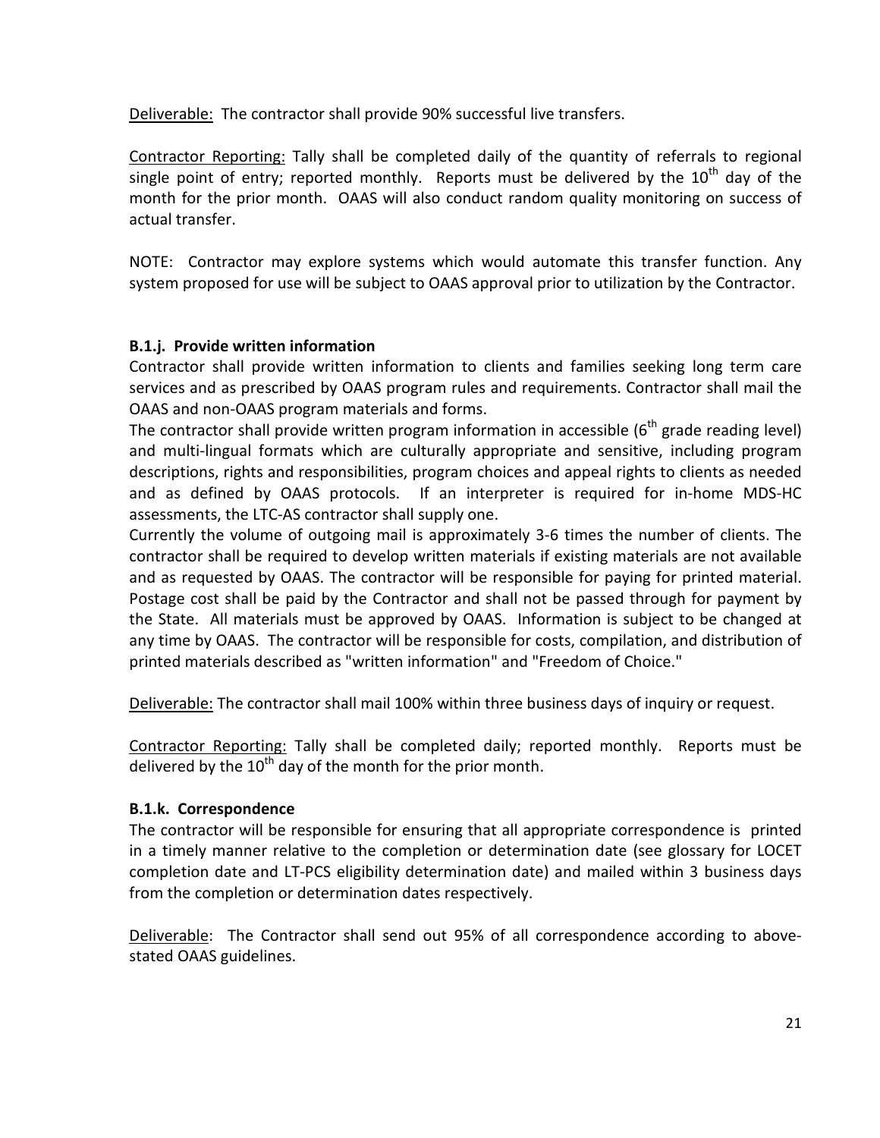Deliverable: The contractor shall provide 90% successful live transfers.

Contractor Reporting: Tally shall be completed daily of the quantity of referrals to regional single point of entry; reported monthly. Reports must be delivered by the  $10^{th}$  dav of the month for the prior month. OAAS will also conduct random quality monitoring on success of actual transfer.

NOTE: Contractor may explore systems which would automate this transfer function. Any system proposed for use will be subject to OAAS approval prior to utilization by the Contractor.

## B.1.j. Provide written information

Contractor shall provide written information to clients and families seeking long term care services and as prescribed by OAAS program rules and requirements. Contractor shall mail the OAAS and non-OAAS program materials and forms.

The contractor shall provide written program information in accessible  $6<sup>th</sup>$  grade reading level) and multi-lingual formats which are culturally appropriate and sensitive, including program descriptions, rights and responsibilities, program choices and appeal rights to clients as needed and as defined by OAAS protocols. If an interpreter is required for in-home MDS-HC assessments, the LTC-AS contractor shall supply one.

Currently the volume of outgoing mail is approximately 3-6 times the number of clients. The contractor shall be required to develop written materials if existing materials are not available and as requested by OAAS. The contractor will be responsible for paying for printed material. Postage cost shall be paid by the Contractor and shall not be passed through for payment by the State. All materials must be approved by OAAS. Information is subject to be changed at any time by OAAS. The contractor will be responsible for costs, compilation, and distribution of printed materials described as "written information" and "Freedom of Choice."

Deliverable: The contractor shall mail 100% within three business days of inquiry or request.

Contractor Reporting: Tally shall be completed daily; reported monthly. Reports must be delivered by the  $10<sup>th</sup>$  day of the month for the prior month.

#### B.1.k. Correspondence

The contractor will be responsible for ensuring that all appropriate correspondence is printed in a timely manner relative to the completion or determination date (see glossary for LOCET completion date and LT-PCS eligibility determination date) and mailed within 3 business days from the completion or determination dates respectively.

Deliverable: The Contractor shall send out 95% of all correspondence according to abovestated OAAS guidelines.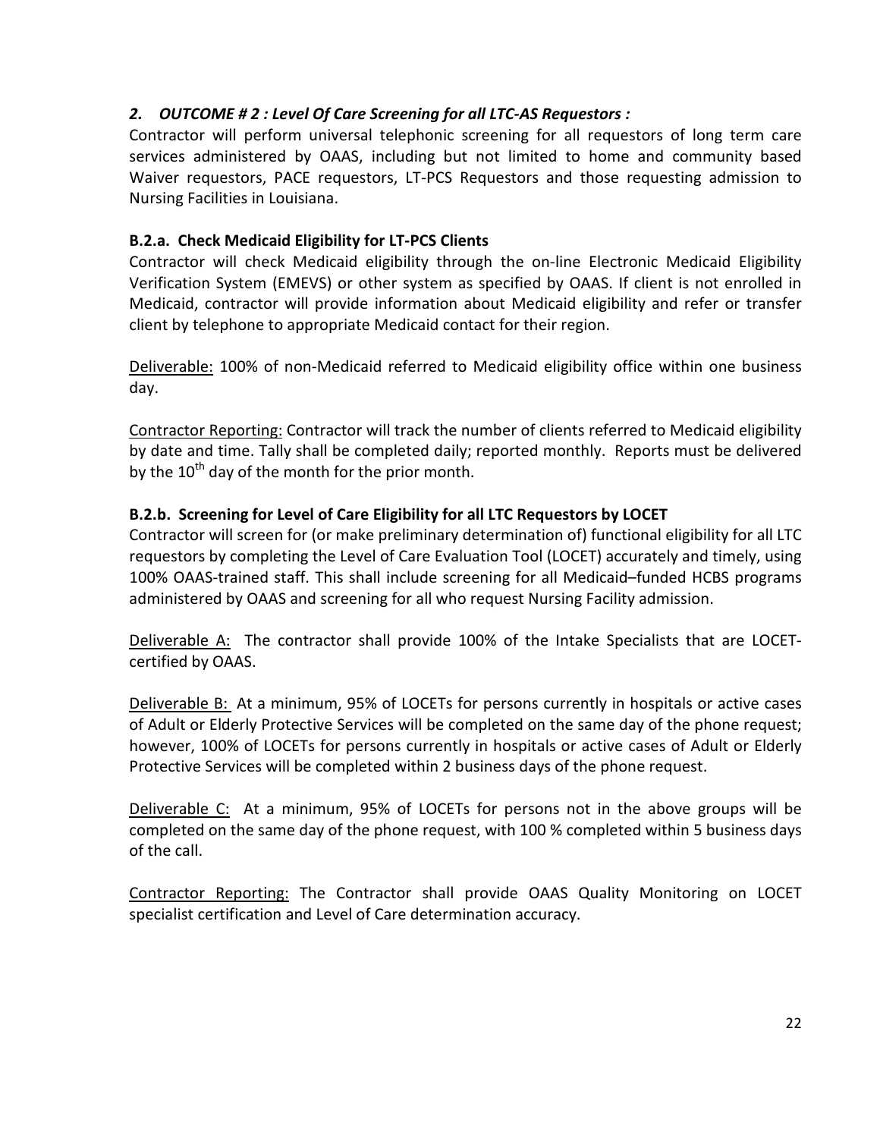# 2. OUTCOME # 2 : Level Of Care Screening for all LTC-AS Requestors :

Contractor will perform universal telephonic screening for all requestors of long term care services administered by OAAS, including but not limited to home and community based Waiver requestors, PACE requestors, LT-PCS Requestors and those requesting admission to Nursing Facilities in Louisiana.

# B.2.a. Check Medicaid Eligibility for LT-PCS Clients

Contractor will check Medicaid eligibility through the on-line Electronic Medicaid Eligibility Verification System (EMEVS) or other system as specified by OAAS. If client is not enrolled in Medicaid, contractor will provide information about Medicaid eligibility and refer or transfer client by telephone to appropriate Medicaid contact for their region.

Deliverable: 100% of non-Medicaid referred to Medicaid eligibility office within one business day.

Contractor Reporting: Contractor will track the number of clients referred to Medicaid eligibility by date and time. Tally shall be completed daily; reported monthly. Reports must be delivered by the  $10<sup>th</sup>$  day of the month for the prior month.

# B.2.b. Screening for Level of Care Eligibility for all LTC Requestors by LOCET

Contractor will screen for (or make preliminary determination of) functional eligibility for all LTC requestors by completing the Level of Care Evaluation Tool (LOCET) accurately and timely, using 100% OAAS-trained staff. This shall include screening for all Medicaid–funded HCBS programs administered by OAAS and screening for all who request Nursing Facility admission.

Deliverable A: The contractor shall provide 100% of the Intake Specialists that are LOCETcertified by OAAS.

Deliverable B: At a minimum, 95% of LOCETs for persons currently in hospitals or active cases of Adult or Elderly Protective Services will be completed on the same day of the phone request; however, 100% of LOCETs for persons currently in hospitals or active cases of Adult or Elderly Protective Services will be completed within 2 business days of the phone request.

Deliverable C: At a minimum, 95% of LOCETs for persons not in the above groups will be completed on the same day of the phone request, with 100 % completed within 5 business days of the call.

Contractor Reporting: The Contractor shall provide OAAS Quality Monitoring on LOCET specialist certification and Level of Care determination accuracy.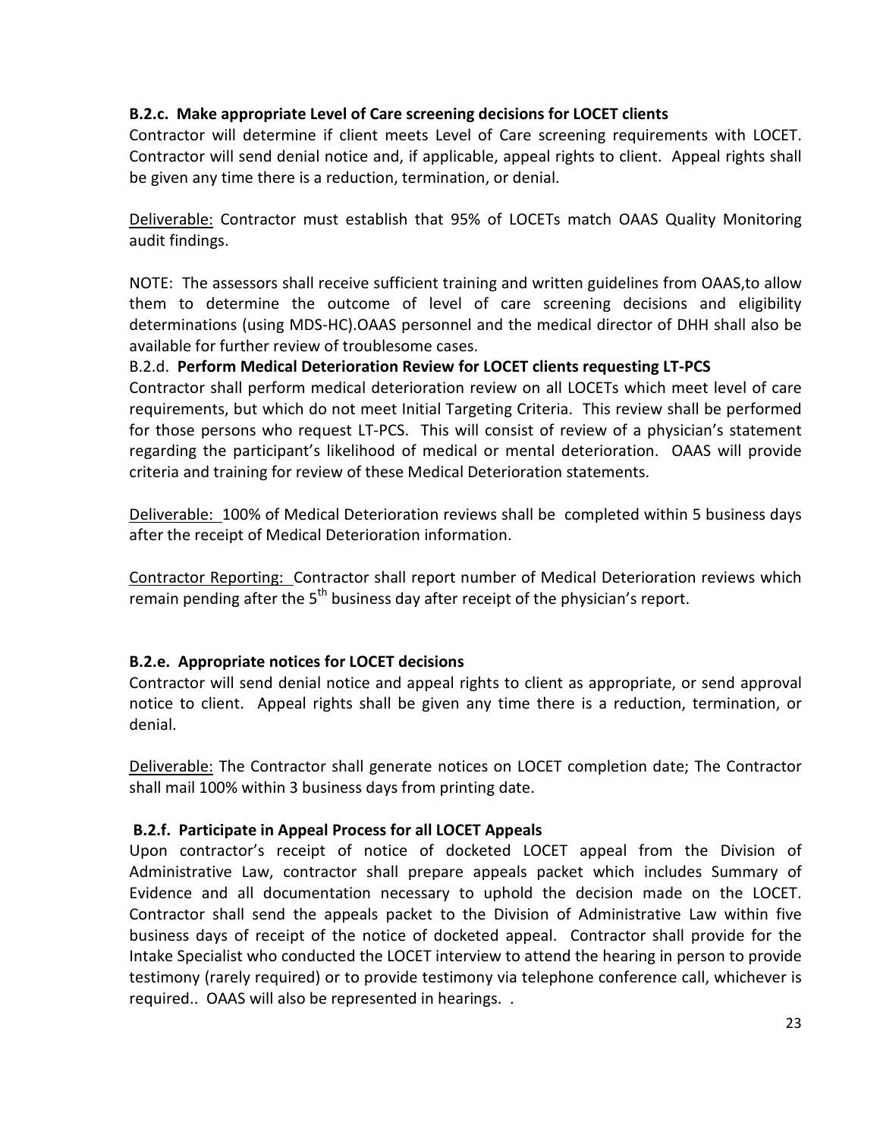## B.2.c. Make appropriate Level of Care screening decisions for LOCET clients

Contractor will determine if client meets Level of Care screening requirements with LOCET. Contractor will send denial notice and, if applicable, appeal rights to client. Appeal rights shall be given any time there is a reduction, termination, or denial.

Deliverable: Contractor must establish that 95% of LOCETs match OAAS Quality Monitoring audit findings.

NOTE: The assessors shall receive sufficient training and written guidelines from OAAS,to allow them to determine the outcome of level of care screening decisions and eligibility determinations (using MDS-HC).OAAS personnel and the medical director of DHH shall also be available for further review of troublesome cases.

### B.2.d. Perform Medical Deterioration Review for LOCET clients requesting LT-PCS

Contractor shall perform medical deterioration review on all LOCETs which meet level of care requirements, but which do not meet Initial Targeting Criteria. This review shall be performed for those persons who request LT-PCS. This will consist of review of a physician's statement regarding the participant's likelihood of medical or mental deterioration. OAAS will provide criteria and training for review of these Medical Deterioration statements.

Deliverable: 100% of Medical Deterioration reviews shall be completed within 5 business days after the receipt of Medical Deterioration information.

Contractor Reporting: Contractor shall report number of Medical Deterioration reviews which remain pending after the  $5<sup>th</sup>$  business day after receipt of the physician's report.

## B.2.e. Appropriate notices for LOCET decisions

Contractor will send denial notice and appeal rights to client as appropriate, or send approval notice to client. Appeal rights shall be given any time there is a reduction, termination, or denial.

Deliverable: The Contractor shall generate notices on LOCET completion date; The Contractor shall mail 100% within 3 business days from printing date.

## B.2.f. Participate in Appeal Process for all LOCET Appeals

Upon contractor's receipt of notice of docketed LOCET appeal from the Division of Administrative Law, contractor shall prepare appeals packet which includes Summary of Evidence and all documentation necessary to uphold the decision made on the LOCET. Contractor shall send the appeals packet to the Division of Administrative Law within five business days of receipt of the notice of docketed appeal. Contractor shall provide for the Intake Specialist who conducted the LOCET interview to attend the hearing in person to provide testimony (rarely required) or to provide testimony via telephone conference call, whichever is required.. OAAS will also be represented in hearings. .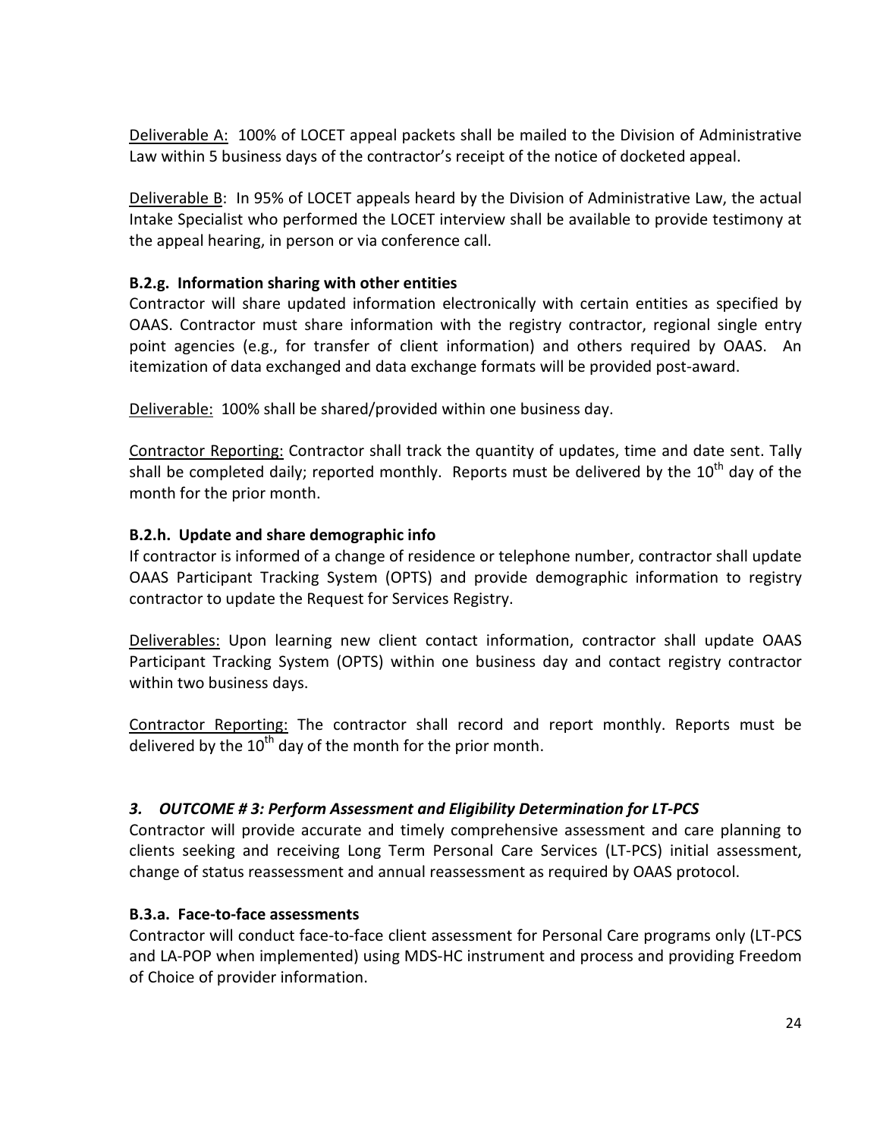Deliverable A: 100% of LOCET appeal packets shall be mailed to the Division of Administrative Law within 5 business days of the contractor's receipt of the notice of docketed appeal.

Deliverable B: In 95% of LOCET appeals heard by the Division of Administrative Law, the actual Intake Specialist who performed the LOCET interview shall be available to provide testimony at the appeal hearing, in person or via conference call.

## B.2.g. Information sharing with other entities

Contractor will share updated information electronically with certain entities as specified by OAAS. Contractor must share information with the registry contractor, regional single entry point agencies (e.g., for transfer of client information) and others required by OAAS. An itemization of data exchanged and data exchange formats will be provided post-award.

Deliverable: 100% shall be shared/provided within one business day.

Contractor Reporting: Contractor shall track the quantity of updates, time and date sent. Tally shall be completed daily; reported monthly. Reports must be delivered by the  $10^{th}$  day of the month for the prior month.

### B.2.h. Update and share demographic info

If contractor is informed of a change of residence or telephone number, contractor shall update OAAS Participant Tracking System (OPTS) and provide demographic information to registry contractor to update the Request for Services Registry.

Deliverables: Upon learning new client contact information, contractor shall update OAAS Participant Tracking System (OPTS) within one business day and contact registry contractor within two business days.

Contractor Reporting: The contractor shall record and report monthly. Reports must be delivered by the  $10<sup>th</sup>$  day of the month for the prior month.

## 3. OUTCOME # 3: Perform Assessment and Eligibility Determination for LT-PCS

Contractor will provide accurate and timely comprehensive assessment and care planning to clients seeking and receiving Long Term Personal Care Services (LT-PCS) initial assessment, change of status reassessment and annual reassessment as required by OAAS protocol.

#### B.3.a. Face-to-face assessments

Contractor will conduct face-to-face client assessment for Personal Care programs only (LT-PCS and LA-POP when implemented) using MDS-HC instrument and process and providing Freedom of Choice of provider information.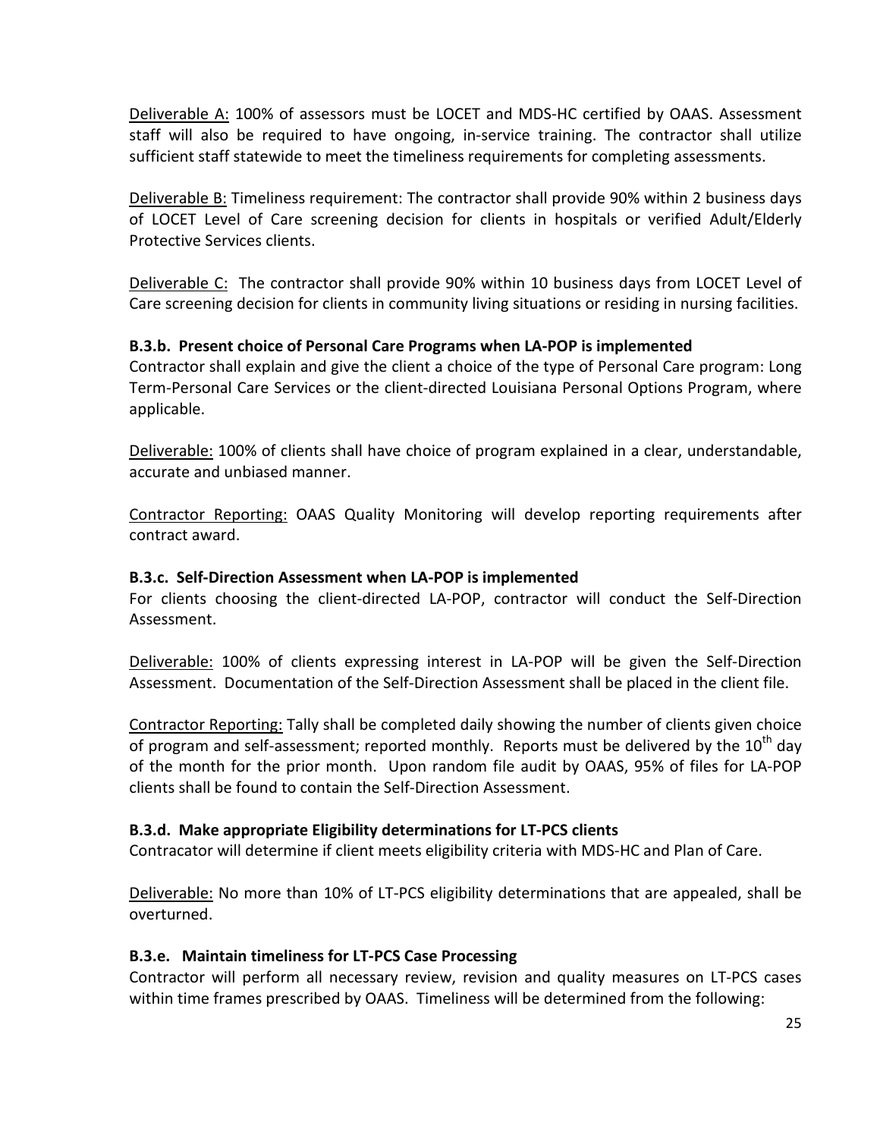Deliverable A: 100% of assessors must be LOCET and MDS-HC certified by OAAS. Assessment staff will also be required to have ongoing, in-service training. The contractor shall utilize sufficient staff statewide to meet the timeliness requirements for completing assessments.

Deliverable B: Timeliness requirement: The contractor shall provide 90% within 2 business days of LOCET Level of Care screening decision for clients in hospitals or verified Adult/Elderly Protective Services clients.

Deliverable C: The contractor shall provide 90% within 10 business days from LOCET Level of Care screening decision for clients in community living situations or residing in nursing facilities.

## B.3.b. Present choice of Personal Care Programs when LA-POP is implemented

Contractor shall explain and give the client a choice of the type of Personal Care program: Long Term-Personal Care Services or the client-directed Louisiana Personal Options Program, where applicable.

Deliverable: 100% of clients shall have choice of program explained in a clear, understandable, accurate and unbiased manner.

Contractor Reporting: OAAS Quality Monitoring will develop reporting requirements after contract award.

#### B.3.c. Self-Direction Assessment when LA-POP is implemented

For clients choosing the client-directed LA-POP, contractor will conduct the Self-Direction Assessment.

Deliverable: 100% of clients expressing interest in LA-POP will be given the Self-Direction Assessment. Documentation of the Self-Direction Assessment shall be placed in the client file.

Contractor Reporting: Tally shall be completed daily showing the number of clients given choice of program and self-assessment; reported monthly. Reports must be delivered by the  $10<sup>th</sup>$  day of the month for the prior month. Upon random file audit by OAAS, 95% of files for LA-POP clients shall be found to contain the Self-Direction Assessment.

#### B.3.d. Make appropriate Eligibility determinations for LT-PCS clients

Contracator will determine if client meets eligibility criteria with MDS-HC and Plan of Care.

Deliverable: No more than 10% of LT-PCS eligibility determinations that are appealed, shall be overturned.

#### B.3.e. Maintain timeliness for LT-PCS Case Processing

Contractor will perform all necessary review, revision and quality measures on LT-PCS cases within time frames prescribed by OAAS. Timeliness will be determined from the following: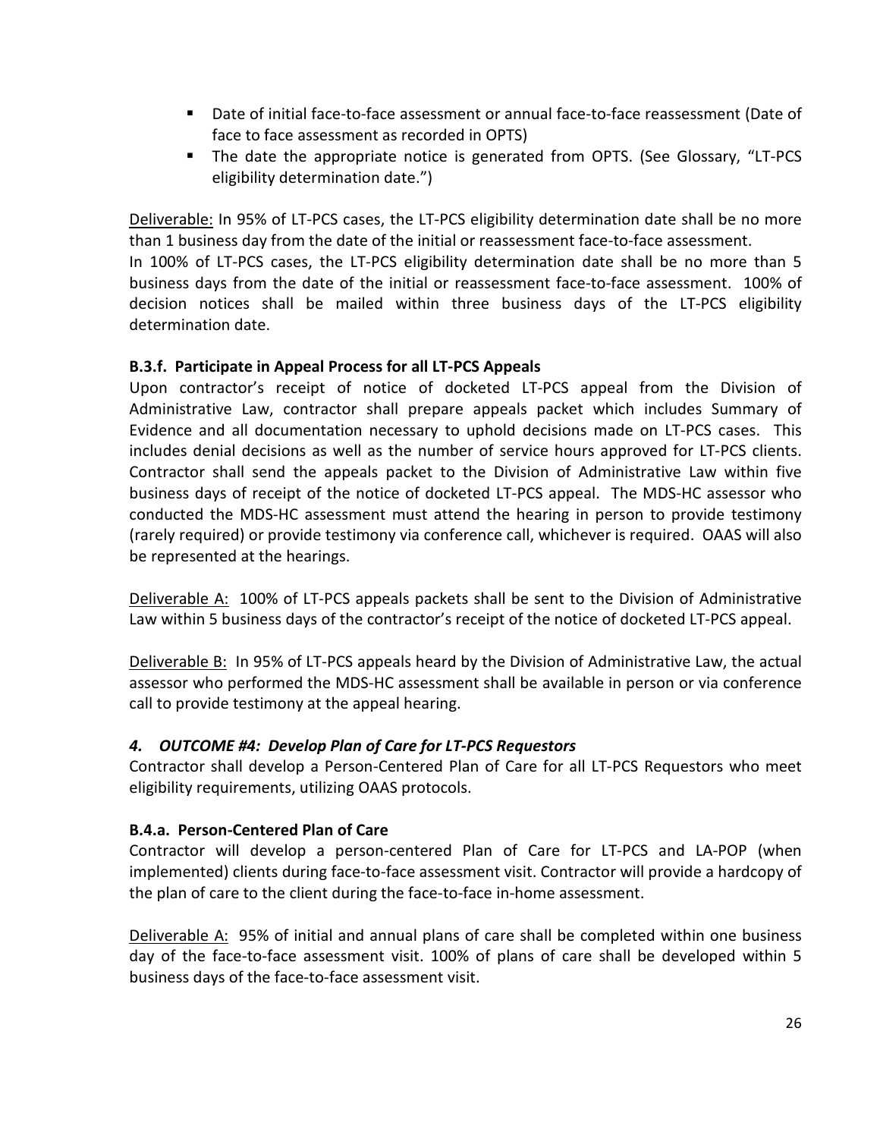- Date of initial face-to-face assessment or annual face-to-face reassessment (Date of face to face assessment as recorded in OPTS)
- The date the appropriate notice is generated from OPTS. (See Glossary, "LT-PCS eligibility determination date.")

Deliverable: In 95% of LT-PCS cases, the LT-PCS eligibility determination date shall be no more than 1 business day from the date of the initial or reassessment face-to-face assessment.

In 100% of LT-PCS cases, the LT-PCS eligibility determination date shall be no more than 5 business days from the date of the initial or reassessment face-to-face assessment. 100% of decision notices shall be mailed within three business days of the LT-PCS eligibility determination date.

# B.3.f. Participate in Appeal Process for all LT-PCS Appeals

Upon contractor's receipt of notice of docketed LT-PCS appeal from the Division of Administrative Law, contractor shall prepare appeals packet which includes Summary of Evidence and all documentation necessary to uphold decisions made on LT-PCS cases. This includes denial decisions as well as the number of service hours approved for LT-PCS clients. Contractor shall send the appeals packet to the Division of Administrative Law within five business days of receipt of the notice of docketed LT-PCS appeal. The MDS-HC assessor who conducted the MDS-HC assessment must attend the hearing in person to provide testimony (rarely required) or provide testimony via conference call, whichever is required. OAAS will also be represented at the hearings.

Deliverable A: 100% of LT-PCS appeals packets shall be sent to the Division of Administrative Law within 5 business days of the contractor's receipt of the notice of docketed LT-PCS appeal.

Deliverable B: In 95% of LT-PCS appeals heard by the Division of Administrative Law, the actual assessor who performed the MDS-HC assessment shall be available in person or via conference call to provide testimony at the appeal hearing.

## 4. OUTCOME #4: Develop Plan of Care for LT-PCS Requestors

Contractor shall develop a Person-Centered Plan of Care for all LT-PCS Requestors who meet eligibility requirements, utilizing OAAS protocols.

## B.4.a. Person-Centered Plan of Care

Contractor will develop a person-centered Plan of Care for LT-PCS and LA-POP (when implemented) clients during face-to-face assessment visit. Contractor will provide a hardcopy of the plan of care to the client during the face-to-face in-home assessment.

Deliverable A: 95% of initial and annual plans of care shall be completed within one business day of the face-to-face assessment visit. 100% of plans of care shall be developed within 5 business days of the face-to-face assessment visit.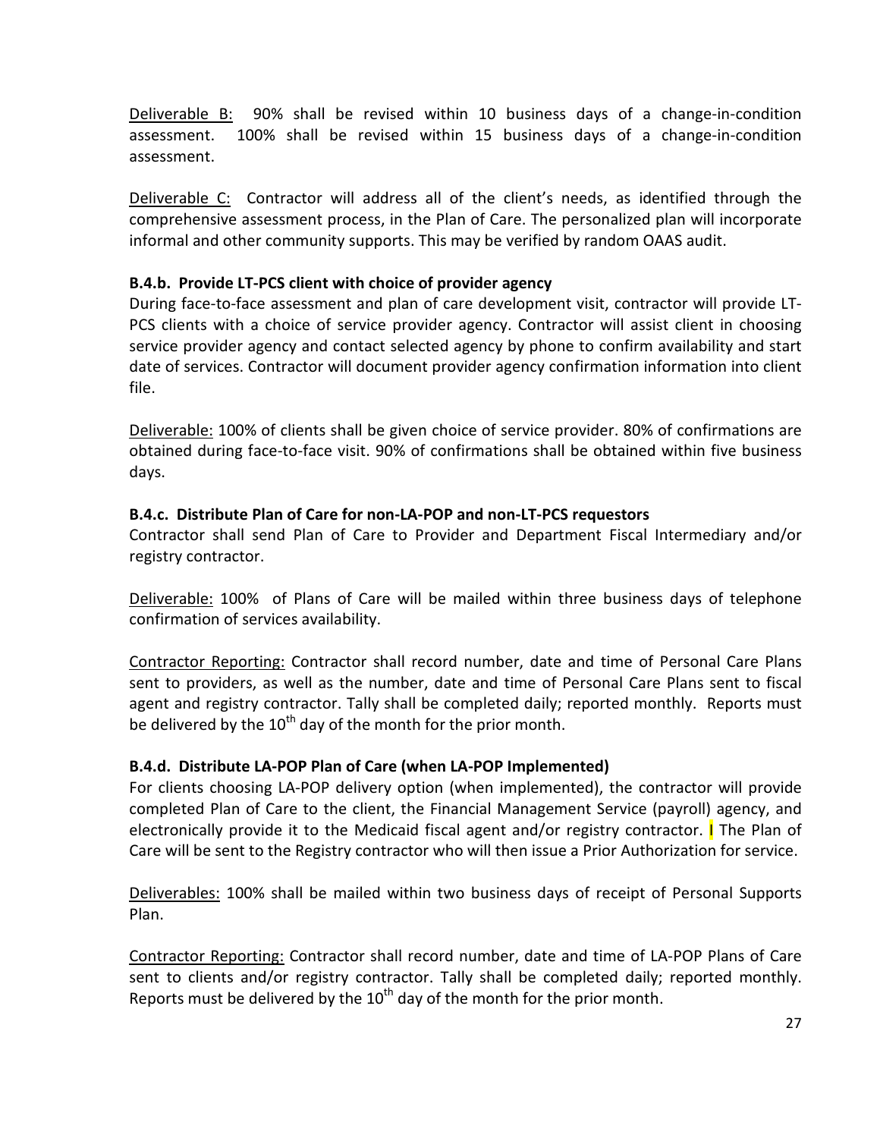Deliverable B: 90% shall be revised within 10 business days of a change-in-condition assessment. 100% shall be revised within 15 business days of a change-in-condition assessment.

Deliverable C: Contractor will address all of the client's needs, as identified through the comprehensive assessment process, in the Plan of Care. The personalized plan will incorporate informal and other community supports. This may be verified by random OAAS audit.

### B.4.b. Provide LT-PCS client with choice of provider agency

During face-to-face assessment and plan of care development visit, contractor will provide LT-PCS clients with a choice of service provider agency. Contractor will assist client in choosing service provider agency and contact selected agency by phone to confirm availability and start date of services. Contractor will document provider agency confirmation information into client file.

Deliverable: 100% of clients shall be given choice of service provider. 80% of confirmations are obtained during face-to-face visit. 90% of confirmations shall be obtained within five business days.

## B.4.c. Distribute Plan of Care for non-LA-POP and non-LT-PCS requestors

Contractor shall send Plan of Care to Provider and Department Fiscal Intermediary and/or registry contractor.

Deliverable: 100% of Plans of Care will be mailed within three business days of telephone confirmation of services availability.

Contractor Reporting: Contractor shall record number, date and time of Personal Care Plans sent to providers, as well as the number, date and time of Personal Care Plans sent to fiscal agent and registry contractor. Tally shall be completed daily; reported monthly. Reports must be delivered by the  $10^{th}$  day of the month for the prior month.

## B.4.d. Distribute LA-POP Plan of Care (when LA-POP Implemented)

For clients choosing LA-POP delivery option (when implemented), the contractor will provide completed Plan of Care to the client, the Financial Management Service (payroll) agency, and electronically provide it to the Medicaid fiscal agent and/or registry contractor. **I** The Plan of Care will be sent to the Registry contractor who will then issue a Prior Authorization for service.

Deliverables: 100% shall be mailed within two business days of receipt of Personal Supports Plan.

Contractor Reporting: Contractor shall record number, date and time of LA-POP Plans of Care sent to clients and/or registry contractor. Tally shall be completed daily; reported monthly. Reports must be delivered by the  $10^{th}$  day of the month for the prior month.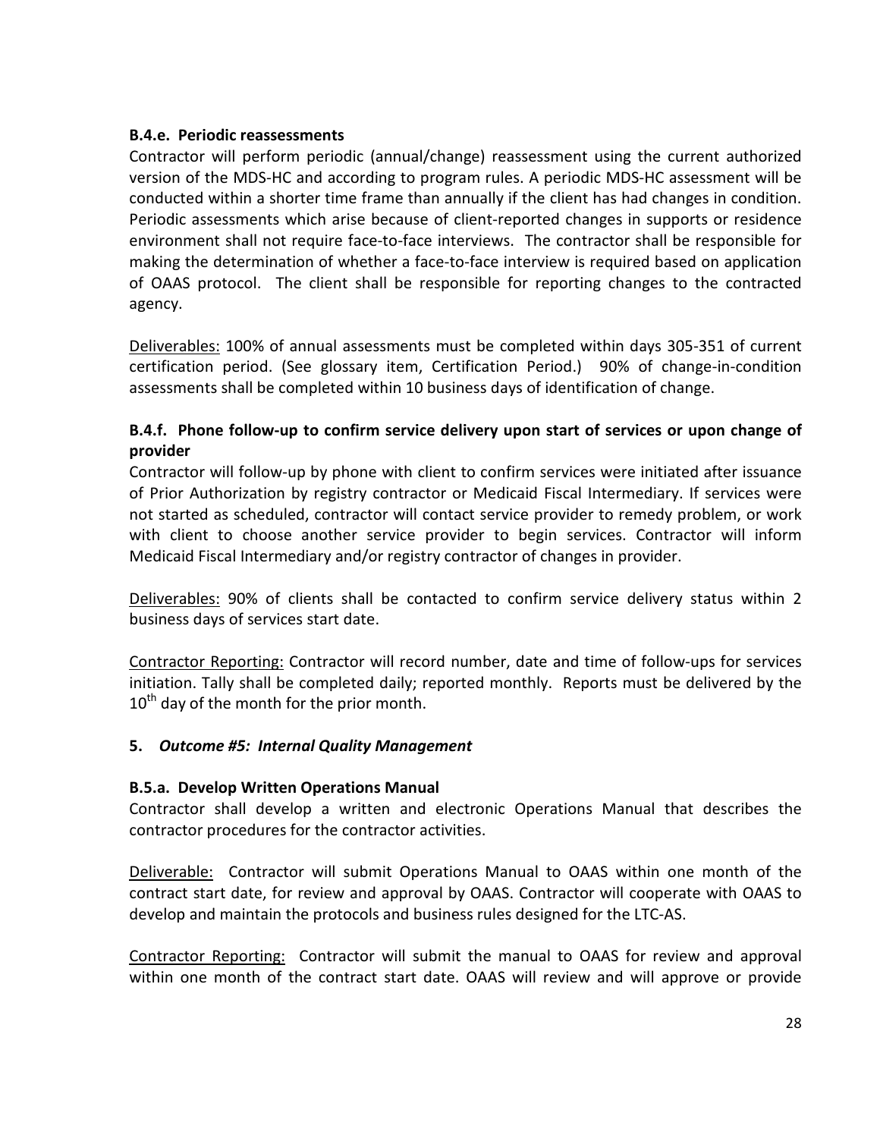### B.4.e. Periodic reassessments

Contractor will perform periodic (annual/change) reassessment using the current authorized version of the MDS-HC and according to program rules. A periodic MDS-HC assessment will be conducted within a shorter time frame than annually if the client has had changes in condition. Periodic assessments which arise because of client-reported changes in supports or residence environment shall not require face-to-face interviews. The contractor shall be responsible for making the determination of whether a face-to-face interview is required based on application of OAAS protocol. The client shall be responsible for reporting changes to the contracted agency.

Deliverables: 100% of annual assessments must be completed within days 305-351 of current certification period. (See glossary item, Certification Period.) 90% of change-in-condition assessments shall be completed within 10 business days of identification of change.

# B.4.f. Phone follow-up to confirm service delivery upon start of services or upon change of provider

Contractor will follow-up by phone with client to confirm services were initiated after issuance of Prior Authorization by registry contractor or Medicaid Fiscal Intermediary. If services were not started as scheduled, contractor will contact service provider to remedy problem, or work with client to choose another service provider to begin services. Contractor will inform Medicaid Fiscal Intermediary and/or registry contractor of changes in provider.

Deliverables: 90% of clients shall be contacted to confirm service delivery status within 2 business days of services start date.

Contractor Reporting: Contractor will record number, date and time of follow-ups for services initiation. Tally shall be completed daily; reported monthly. Reports must be delivered by the  $10^{th}$  day of the month for the prior month.

## 5. Outcome #5: Internal Quality Management

#### B.5.a. Develop Written Operations Manual

Contractor shall develop a written and electronic Operations Manual that describes the contractor procedures for the contractor activities.

Deliverable: Contractor will submit Operations Manual to OAAS within one month of the contract start date, for review and approval by OAAS. Contractor will cooperate with OAAS to develop and maintain the protocols and business rules designed for the LTC-AS.

Contractor Reporting: Contractor will submit the manual to OAAS for review and approval within one month of the contract start date. OAAS will review and will approve or provide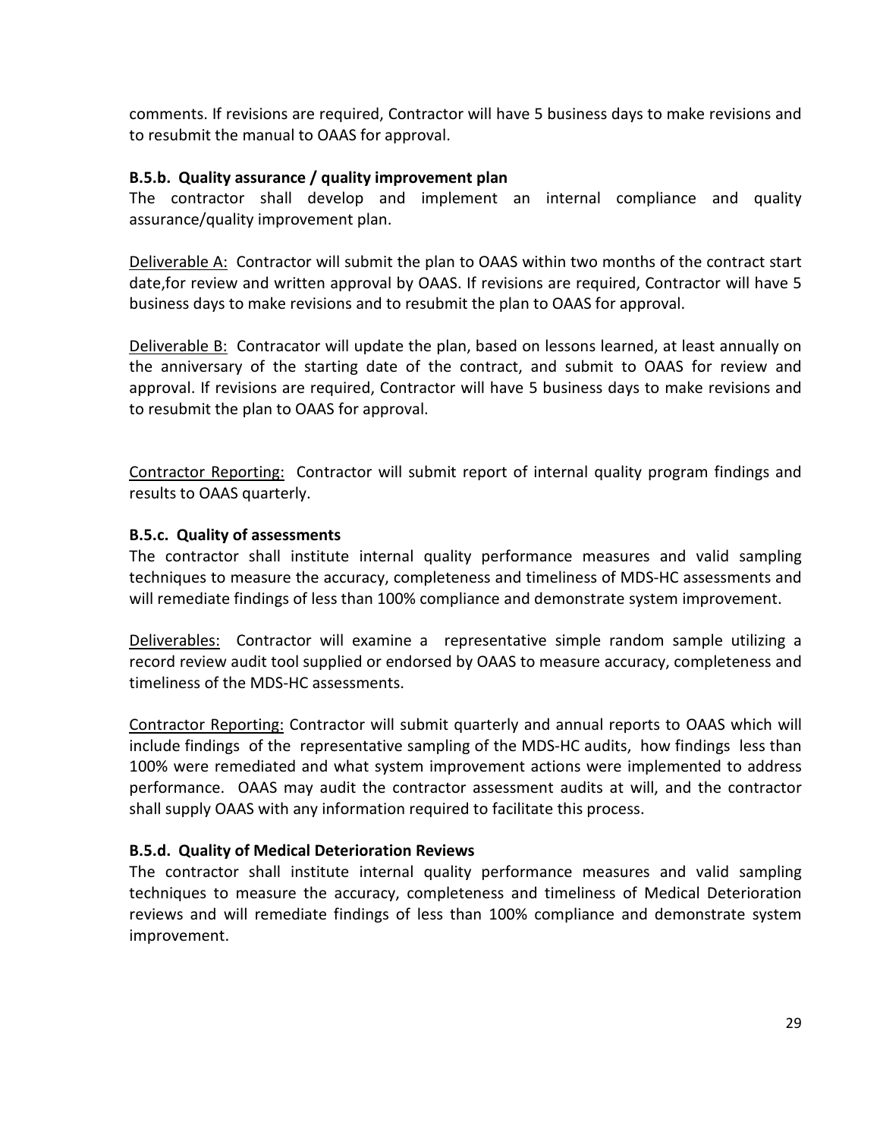comments. If revisions are required, Contractor will have 5 business days to make revisions and to resubmit the manual to OAAS for approval.

### B.5.b. Quality assurance / quality improvement plan

The contractor shall develop and implement an internal compliance and quality assurance/quality improvement plan.

Deliverable A: Contractor will submit the plan to OAAS within two months of the contract start date,for review and written approval by OAAS. If revisions are required, Contractor will have 5 business days to make revisions and to resubmit the plan to OAAS for approval.

Deliverable B: Contracator will update the plan, based on lessons learned, at least annually on the anniversary of the starting date of the contract, and submit to OAAS for review and approval. If revisions are required, Contractor will have 5 business days to make revisions and to resubmit the plan to OAAS for approval.

Contractor Reporting: Contractor will submit report of internal quality program findings and results to OAAS quarterly.

### B.5.c. Quality of assessments

The contractor shall institute internal quality performance measures and valid sampling techniques to measure the accuracy, completeness and timeliness of MDS-HC assessments and will remediate findings of less than 100% compliance and demonstrate system improvement.

Deliverables: Contractor will examine a representative simple random sample utilizing a record review audit tool supplied or endorsed by OAAS to measure accuracy, completeness and timeliness of the MDS-HC assessments.

Contractor Reporting: Contractor will submit quarterly and annual reports to OAAS which will include findings of the representative sampling of the MDS-HC audits, how findings less than 100% were remediated and what system improvement actions were implemented to address performance. OAAS may audit the contractor assessment audits at will, and the contractor shall supply OAAS with any information required to facilitate this process.

## B.5.d. Quality of Medical Deterioration Reviews

The contractor shall institute internal quality performance measures and valid sampling techniques to measure the accuracy, completeness and timeliness of Medical Deterioration reviews and will remediate findings of less than 100% compliance and demonstrate system improvement.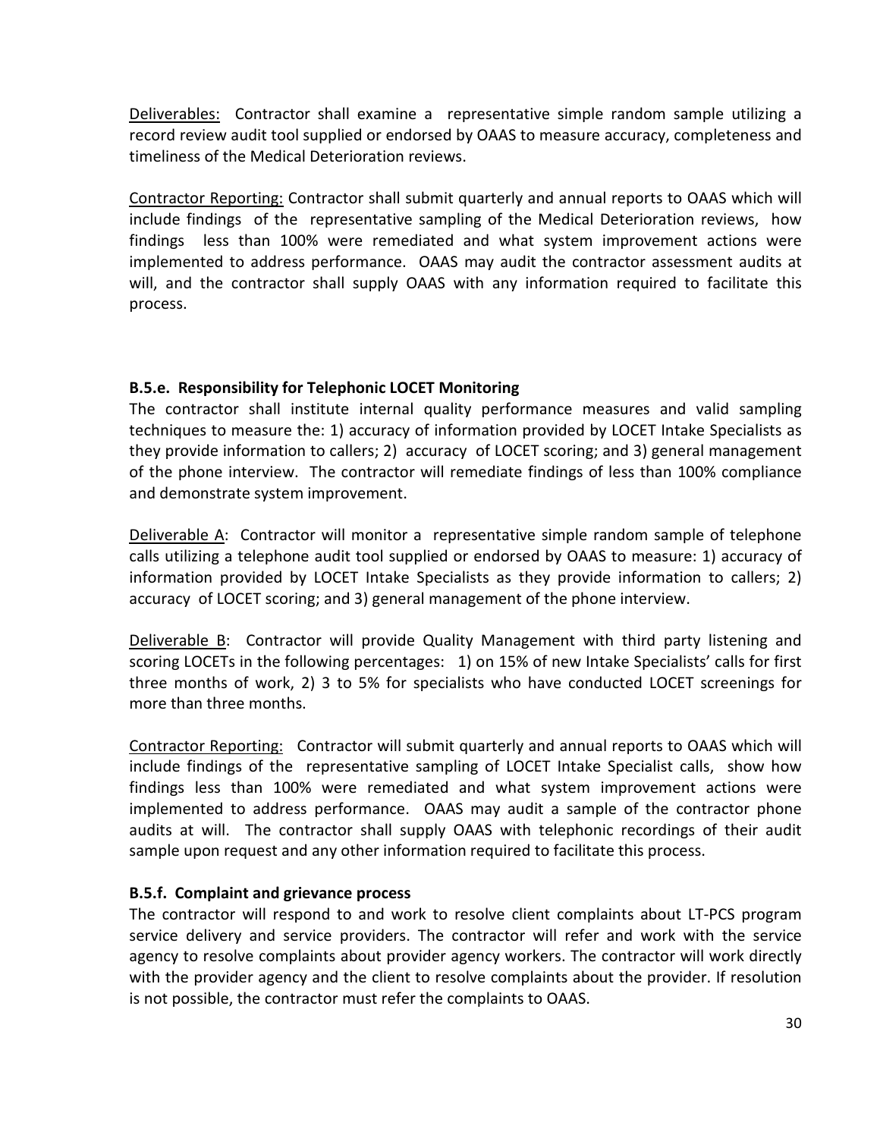Deliverables: Contractor shall examine a representative simple random sample utilizing a record review audit tool supplied or endorsed by OAAS to measure accuracy, completeness and timeliness of the Medical Deterioration reviews.

Contractor Reporting: Contractor shall submit quarterly and annual reports to OAAS which will include findings of the representative sampling of the Medical Deterioration reviews, how findings less than 100% were remediated and what system improvement actions were implemented to address performance. OAAS may audit the contractor assessment audits at will, and the contractor shall supply OAAS with any information required to facilitate this process.

## B.5.e. Responsibility for Telephonic LOCET Monitoring

The contractor shall institute internal quality performance measures and valid sampling techniques to measure the: 1) accuracy of information provided by LOCET Intake Specialists as they provide information to callers; 2) accuracy of LOCET scoring; and 3) general management of the phone interview. The contractor will remediate findings of less than 100% compliance and demonstrate system improvement.

Deliverable A: Contractor will monitor a representative simple random sample of telephone calls utilizing a telephone audit tool supplied or endorsed by OAAS to measure: 1) accuracy of information provided by LOCET Intake Specialists as they provide information to callers; 2) accuracy of LOCET scoring; and 3) general management of the phone interview.

Deliverable B: Contractor will provide Quality Management with third party listening and scoring LOCETs in the following percentages: 1) on 15% of new Intake Specialists' calls for first three months of work, 2) 3 to 5% for specialists who have conducted LOCET screenings for more than three months.

Contractor Reporting: Contractor will submit quarterly and annual reports to OAAS which will include findings of the representative sampling of LOCET Intake Specialist calls, show how findings less than 100% were remediated and what system improvement actions were implemented to address performance. OAAS may audit a sample of the contractor phone audits at will. The contractor shall supply OAAS with telephonic recordings of their audit sample upon request and any other information required to facilitate this process.

## B.5.f. Complaint and grievance process

The contractor will respond to and work to resolve client complaints about LT-PCS program service delivery and service providers. The contractor will refer and work with the service agency to resolve complaints about provider agency workers. The contractor will work directly with the provider agency and the client to resolve complaints about the provider. If resolution is not possible, the contractor must refer the complaints to OAAS.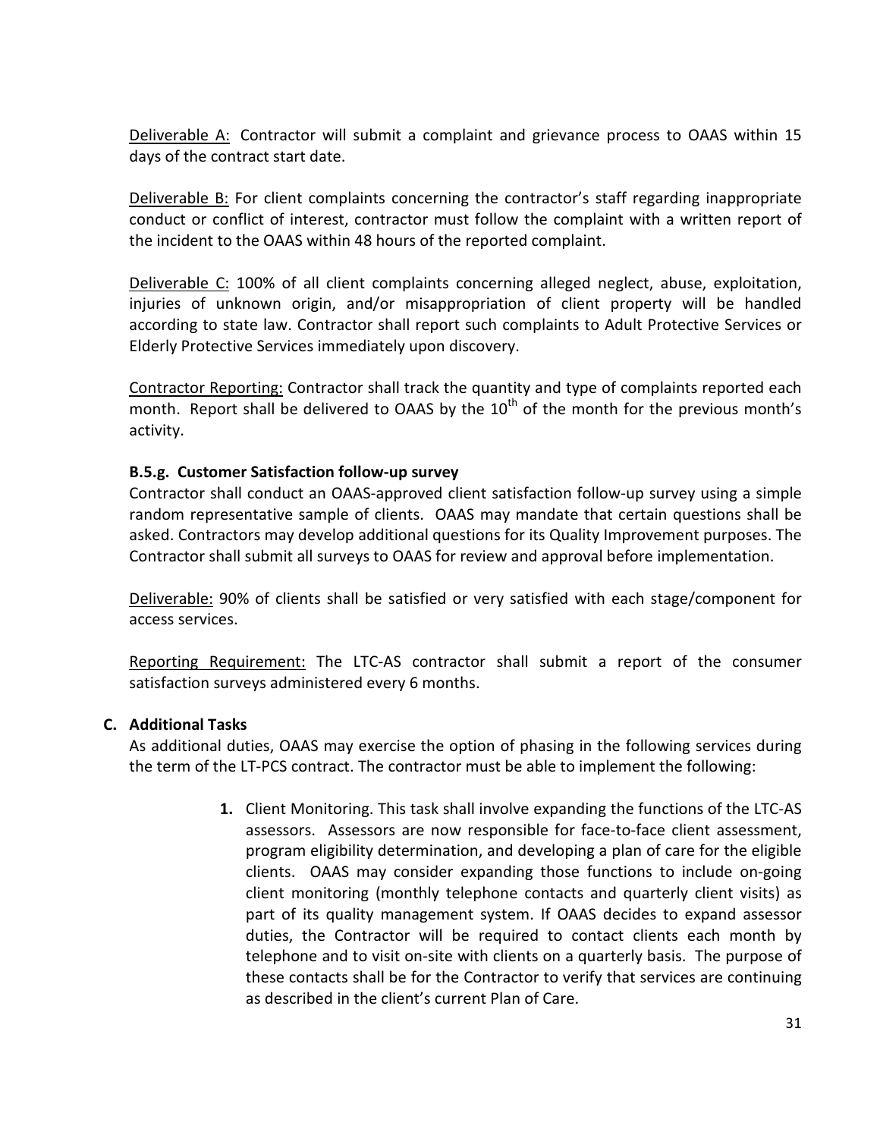Deliverable A: Contractor will submit a complaint and grievance process to OAAS within 15 days of the contract start date.

Deliverable B: For client complaints concerning the contractor's staff regarding inappropriate conduct or conflict of interest, contractor must follow the complaint with a written report of the incident to the OAAS within 48 hours of the reported complaint.

Deliverable C: 100% of all client complaints concerning alleged neglect, abuse, exploitation, injuries of unknown origin, and/or misappropriation of client property will be handled according to state law. Contractor shall report such complaints to Adult Protective Services or Elderly Protective Services immediately upon discovery.

Contractor Reporting: Contractor shall track the quantity and type of complaints reported each month. Report shall be delivered to OAAS by the  $10<sup>th</sup>$  of the month for the previous month's activity.

### B.5.g. Customer Satisfaction follow-up survey

Contractor shall conduct an OAAS-approved client satisfaction follow-up survey using a simple random representative sample of clients. OAAS may mandate that certain questions shall be asked. Contractors may develop additional questions for its Quality Improvement purposes. The Contractor shall submit all surveys to OAAS for review and approval before implementation.

Deliverable: 90% of clients shall be satisfied or very satisfied with each stage/component for access services.

Reporting Requirement: The LTC-AS contractor shall submit a report of the consumer satisfaction surveys administered every 6 months.

#### C. Additional Tasks

As additional duties, OAAS may exercise the option of phasing in the following services during the term of the LT-PCS contract. The contractor must be able to implement the following:

> 1. Client Monitoring. This task shall involve expanding the functions of the LTC-AS assessors. Assessors are now responsible for face-to-face client assessment, program eligibility determination, and developing a plan of care for the eligible clients. OAAS may consider expanding those functions to include on-going client monitoring (monthly telephone contacts and quarterly client visits) as part of its quality management system. If OAAS decides to expand assessor duties, the Contractor will be required to contact clients each month by telephone and to visit on-site with clients on a quarterly basis. The purpose of these contacts shall be for the Contractor to verify that services are continuing as described in the client's current Plan of Care.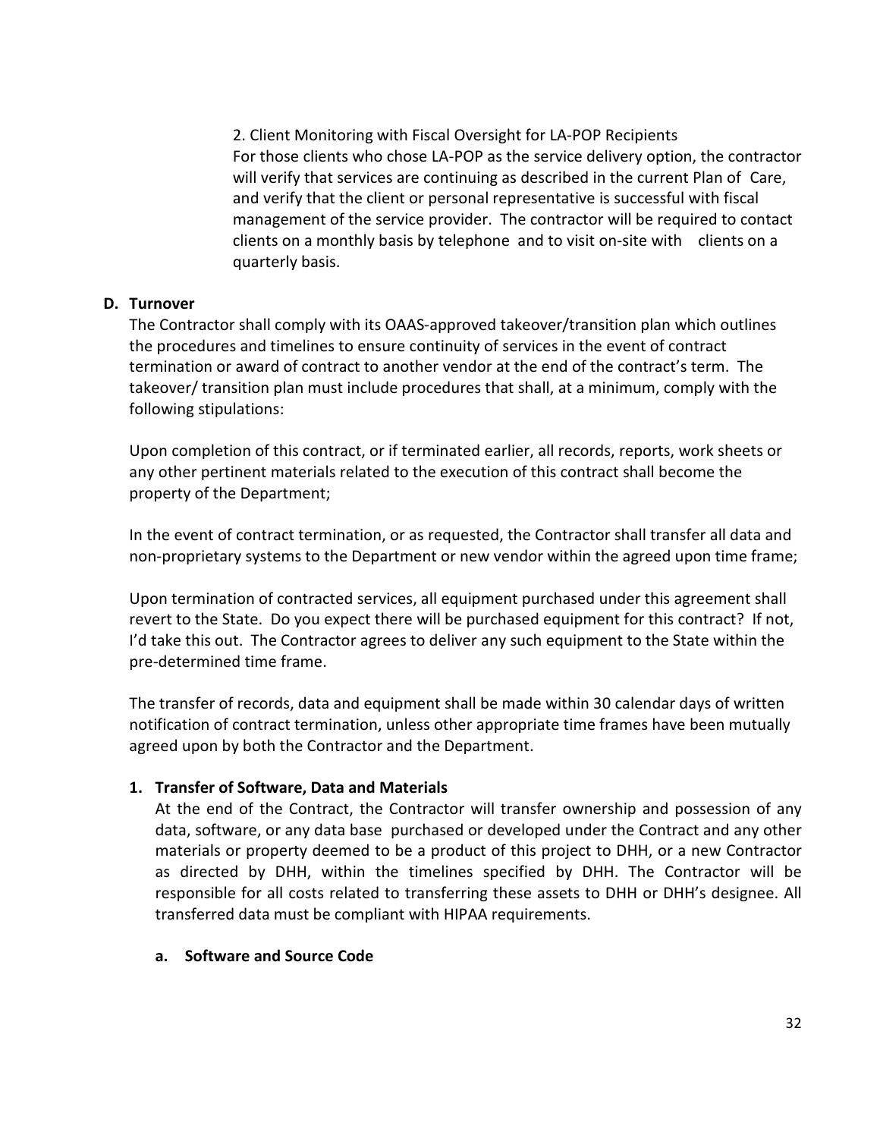2. Client Monitoring with Fiscal Oversight for LA-POP Recipients For those clients who chose LA-POP as the service delivery option, the contractor will verify that services are continuing as described in the current Plan of Care, and verify that the client or personal representative is successful with fiscal management of the service provider. The contractor will be required to contact clients on a monthly basis by telephone and to visit on-site with clients on a quarterly basis.

#### D. Turnover

The Contractor shall comply with its OAAS-approved takeover/transition plan which outlines the procedures and timelines to ensure continuity of services in the event of contract termination or award of contract to another vendor at the end of the contract's term. The takeover/ transition plan must include procedures that shall, at a minimum, comply with the following stipulations:

Upon completion of this contract, or if terminated earlier, all records, reports, work sheets or any other pertinent materials related to the execution of this contract shall become the property of the Department;

In the event of contract termination, or as requested, the Contractor shall transfer all data and non-proprietary systems to the Department or new vendor within the agreed upon time frame;

Upon termination of contracted services, all equipment purchased under this agreement shall revert to the State. Do you expect there will be purchased equipment for this contract? If not, I'd take this out. The Contractor agrees to deliver any such equipment to the State within the pre-determined time frame.

The transfer of records, data and equipment shall be made within 30 calendar days of written notification of contract termination, unless other appropriate time frames have been mutually agreed upon by both the Contractor and the Department.

#### 1. Transfer of Software, Data and Materials

At the end of the Contract, the Contractor will transfer ownership and possession of any data, software, or any data base purchased or developed under the Contract and any other materials or property deemed to be a product of this project to DHH, or a new Contractor as directed by DHH, within the timelines specified by DHH. The Contractor will be responsible for all costs related to transferring these assets to DHH or DHH's designee. All transferred data must be compliant with HIPAA requirements.

#### a. Software and Source Code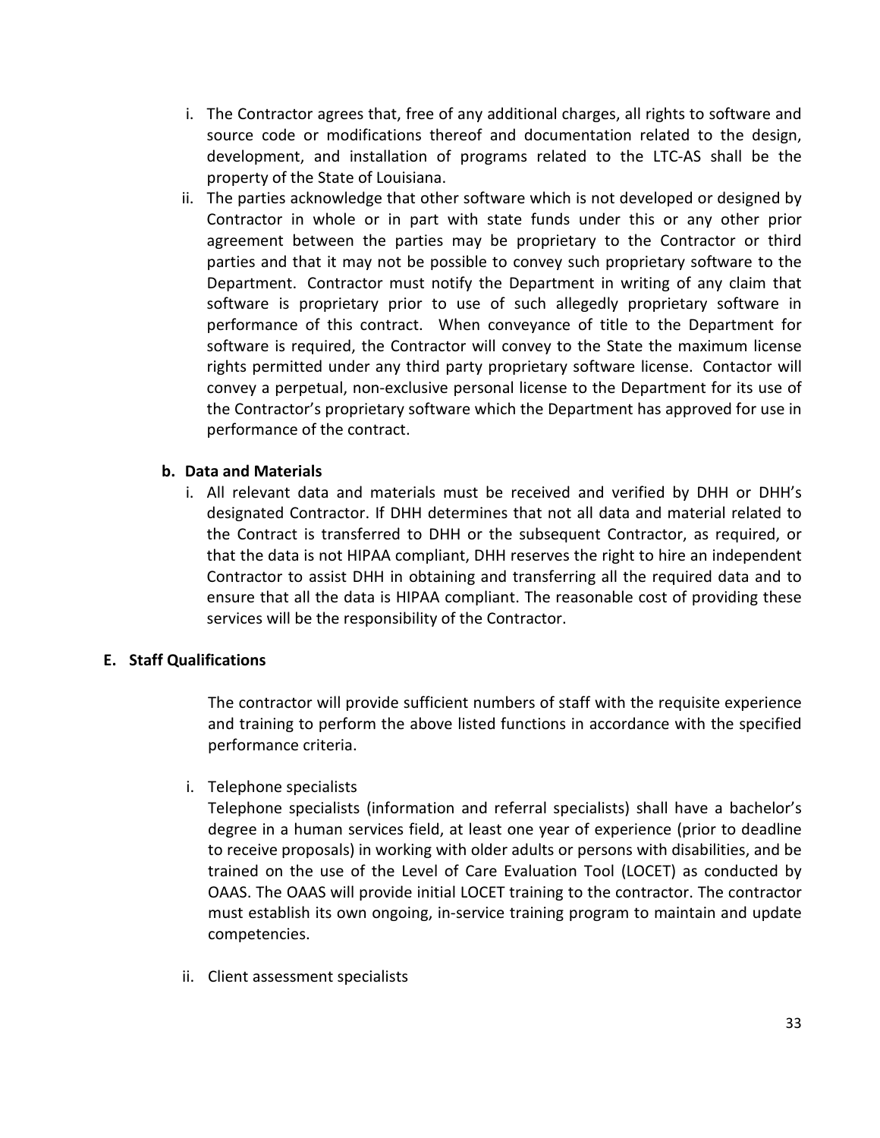- i. The Contractor agrees that, free of any additional charges, all rights to software and source code or modifications thereof and documentation related to the design, development, and installation of programs related to the LTC-AS shall be the property of the State of Louisiana.
- ii. The parties acknowledge that other software which is not developed or designed by Contractor in whole or in part with state funds under this or any other prior agreement between the parties may be proprietary to the Contractor or third parties and that it may not be possible to convey such proprietary software to the Department. Contractor must notify the Department in writing of any claim that software is proprietary prior to use of such allegedly proprietary software in performance of this contract. When conveyance of title to the Department for software is required, the Contractor will convey to the State the maximum license rights permitted under any third party proprietary software license. Contactor will convey a perpetual, non-exclusive personal license to the Department for its use of the Contractor's proprietary software which the Department has approved for use in performance of the contract.

### b. Data and Materials

i. All relevant data and materials must be received and verified by DHH or DHH's designated Contractor. If DHH determines that not all data and material related to the Contract is transferred to DHH or the subsequent Contractor, as required, or that the data is not HIPAA compliant, DHH reserves the right to hire an independent Contractor to assist DHH in obtaining and transferring all the required data and to ensure that all the data is HIPAA compliant. The reasonable cost of providing these services will be the responsibility of the Contractor.

#### E. Staff Qualifications

The contractor will provide sufficient numbers of staff with the requisite experience and training to perform the above listed functions in accordance with the specified performance criteria.

i. Telephone specialists

Telephone specialists (information and referral specialists) shall have a bachelor's degree in a human services field, at least one year of experience (prior to deadline to receive proposals) in working with older adults or persons with disabilities, and be trained on the use of the Level of Care Evaluation Tool (LOCET) as conducted by OAAS. The OAAS will provide initial LOCET training to the contractor. The contractor must establish its own ongoing, in-service training program to maintain and update competencies.

ii. Client assessment specialists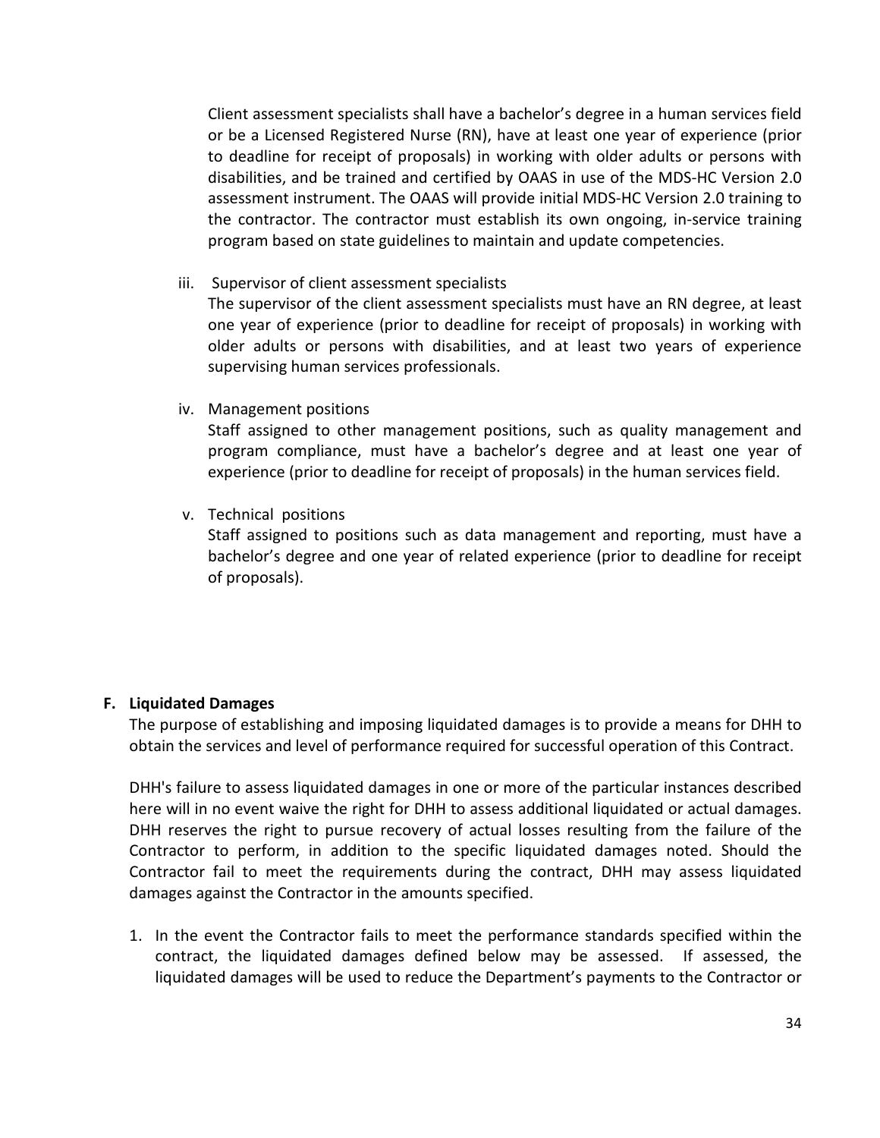Client assessment specialists shall have a bachelor's degree in a human services field or be a Licensed Registered Nurse (RN), have at least one year of experience (prior to deadline for receipt of proposals) in working with older adults or persons with disabilities, and be trained and certified by OAAS in use of the MDS-HC Version 2.0 assessment instrument. The OAAS will provide initial MDS-HC Version 2.0 training to the contractor. The contractor must establish its own ongoing, in-service training program based on state guidelines to maintain and update competencies.

iii. Supervisor of client assessment specialists

The supervisor of the client assessment specialists must have an RN degree, at least one year of experience (prior to deadline for receipt of proposals) in working with older adults or persons with disabilities, and at least two years of experience supervising human services professionals.

iv. Management positions

Staff assigned to other management positions, such as quality management and program compliance, must have a bachelor's degree and at least one year of experience (prior to deadline for receipt of proposals) in the human services field.

v. Technical positions

Staff assigned to positions such as data management and reporting, must have a bachelor's degree and one year of related experience (prior to deadline for receipt of proposals).

#### F. Liquidated Damages

The purpose of establishing and imposing liquidated damages is to provide a means for DHH to obtain the services and level of performance required for successful operation of this Contract.

DHH's failure to assess liquidated damages in one or more of the particular instances described here will in no event waive the right for DHH to assess additional liquidated or actual damages. DHH reserves the right to pursue recovery of actual losses resulting from the failure of the Contractor to perform, in addition to the specific liquidated damages noted. Should the Contractor fail to meet the requirements during the contract, DHH may assess liquidated damages against the Contractor in the amounts specified.

1. In the event the Contractor fails to meet the performance standards specified within the contract, the liquidated damages defined below may be assessed. If assessed, the liquidated damages will be used to reduce the Department's payments to the Contractor or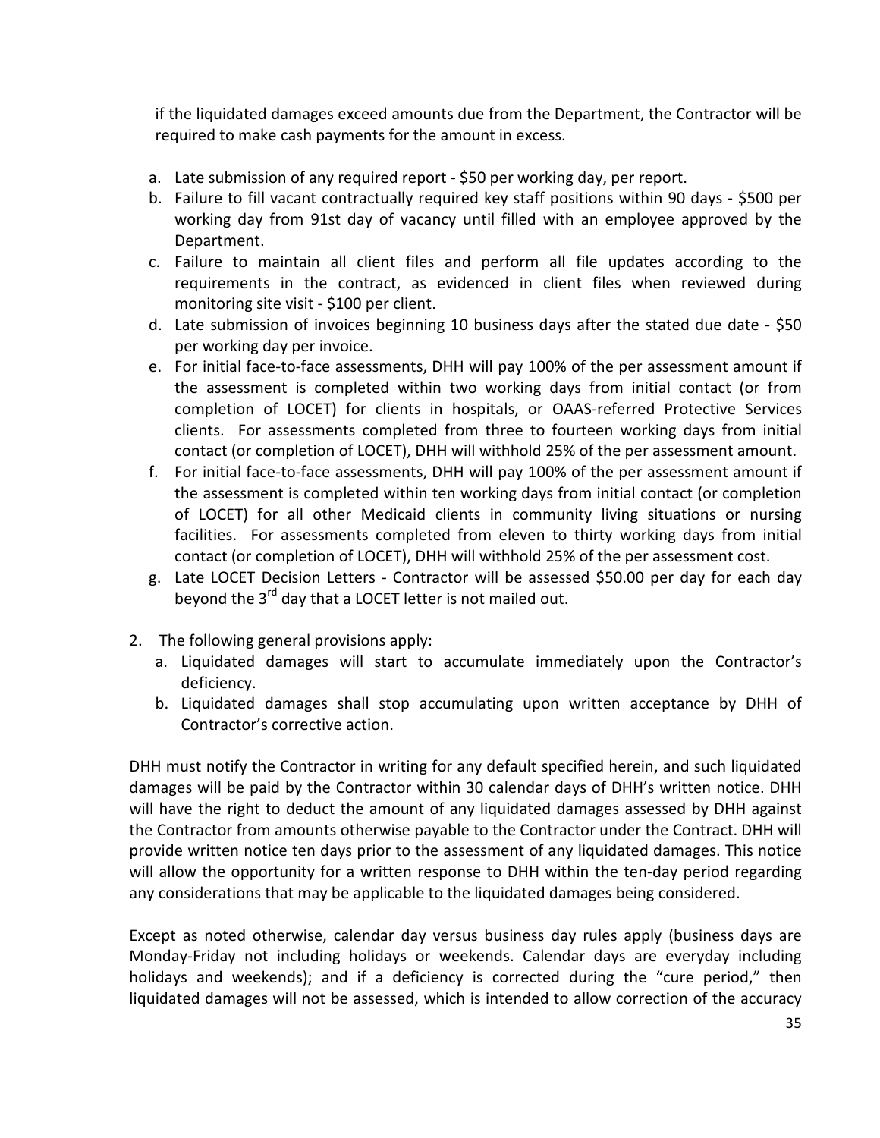if the liquidated damages exceed amounts due from the Department, the Contractor will be required to make cash payments for the amount in excess.

- a. Late submission of any required report \$50 per working day, per report.
- b. Failure to fill vacant contractually required key staff positions within 90 days \$500 per working day from 91st day of vacancy until filled with an employee approved by the Department.
- c. Failure to maintain all client files and perform all file updates according to the requirements in the contract, as evidenced in client files when reviewed during monitoring site visit - \$100 per client.
- d. Late submission of invoices beginning 10 business days after the stated due date \$50 per working day per invoice.
- e. For initial face-to-face assessments, DHH will pay 100% of the per assessment amount if the assessment is completed within two working days from initial contact (or from completion of LOCET) for clients in hospitals, or OAAS-referred Protective Services clients. For assessments completed from three to fourteen working days from initial contact (or completion of LOCET), DHH will withhold 25% of the per assessment amount.
- f. For initial face-to-face assessments, DHH will pay 100% of the per assessment amount if the assessment is completed within ten working days from initial contact (or completion of LOCET) for all other Medicaid clients in community living situations or nursing facilities. For assessments completed from eleven to thirty working days from initial contact (or completion of LOCET), DHH will withhold 25% of the per assessment cost.
- g. Late LOCET Decision Letters Contractor will be assessed \$50.00 per day for each day beyond the 3<sup>rd</sup> day that a LOCET letter is not mailed out.
- 2. The following general provisions apply:
	- a. Liquidated damages will start to accumulate immediately upon the Contractor's deficiency.
	- b. Liquidated damages shall stop accumulating upon written acceptance by DHH of Contractor's corrective action.

DHH must notify the Contractor in writing for any default specified herein, and such liquidated damages will be paid by the Contractor within 30 calendar days of DHH's written notice. DHH will have the right to deduct the amount of any liquidated damages assessed by DHH against the Contractor from amounts otherwise payable to the Contractor under the Contract. DHH will provide written notice ten days prior to the assessment of any liquidated damages. This notice will allow the opportunity for a written response to DHH within the ten-day period regarding any considerations that may be applicable to the liquidated damages being considered.

Except as noted otherwise, calendar day versus business day rules apply (business days are Monday-Friday not including holidays or weekends. Calendar days are everyday including holidays and weekends); and if a deficiency is corrected during the "cure period," then liquidated damages will not be assessed, which is intended to allow correction of the accuracy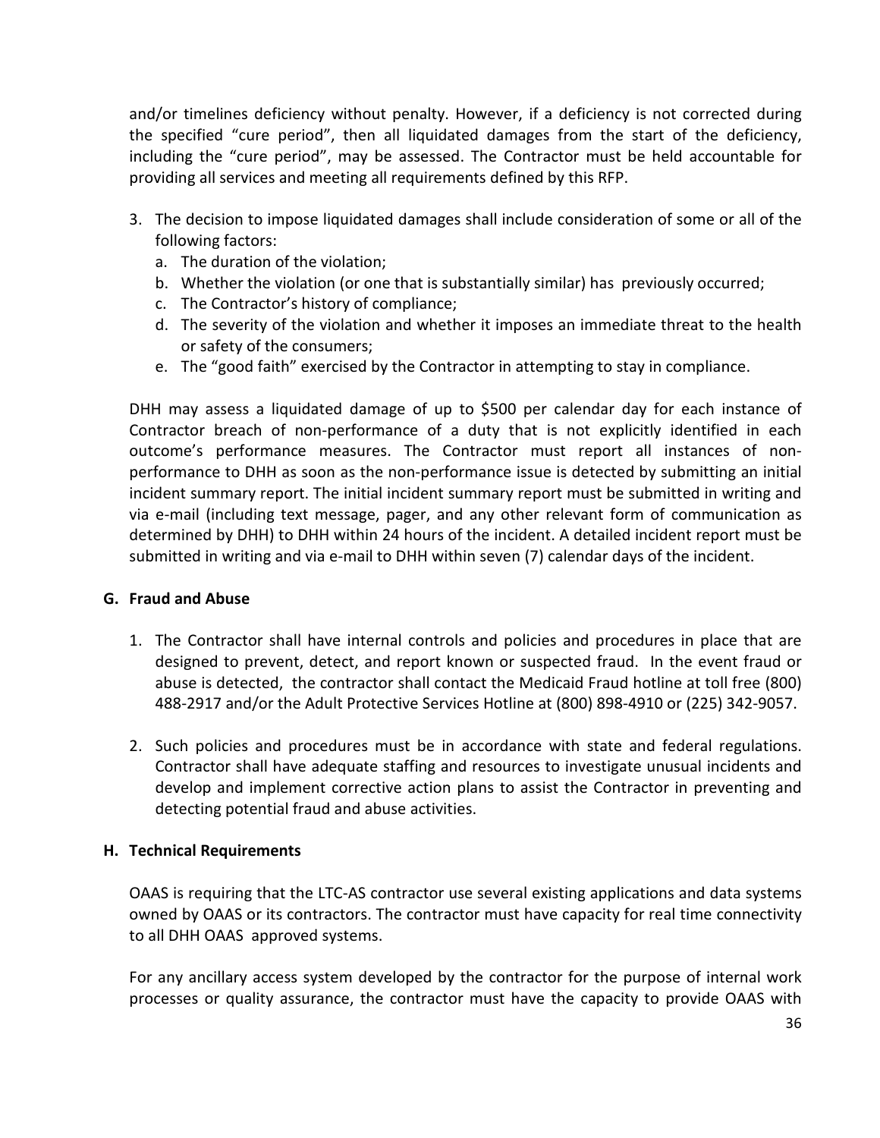and/or timelines deficiency without penalty. However, if a deficiency is not corrected during the specified "cure period", then all liquidated damages from the start of the deficiency, including the "cure period", may be assessed. The Contractor must be held accountable for providing all services and meeting all requirements defined by this RFP.

- 3. The decision to impose liquidated damages shall include consideration of some or all of the following factors:
	- a. The duration of the violation;
	- b. Whether the violation (or one that is substantially similar) has previously occurred;
	- c. The Contractor's history of compliance;
	- d. The severity of the violation and whether it imposes an immediate threat to the health or safety of the consumers;
	- e. The "good faith" exercised by the Contractor in attempting to stay in compliance.

DHH may assess a liquidated damage of up to \$500 per calendar day for each instance of Contractor breach of non-performance of a duty that is not explicitly identified in each outcome's performance measures. The Contractor must report all instances of nonperformance to DHH as soon as the non-performance issue is detected by submitting an initial incident summary report. The initial incident summary report must be submitted in writing and via e-mail (including text message, pager, and any other relevant form of communication as determined by DHH) to DHH within 24 hours of the incident. A detailed incident report must be submitted in writing and via e-mail to DHH within seven (7) calendar days of the incident.

#### G. Fraud and Abuse

- 1. The Contractor shall have internal controls and policies and procedures in place that are designed to prevent, detect, and report known or suspected fraud. In the event fraud or abuse is detected, the contractor shall contact the Medicaid Fraud hotline at toll free (800) 488-2917 and/or the Adult Protective Services Hotline at (800) 898-4910 or (225) 342-9057.
- 2. Such policies and procedures must be in accordance with state and federal regulations. Contractor shall have adequate staffing and resources to investigate unusual incidents and develop and implement corrective action plans to assist the Contractor in preventing and detecting potential fraud and abuse activities.

## H. Technical Requirements

OAAS is requiring that the LTC-AS contractor use several existing applications and data systems owned by OAAS or its contractors. The contractor must have capacity for real time connectivity to all DHH OAAS approved systems.

For any ancillary access system developed by the contractor for the purpose of internal work processes or quality assurance, the contractor must have the capacity to provide OAAS with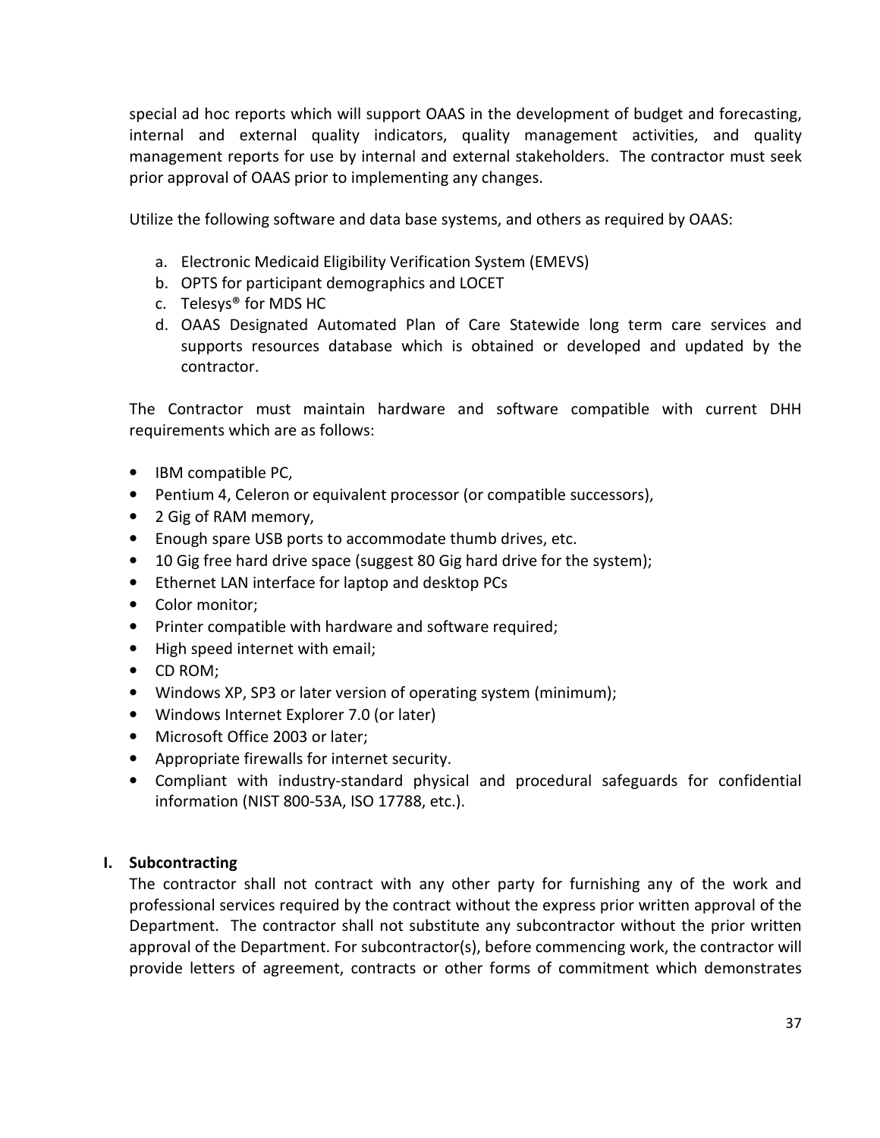special ad hoc reports which will support OAAS in the development of budget and forecasting, internal and external quality indicators, quality management activities, and quality management reports for use by internal and external stakeholders. The contractor must seek prior approval of OAAS prior to implementing any changes.

Utilize the following software and data base systems, and others as required by OAAS:

- a. Electronic Medicaid Eligibility Verification System (EMEVS)
- b. OPTS for participant demographics and LOCET
- c. Telesys® for MDS HC
- d. OAAS Designated Automated Plan of Care Statewide long term care services and supports resources database which is obtained or developed and updated by the contractor.

The Contractor must maintain hardware and software compatible with current DHH requirements which are as follows:

- IBM compatible PC,
- Pentium 4, Celeron or equivalent processor (or compatible successors),
- 2 Gig of RAM memory,
- Enough spare USB ports to accommodate thumb drives, etc.
- 10 Gig free hard drive space (suggest 80 Gig hard drive for the system);
- Ethernet LAN interface for laptop and desktop PCs
- Color monitor;
- Printer compatible with hardware and software required;
- High speed internet with email;
- CD ROM;
- Windows XP, SP3 or later version of operating system (minimum);
- Windows Internet Explorer 7.0 (or later)
- Microsoft Office 2003 or later;
- Appropriate firewalls for internet security.
- Compliant with industry-standard physical and procedural safeguards for confidential information (NIST 800-53A, ISO 17788, etc.).

#### I. Subcontracting

The contractor shall not contract with any other party for furnishing any of the work and professional services required by the contract without the express prior written approval of the Department. The contractor shall not substitute any subcontractor without the prior written approval of the Department. For subcontractor(s), before commencing work, the contractor will provide letters of agreement, contracts or other forms of commitment which demonstrates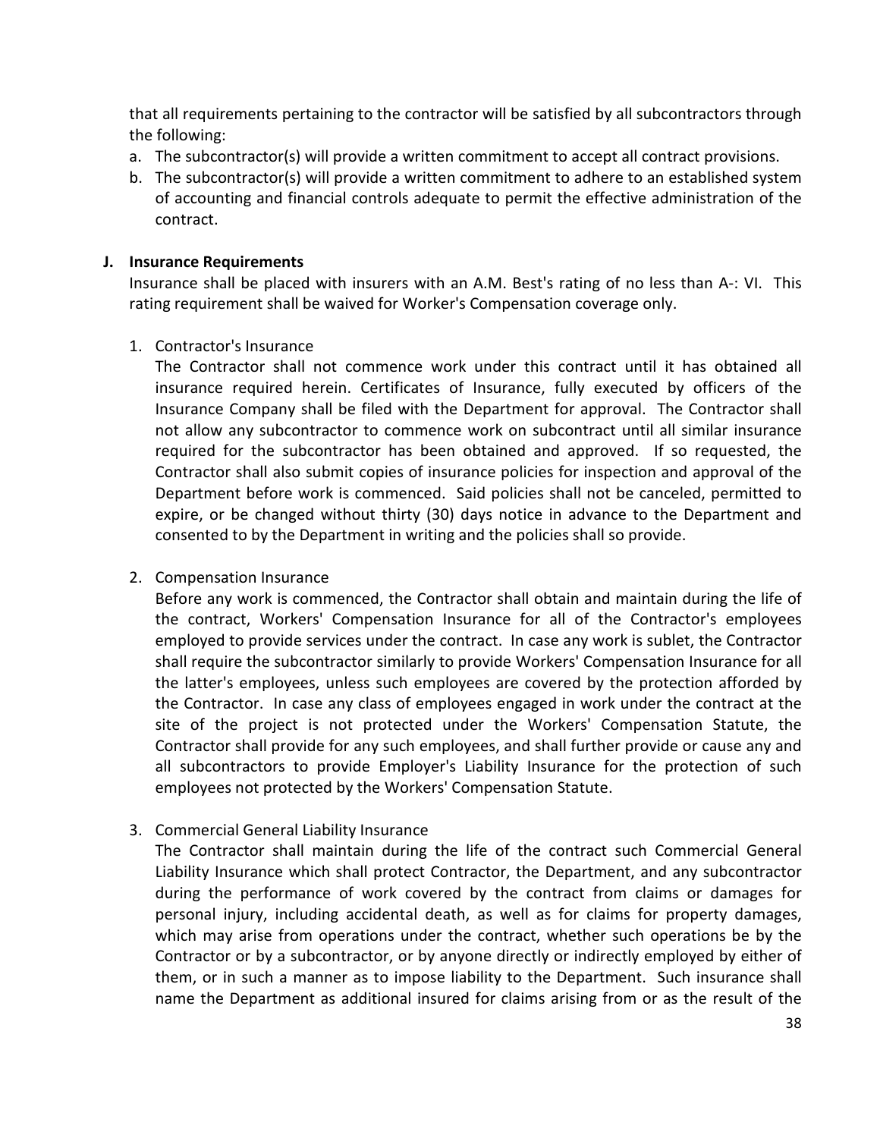that all requirements pertaining to the contractor will be satisfied by all subcontractors through the following:

- a. The subcontractor(s) will provide a written commitment to accept all contract provisions.
- b. The subcontractor(s) will provide a written commitment to adhere to an established system of accounting and financial controls adequate to permit the effective administration of the contract.

#### J. Insurance Requirements

Insurance shall be placed with insurers with an A.M. Best's rating of no less than A-: VI. This rating requirement shall be waived for Worker's Compensation coverage only.

1. Contractor's Insurance

The Contractor shall not commence work under this contract until it has obtained all insurance required herein. Certificates of Insurance, fully executed by officers of the Insurance Company shall be filed with the Department for approval. The Contractor shall not allow any subcontractor to commence work on subcontract until all similar insurance required for the subcontractor has been obtained and approved. If so requested, the Contractor shall also submit copies of insurance policies for inspection and approval of the Department before work is commenced. Said policies shall not be canceled, permitted to expire, or be changed without thirty (30) days notice in advance to the Department and consented to by the Department in writing and the policies shall so provide.

#### 2. Compensation Insurance

Before any work is commenced, the Contractor shall obtain and maintain during the life of the contract, Workers' Compensation Insurance for all of the Contractor's employees employed to provide services under the contract. In case any work is sublet, the Contractor shall require the subcontractor similarly to provide Workers' Compensation Insurance for all the latter's employees, unless such employees are covered by the protection afforded by the Contractor. In case any class of employees engaged in work under the contract at the site of the project is not protected under the Workers' Compensation Statute, the Contractor shall provide for any such employees, and shall further provide or cause any and all subcontractors to provide Employer's Liability Insurance for the protection of such employees not protected by the Workers' Compensation Statute.

#### 3. Commercial General Liability Insurance

The Contractor shall maintain during the life of the contract such Commercial General Liability Insurance which shall protect Contractor, the Department, and any subcontractor during the performance of work covered by the contract from claims or damages for personal injury, including accidental death, as well as for claims for property damages, which may arise from operations under the contract, whether such operations be by the Contractor or by a subcontractor, or by anyone directly or indirectly employed by either of them, or in such a manner as to impose liability to the Department. Such insurance shall name the Department as additional insured for claims arising from or as the result of the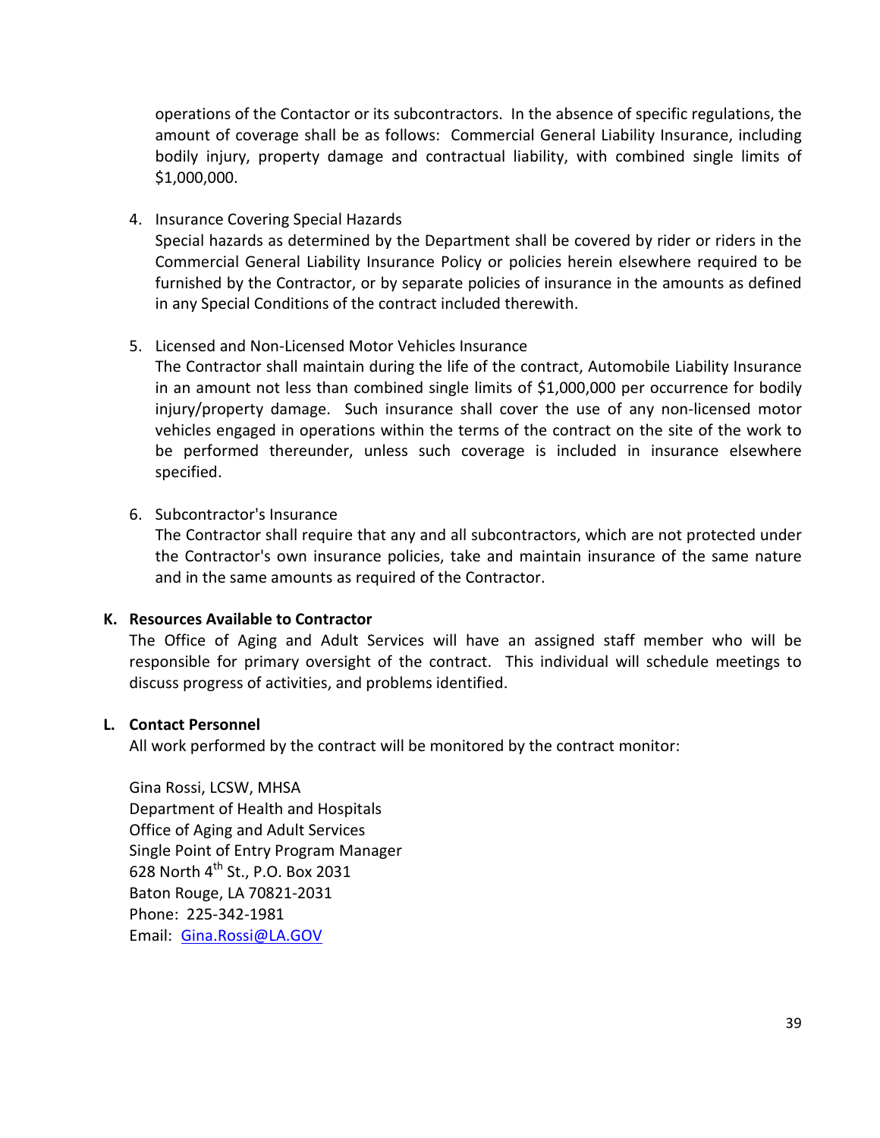operations of the Contactor or its subcontractors. In the absence of specific regulations, the amount of coverage shall be as follows: Commercial General Liability Insurance, including bodily injury, property damage and contractual liability, with combined single limits of \$1,000,000.

4. Insurance Covering Special Hazards

Special hazards as determined by the Department shall be covered by rider or riders in the Commercial General Liability Insurance Policy or policies herein elsewhere required to be furnished by the Contractor, or by separate policies of insurance in the amounts as defined in any Special Conditions of the contract included therewith.

5. Licensed and Non-Licensed Motor Vehicles Insurance

The Contractor shall maintain during the life of the contract, Automobile Liability Insurance in an amount not less than combined single limits of \$1,000,000 per occurrence for bodily injury/property damage. Such insurance shall cover the use of any non-licensed motor vehicles engaged in operations within the terms of the contract on the site of the work to be performed thereunder, unless such coverage is included in insurance elsewhere specified.

6. Subcontractor's Insurance

The Contractor shall require that any and all subcontractors, which are not protected under the Contractor's own insurance policies, take and maintain insurance of the same nature and in the same amounts as required of the Contractor.

#### K. Resources Available to Contractor

The Office of Aging and Adult Services will have an assigned staff member who will be responsible for primary oversight of the contract. This individual will schedule meetings to discuss progress of activities, and problems identified.

#### L. Contact Personnel

All work performed by the contract will be monitored by the contract monitor:

Gina Rossi, LCSW, MHSA Department of Health and Hospitals Office of Aging and Adult Services Single Point of Entry Program Manager 628 North  $4^{th}$  St., P.O. Box 2031 Baton Rouge, LA 70821-2031 Phone: 225-342-1981 Email: Gina.Rossi@LA.GOV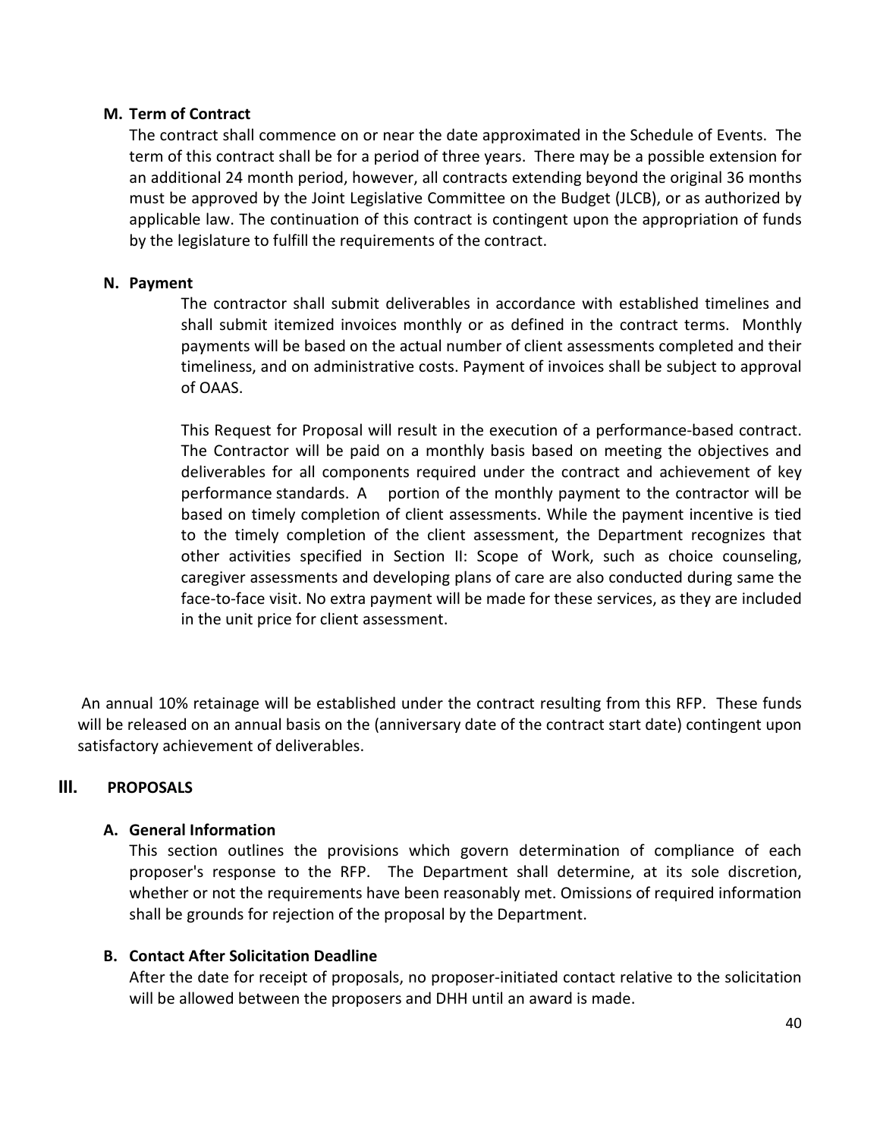#### M. Term of Contract

The contract shall commence on or near the date approximated in the Schedule of Events. The term of this contract shall be for a period of three years. There may be a possible extension for an additional 24 month period, however, all contracts extending beyond the original 36 months must be approved by the Joint Legislative Committee on the Budget (JLCB), or as authorized by applicable law. The continuation of this contract is contingent upon the appropriation of funds by the legislature to fulfill the requirements of the contract.

#### N. Payment

The contractor shall submit deliverables in accordance with established timelines and shall submit itemized invoices monthly or as defined in the contract terms. Monthly payments will be based on the actual number of client assessments completed and their timeliness, and on administrative costs. Payment of invoices shall be subject to approval of OAAS.

This Request for Proposal will result in the execution of a performance-based contract. The Contractor will be paid on a monthly basis based on meeting the objectives and deliverables for all components required under the contract and achievement of key performance standards. A portion of the monthly payment to the contractor will be based on timely completion of client assessments. While the payment incentive is tied to the timely completion of the client assessment, the Department recognizes that other activities specified in Section II: Scope of Work, such as choice counseling, caregiver assessments and developing plans of care are also conducted during same the face-to-face visit. No extra payment will be made for these services, as they are included in the unit price for client assessment.

 An annual 10% retainage will be established under the contract resulting from this RFP. These funds will be released on an annual basis on the (anniversary date of the contract start date) contingent upon satisfactory achievement of deliverables.

### **III.** PROPOSALS

#### A. General Information

This section outlines the provisions which govern determination of compliance of each proposer's response to the RFP. The Department shall determine, at its sole discretion, whether or not the requirements have been reasonably met. Omissions of required information shall be grounds for rejection of the proposal by the Department.

### B. Contact After Solicitation Deadline

After the date for receipt of proposals, no proposer-initiated contact relative to the solicitation will be allowed between the proposers and DHH until an award is made.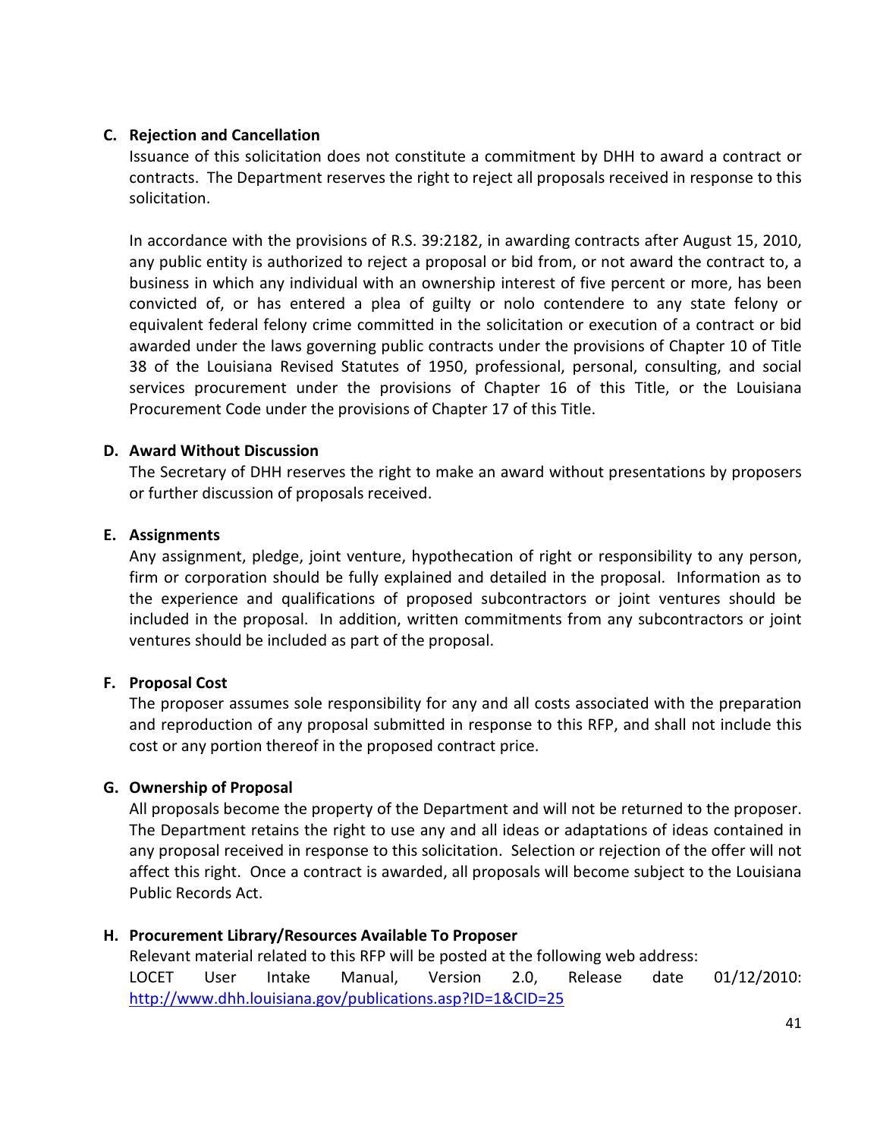#### C. Rejection and Cancellation

Issuance of this solicitation does not constitute a commitment by DHH to award a contract or contracts. The Department reserves the right to reject all proposals received in response to this solicitation.

In accordance with the provisions of R.S. 39:2182, in awarding contracts after August 15, 2010, any public entity is authorized to reject a proposal or bid from, or not award the contract to, a business in which any individual with an ownership interest of five percent or more, has been convicted of, or has entered a plea of guilty or nolo contendere to any state felony or equivalent federal felony crime committed in the solicitation or execution of a contract or bid awarded under the laws governing public contracts under the provisions of Chapter 10 of Title 38 of the Louisiana Revised Statutes of 1950, professional, personal, consulting, and social services procurement under the provisions of Chapter 16 of this Title, or the Louisiana Procurement Code under the provisions of Chapter 17 of this Title.

#### D. Award Without Discussion

The Secretary of DHH reserves the right to make an award without presentations by proposers or further discussion of proposals received.

#### E. Assignments

Any assignment, pledge, joint venture, hypothecation of right or responsibility to any person, firm or corporation should be fully explained and detailed in the proposal. Information as to the experience and qualifications of proposed subcontractors or joint ventures should be included in the proposal. In addition, written commitments from any subcontractors or joint ventures should be included as part of the proposal.

### F. Proposal Cost

The proposer assumes sole responsibility for any and all costs associated with the preparation and reproduction of any proposal submitted in response to this RFP, and shall not include this cost or any portion thereof in the proposed contract price.

#### G. Ownership of Proposal

All proposals become the property of the Department and will not be returned to the proposer. The Department retains the right to use any and all ideas or adaptations of ideas contained in any proposal received in response to this solicitation. Selection or rejection of the offer will not affect this right. Once a contract is awarded, all proposals will become subject to the Louisiana Public Records Act.

### H. Procurement Library/Resources Available To Proposer

Relevant material related to this RFP will be posted at the following web address: LOCET User Intake Manual, Version 2.0, Release date 01/12/2010: http://www.dhh.louisiana.gov/publications.asp?ID=1&CID=25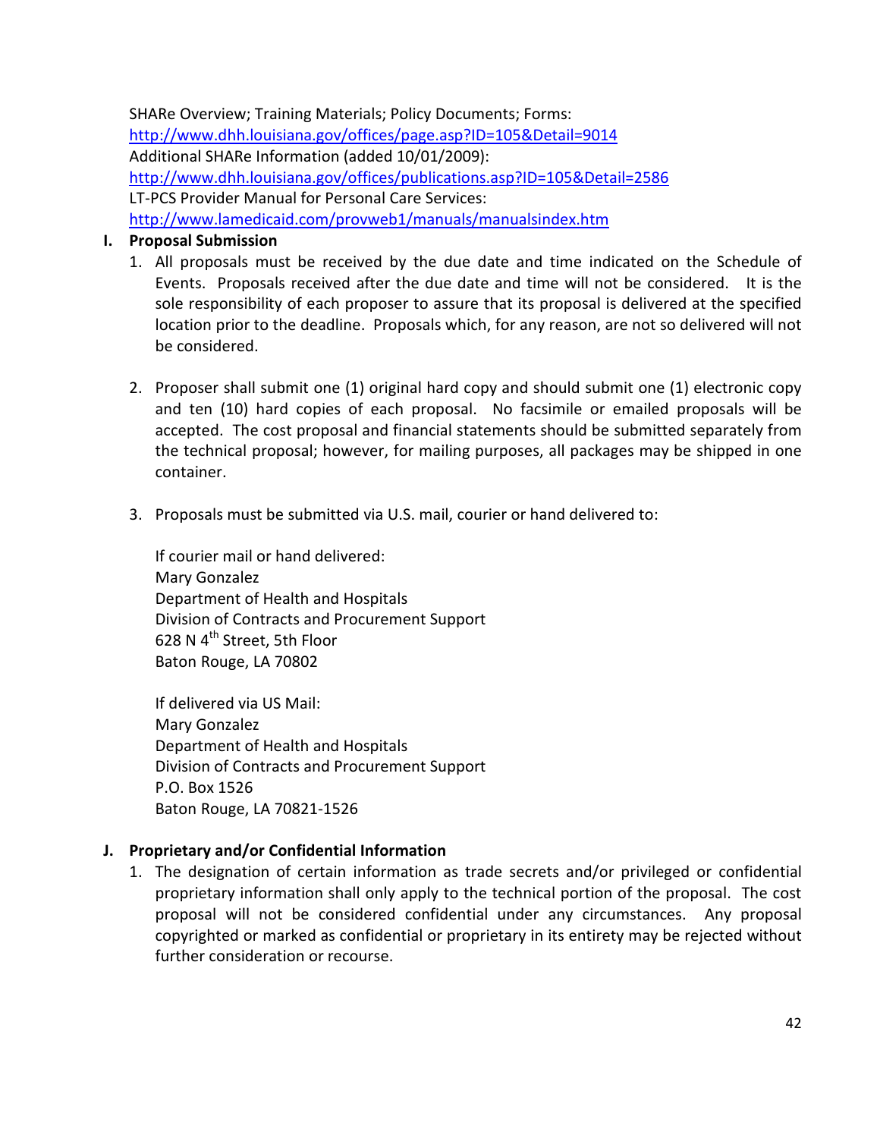SHARe Overview; Training Materials; Policy Documents; Forms: http://www.dhh.louisiana.gov/offices/page.asp?ID=105&Detail=9014 Additional SHARe Information (added 10/01/2009): http://www.dhh.louisiana.gov/offices/publications.asp?ID=105&Detail=2586 LT-PCS Provider Manual for Personal Care Services: http://www.lamedicaid.com/provweb1/manuals/manualsindex.htm

#### I. Proposal Submission

- 1. All proposals must be received by the due date and time indicated on the Schedule of Events. Proposals received after the due date and time will not be considered. It is the sole responsibility of each proposer to assure that its proposal is delivered at the specified location prior to the deadline. Proposals which, for any reason, are not so delivered will not be considered.
- 2. Proposer shall submit one (1) original hard copy and should submit one (1) electronic copy and ten (10) hard copies of each proposal. No facsimile or emailed proposals will be accepted. The cost proposal and financial statements should be submitted separately from the technical proposal; however, for mailing purposes, all packages may be shipped in one container.
- 3. Proposals must be submitted via U.S. mail, courier or hand delivered to:

If courier mail or hand delivered: Mary Gonzalez Department of Health and Hospitals Division of Contracts and Procurement Support 628 N  $4^{th}$  Street, 5th Floor Baton Rouge, LA 70802

If delivered via US Mail: Mary Gonzalez Department of Health and Hospitals Division of Contracts and Procurement Support P.O. Box 1526 Baton Rouge, LA 70821-1526

### J. Proprietary and/or Confidential Information

1. The designation of certain information as trade secrets and/or privileged or confidential proprietary information shall only apply to the technical portion of the proposal. The cost proposal will not be considered confidential under any circumstances. Any proposal copyrighted or marked as confidential or proprietary in its entirety may be rejected without further consideration or recourse.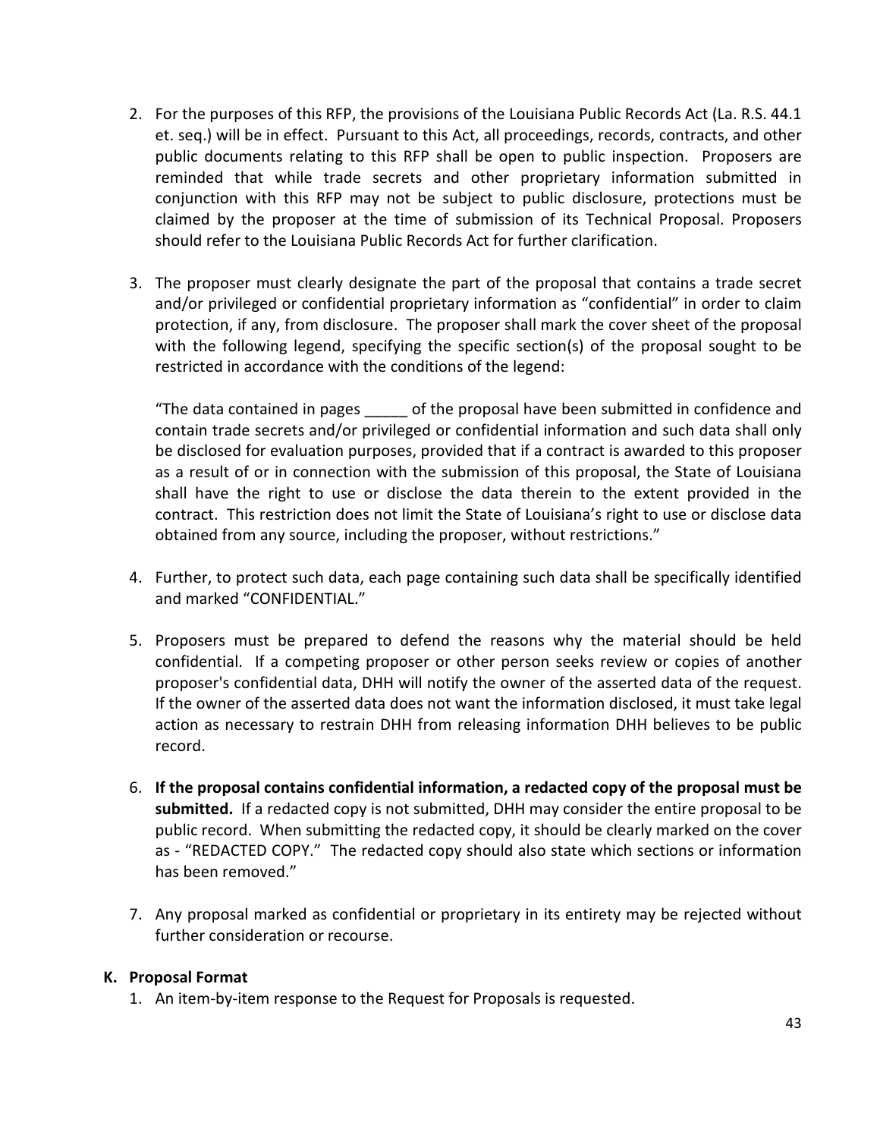- 2. For the purposes of this RFP, the provisions of the Louisiana Public Records Act (La. R.S. 44.1 et. seq.) will be in effect. Pursuant to this Act, all proceedings, records, contracts, and other public documents relating to this RFP shall be open to public inspection. Proposers are reminded that while trade secrets and other proprietary information submitted in conjunction with this RFP may not be subject to public disclosure, protections must be claimed by the proposer at the time of submission of its Technical Proposal. Proposers should refer to the Louisiana Public Records Act for further clarification.
- 3. The proposer must clearly designate the part of the proposal that contains a trade secret and/or privileged or confidential proprietary information as "confidential" in order to claim protection, if any, from disclosure. The proposer shall mark the cover sheet of the proposal with the following legend, specifying the specific section(s) of the proposal sought to be restricted in accordance with the conditions of the legend:

"The data contained in pages \_\_\_\_\_ of the proposal have been submitted in confidence and contain trade secrets and/or privileged or confidential information and such data shall only be disclosed for evaluation purposes, provided that if a contract is awarded to this proposer as a result of or in connection with the submission of this proposal, the State of Louisiana shall have the right to use or disclose the data therein to the extent provided in the contract. This restriction does not limit the State of Louisiana's right to use or disclose data obtained from any source, including the proposer, without restrictions."

- 4. Further, to protect such data, each page containing such data shall be specifically identified and marked "CONFIDENTIAL."
- 5. Proposers must be prepared to defend the reasons why the material should be held confidential. If a competing proposer or other person seeks review or copies of another proposer's confidential data, DHH will notify the owner of the asserted data of the request. If the owner of the asserted data does not want the information disclosed, it must take legal action as necessary to restrain DHH from releasing information DHH believes to be public record.
- 6. If the proposal contains confidential information, a redacted copy of the proposal must be submitted. If a redacted copy is not submitted, DHH may consider the entire proposal to be public record. When submitting the redacted copy, it should be clearly marked on the cover as - "REDACTED COPY." The redacted copy should also state which sections or information has been removed."
- 7. Any proposal marked as confidential or proprietary in its entirety may be rejected without further consideration or recourse.

### K. Proposal Format

1. An item-by-item response to the Request for Proposals is requested.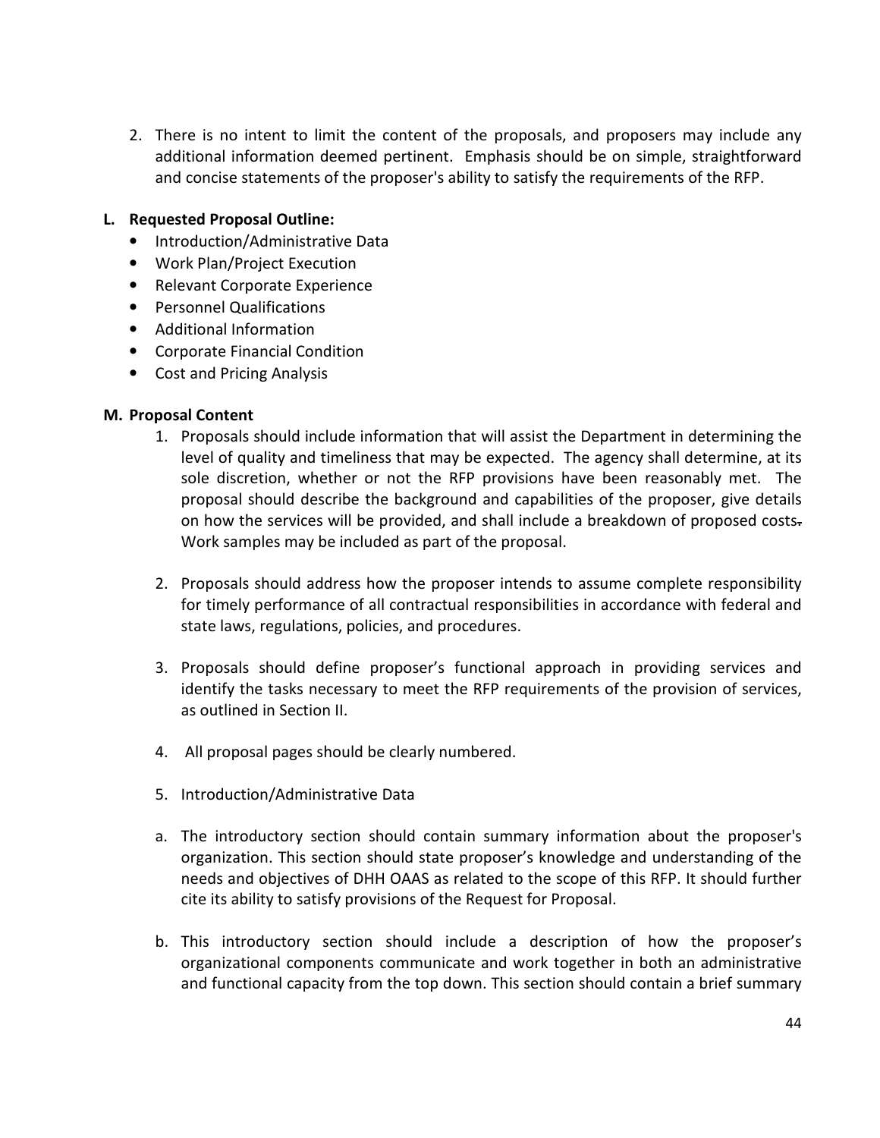2. There is no intent to limit the content of the proposals, and proposers may include any additional information deemed pertinent. Emphasis should be on simple, straightforward and concise statements of the proposer's ability to satisfy the requirements of the RFP.

#### L. Requested Proposal Outline:

- Introduction/Administrative Data
- Work Plan/Project Execution
- Relevant Corporate Experience
- Personnel Qualifications
- Additional Information
- Corporate Financial Condition
- Cost and Pricing Analysis

#### M. Proposal Content

- 1. Proposals should include information that will assist the Department in determining the level of quality and timeliness that may be expected. The agency shall determine, at its sole discretion, whether or not the RFP provisions have been reasonably met. The proposal should describe the background and capabilities of the proposer, give details on how the services will be provided, and shall include a breakdown of proposed costs-Work samples may be included as part of the proposal.
- 2. Proposals should address how the proposer intends to assume complete responsibility for timely performance of all contractual responsibilities in accordance with federal and state laws, regulations, policies, and procedures.
- 3. Proposals should define proposer's functional approach in providing services and identify the tasks necessary to meet the RFP requirements of the provision of services, as outlined in Section II.
- 4. All proposal pages should be clearly numbered.
- 5. Introduction/Administrative Data
- a. The introductory section should contain summary information about the proposer's organization. This section should state proposer's knowledge and understanding of the needs and objectives of DHH OAAS as related to the scope of this RFP. It should further cite its ability to satisfy provisions of the Request for Proposal.
- b. This introductory section should include a description of how the proposer's organizational components communicate and work together in both an administrative and functional capacity from the top down. This section should contain a brief summary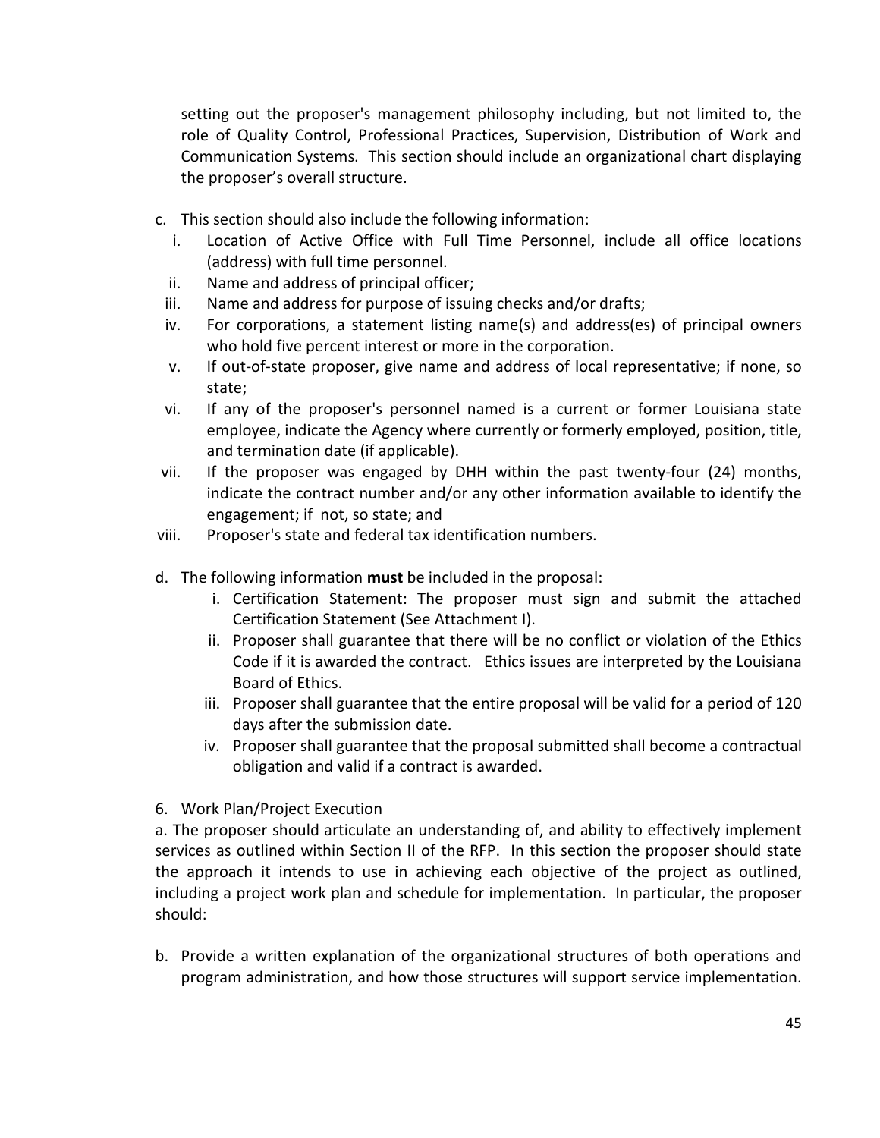setting out the proposer's management philosophy including, but not limited to, the role of Quality Control, Professional Practices, Supervision, Distribution of Work and Communication Systems. This section should include an organizational chart displaying the proposer's overall structure.

- c. This section should also include the following information:
	- i. Location of Active Office with Full Time Personnel, include all office locations (address) with full time personnel.
	- ii. Name and address of principal officer;
- iii. Name and address for purpose of issuing checks and/or drafts;
- iv. For corporations, a statement listing name(s) and address(es) of principal owners who hold five percent interest or more in the corporation.
- v. If out-of-state proposer, give name and address of local representative; if none, so state;
- vi. If any of the proposer's personnel named is a current or former Louisiana state employee, indicate the Agency where currently or formerly employed, position, title, and termination date (if applicable).
- vii. If the proposer was engaged by DHH within the past twenty-four (24) months, indicate the contract number and/or any other information available to identify the engagement; if not, so state; and
- viii. Proposer's state and federal tax identification numbers.
- d. The following information **must** be included in the proposal:
	- i. Certification Statement: The proposer must sign and submit the attached Certification Statement (See Attachment I).
	- ii. Proposer shall guarantee that there will be no conflict or violation of the Ethics Code if it is awarded the contract. Ethics issues are interpreted by the Louisiana Board of Ethics.
	- iii. Proposer shall guarantee that the entire proposal will be valid for a period of 120 days after the submission date.
	- iv. Proposer shall guarantee that the proposal submitted shall become a contractual obligation and valid if a contract is awarded.
- 6. Work Plan/Project Execution

a. The proposer should articulate an understanding of, and ability to effectively implement services as outlined within Section II of the RFP. In this section the proposer should state the approach it intends to use in achieving each objective of the project as outlined, including a project work plan and schedule for implementation. In particular, the proposer should:

b. Provide a written explanation of the organizational structures of both operations and program administration, and how those structures will support service implementation.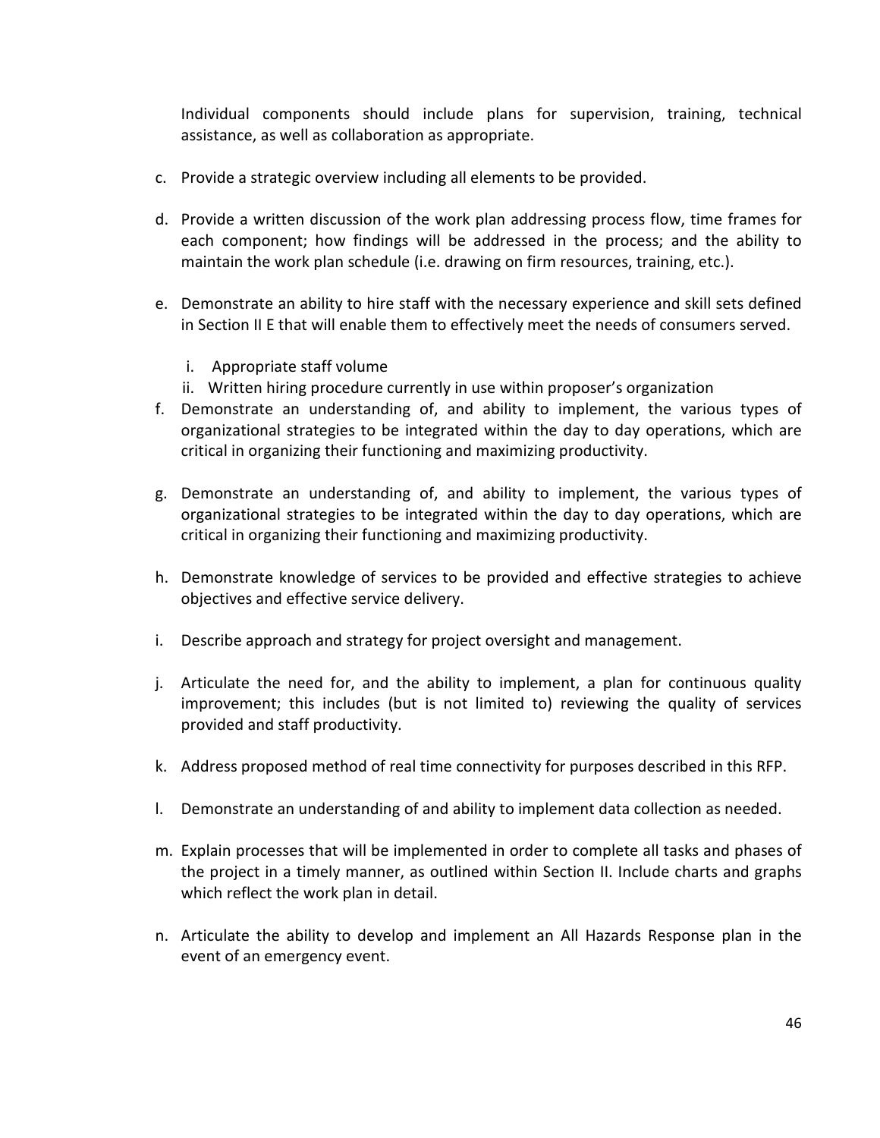Individual components should include plans for supervision, training, technical assistance, as well as collaboration as appropriate.

- c. Provide a strategic overview including all elements to be provided.
- d. Provide a written discussion of the work plan addressing process flow, time frames for each component; how findings will be addressed in the process; and the ability to maintain the work plan schedule (i.e. drawing on firm resources, training, etc.).
- e. Demonstrate an ability to hire staff with the necessary experience and skill sets defined in Section II E that will enable them to effectively meet the needs of consumers served.
	- i. Appropriate staff volume
	- ii. Written hiring procedure currently in use within proposer's organization
- f. Demonstrate an understanding of, and ability to implement, the various types of organizational strategies to be integrated within the day to day operations, which are critical in organizing their functioning and maximizing productivity.
- g. Demonstrate an understanding of, and ability to implement, the various types of organizational strategies to be integrated within the day to day operations, which are critical in organizing their functioning and maximizing productivity.
- h. Demonstrate knowledge of services to be provided and effective strategies to achieve objectives and effective service delivery.
- i. Describe approach and strategy for project oversight and management.
- j. Articulate the need for, and the ability to implement, a plan for continuous quality improvement; this includes (but is not limited to) reviewing the quality of services provided and staff productivity.
- k. Address proposed method of real time connectivity for purposes described in this RFP.
- l. Demonstrate an understanding of and ability to implement data collection as needed.
- m. Explain processes that will be implemented in order to complete all tasks and phases of the project in a timely manner, as outlined within Section II. Include charts and graphs which reflect the work plan in detail.
- n. Articulate the ability to develop and implement an All Hazards Response plan in the event of an emergency event.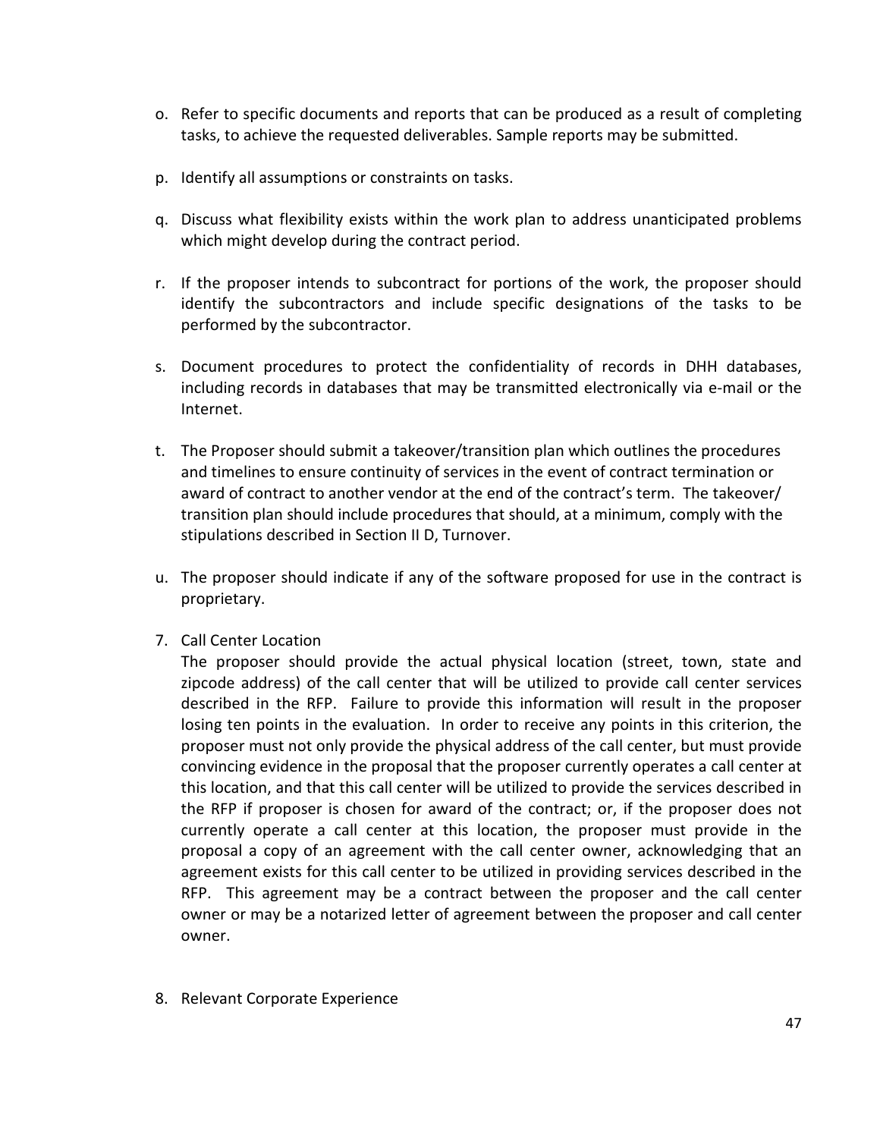- o. Refer to specific documents and reports that can be produced as a result of completing tasks, to achieve the requested deliverables. Sample reports may be submitted.
- p. Identify all assumptions or constraints on tasks.
- q. Discuss what flexibility exists within the work plan to address unanticipated problems which might develop during the contract period.
- r. If the proposer intends to subcontract for portions of the work, the proposer should identify the subcontractors and include specific designations of the tasks to be performed by the subcontractor.
- s. Document procedures to protect the confidentiality of records in DHH databases, including records in databases that may be transmitted electronically via e-mail or the Internet.
- t. The Proposer should submit a takeover/transition plan which outlines the procedures and timelines to ensure continuity of services in the event of contract termination or award of contract to another vendor at the end of the contract's term. The takeover/ transition plan should include procedures that should, at a minimum, comply with the stipulations described in Section II D, Turnover.
- u. The proposer should indicate if any of the software proposed for use in the contract is proprietary.
- 7. Call Center Location

The proposer should provide the actual physical location (street, town, state and zipcode address) of the call center that will be utilized to provide call center services described in the RFP. Failure to provide this information will result in the proposer losing ten points in the evaluation. In order to receive any points in this criterion, the proposer must not only provide the physical address of the call center, but must provide convincing evidence in the proposal that the proposer currently operates a call center at this location, and that this call center will be utilized to provide the services described in the RFP if proposer is chosen for award of the contract; or, if the proposer does not currently operate a call center at this location, the proposer must provide in the proposal a copy of an agreement with the call center owner, acknowledging that an agreement exists for this call center to be utilized in providing services described in the RFP. This agreement may be a contract between the proposer and the call center owner or may be a notarized letter of agreement between the proposer and call center owner.

8. Relevant Corporate Experience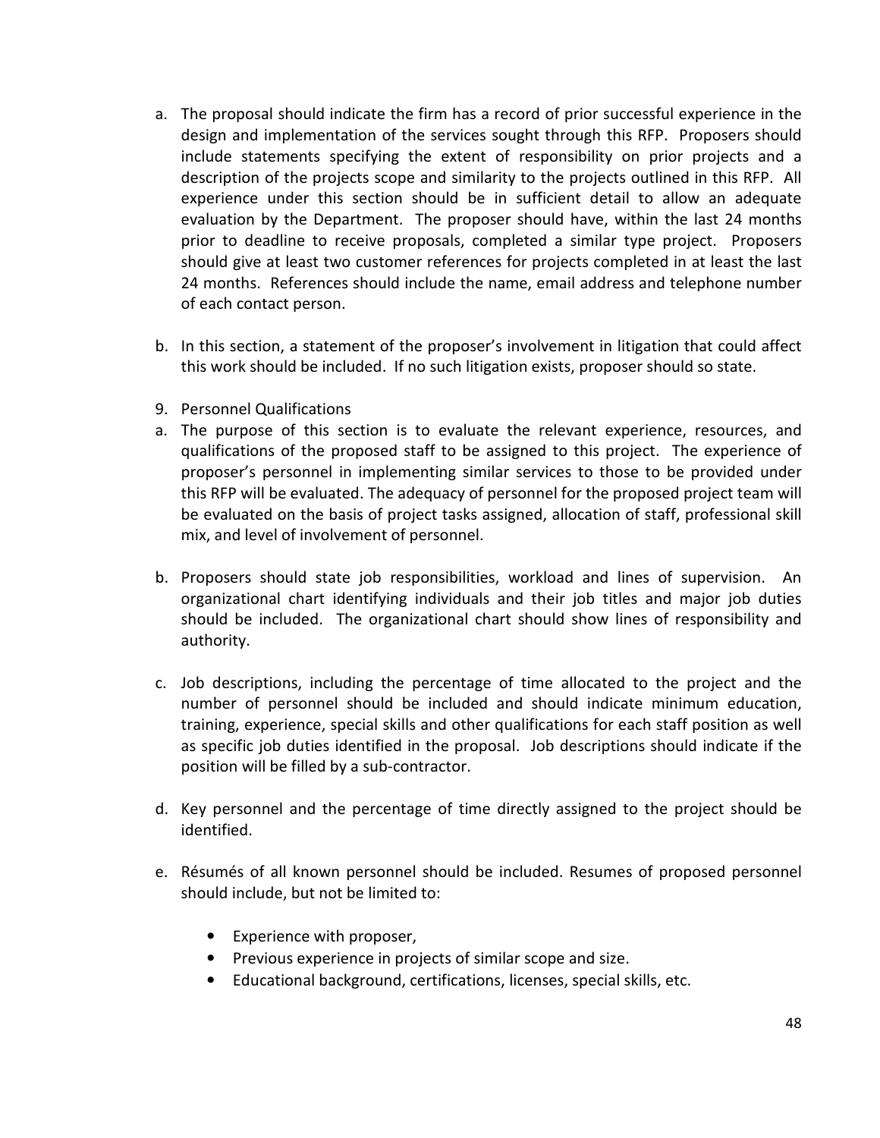- a. The proposal should indicate the firm has a record of prior successful experience in the design and implementation of the services sought through this RFP. Proposers should include statements specifying the extent of responsibility on prior projects and a description of the projects scope and similarity to the projects outlined in this RFP. All experience under this section should be in sufficient detail to allow an adequate evaluation by the Department. The proposer should have, within the last 24 months prior to deadline to receive proposals, completed a similar type project. Proposers should give at least two customer references for projects completed in at least the last 24 months. References should include the name, email address and telephone number of each contact person.
- b. In this section, a statement of the proposer's involvement in litigation that could affect this work should be included. If no such litigation exists, proposer should so state.
- 9. Personnel Qualifications
- a. The purpose of this section is to evaluate the relevant experience, resources, and qualifications of the proposed staff to be assigned to this project. The experience of proposer's personnel in implementing similar services to those to be provided under this RFP will be evaluated. The adequacy of personnel for the proposed project team will be evaluated on the basis of project tasks assigned, allocation of staff, professional skill mix, and level of involvement of personnel.
- b. Proposers should state job responsibilities, workload and lines of supervision. An organizational chart identifying individuals and their job titles and major job duties should be included. The organizational chart should show lines of responsibility and authority.
- c. Job descriptions, including the percentage of time allocated to the project and the number of personnel should be included and should indicate minimum education, training, experience, special skills and other qualifications for each staff position as well as specific job duties identified in the proposal. Job descriptions should indicate if the position will be filled by a sub-contractor.
- d. Key personnel and the percentage of time directly assigned to the project should be identified.
- e. Résumés of all known personnel should be included. Resumes of proposed personnel should include, but not be limited to:
	- Experience with proposer,
	- Previous experience in projects of similar scope and size.
	- Educational background, certifications, licenses, special skills, etc.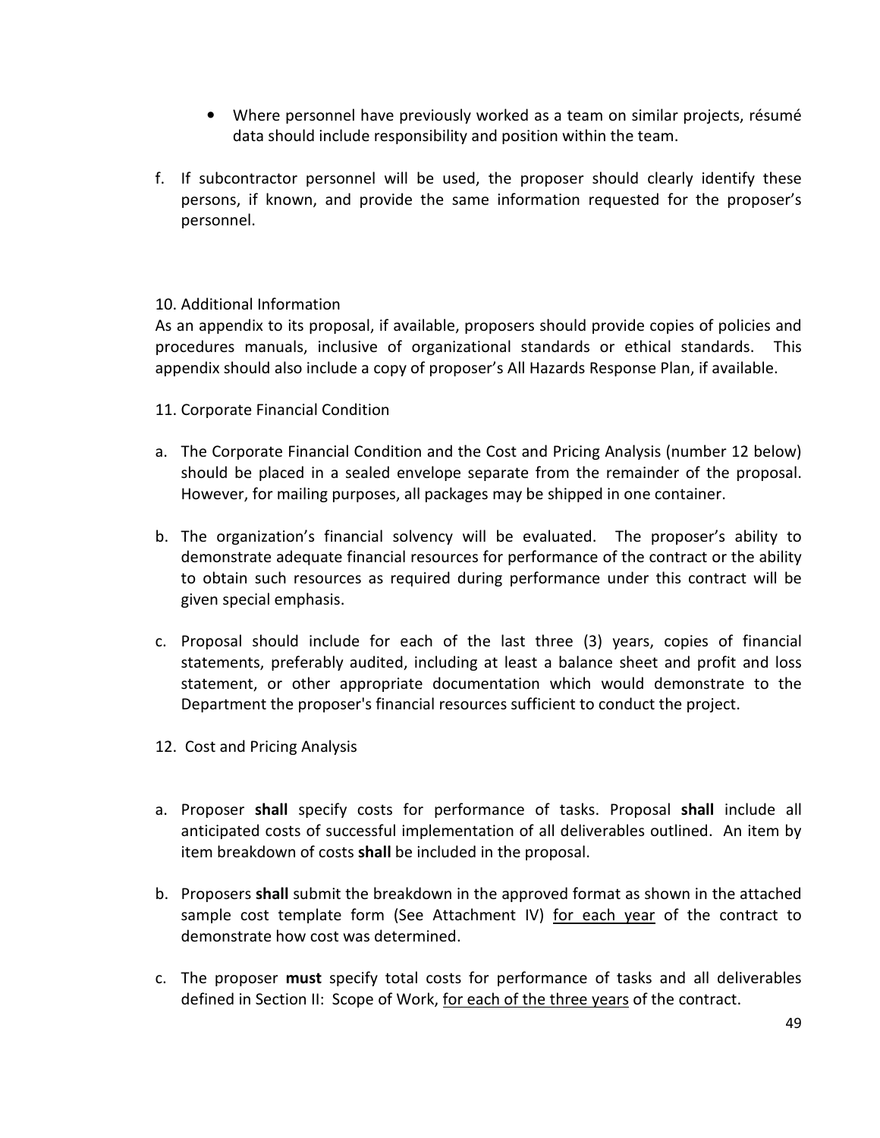- Where personnel have previously worked as a team on similar projects, résumé data should include responsibility and position within the team.
- f. If subcontractor personnel will be used, the proposer should clearly identify these persons, if known, and provide the same information requested for the proposer's personnel.

#### 10. Additional Information

As an appendix to its proposal, if available, proposers should provide copies of policies and procedures manuals, inclusive of organizational standards or ethical standards. This appendix should also include a copy of proposer's All Hazards Response Plan, if available.

- 11. Corporate Financial Condition
- a. The Corporate Financial Condition and the Cost and Pricing Analysis (number 12 below) should be placed in a sealed envelope separate from the remainder of the proposal. However, for mailing purposes, all packages may be shipped in one container.
- b. The organization's financial solvency will be evaluated. The proposer's ability to demonstrate adequate financial resources for performance of the contract or the ability to obtain such resources as required during performance under this contract will be given special emphasis.
- c. Proposal should include for each of the last three (3) years, copies of financial statements, preferably audited, including at least a balance sheet and profit and loss statement, or other appropriate documentation which would demonstrate to the Department the proposer's financial resources sufficient to conduct the project.
- 12. Cost and Pricing Analysis
- a. Proposer shall specify costs for performance of tasks. Proposal shall include all anticipated costs of successful implementation of all deliverables outlined. An item by item breakdown of costs shall be included in the proposal.
- b. Proposers shall submit the breakdown in the approved format as shown in the attached sample cost template form (See Attachment IV) for each year of the contract to demonstrate how cost was determined.
- c. The proposer must specify total costs for performance of tasks and all deliverables defined in Section II: Scope of Work, for each of the three years of the contract.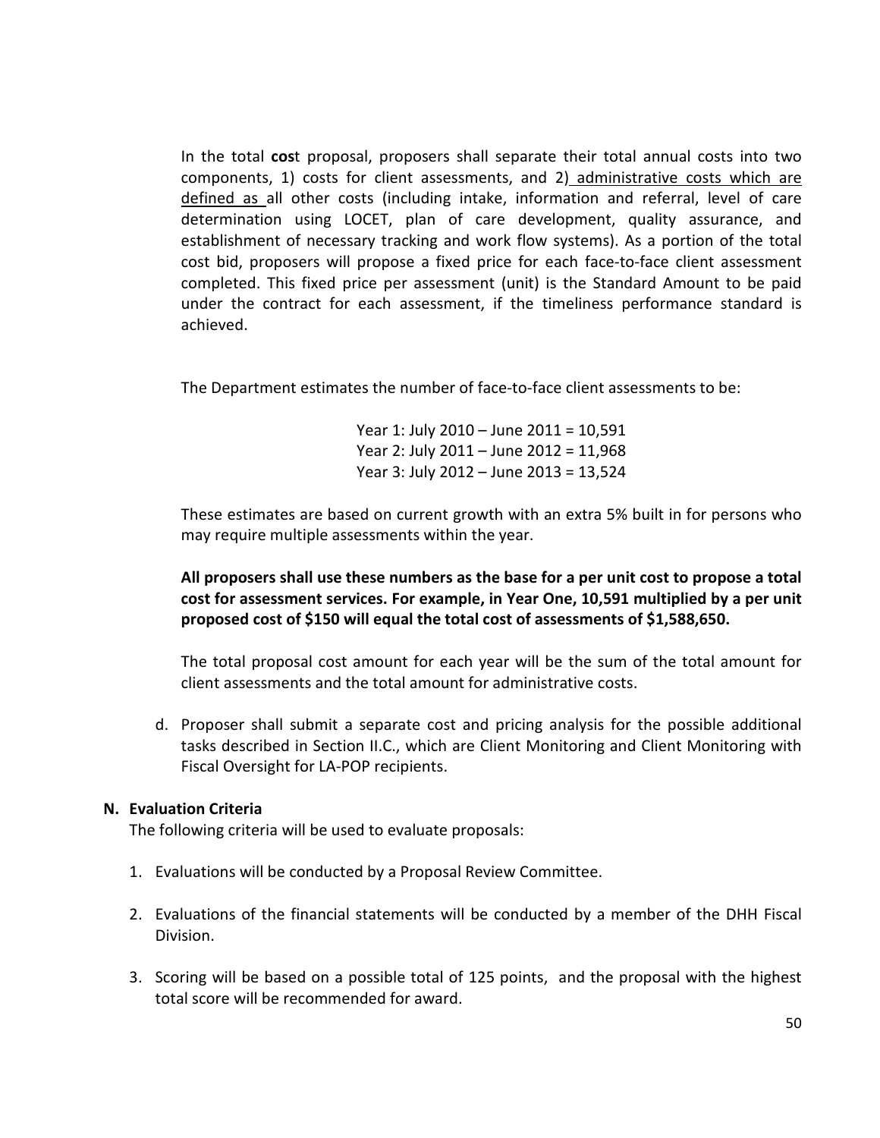In the total cost proposal, proposers shall separate their total annual costs into two components, 1) costs for client assessments, and 2) administrative costs which are defined as all other costs (including intake, information and referral, level of care determination using LOCET, plan of care development, quality assurance, and establishment of necessary tracking and work flow systems). As a portion of the total cost bid, proposers will propose a fixed price for each face-to-face client assessment completed. This fixed price per assessment (unit) is the Standard Amount to be paid under the contract for each assessment, if the timeliness performance standard is achieved.

The Department estimates the number of face-to-face client assessments to be:

Year 1: July 2010 – June 2011 = 10,591 Year 2: July 2011 – June 2012 = 11,968 Year 3: July 2012 – June 2013 = 13,524

These estimates are based on current growth with an extra 5% built in for persons who may require multiple assessments within the year.

All proposers shall use these numbers as the base for a per unit cost to propose a total cost for assessment services. For example, in Year One, 10,591 multiplied by a per unit proposed cost of \$150 will equal the total cost of assessments of \$1,588,650.

The total proposal cost amount for each year will be the sum of the total amount for client assessments and the total amount for administrative costs.

d. Proposer shall submit a separate cost and pricing analysis for the possible additional tasks described in Section II.C., which are Client Monitoring and Client Monitoring with Fiscal Oversight for LA-POP recipients.

#### N. Evaluation Criteria

The following criteria will be used to evaluate proposals:

- 1. Evaluations will be conducted by a Proposal Review Committee.
- 2. Evaluations of the financial statements will be conducted by a member of the DHH Fiscal Division.
- 3. Scoring will be based on a possible total of 125 points, and the proposal with the highest total score will be recommended for award.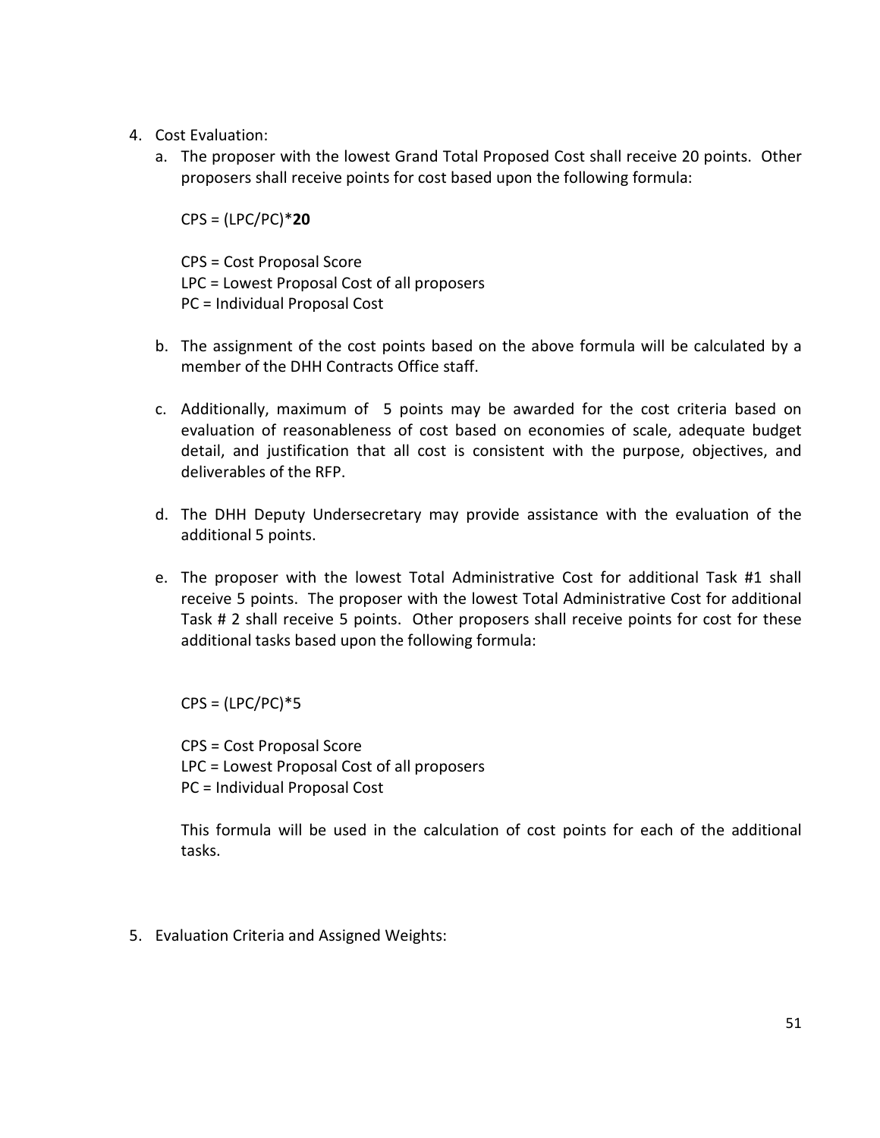- 4. Cost Evaluation:
	- a. The proposer with the lowest Grand Total Proposed Cost shall receive 20 points. Other proposers shall receive points for cost based upon the following formula:

 $CPS = (LPC/PC)*20$ 

CPS = Cost Proposal Score LPC = Lowest Proposal Cost of all proposers PC = Individual Proposal Cost

- b. The assignment of the cost points based on the above formula will be calculated by a member of the DHH Contracts Office staff.
- c. Additionally, maximum of 5 points may be awarded for the cost criteria based on evaluation of reasonableness of cost based on economies of scale, adequate budget detail, and justification that all cost is consistent with the purpose, objectives, and deliverables of the RFP.
- d. The DHH Deputy Undersecretary may provide assistance with the evaluation of the additional 5 points.
- e. The proposer with the lowest Total Administrative Cost for additional Task #1 shall receive 5 points. The proposer with the lowest Total Administrative Cost for additional Task # 2 shall receive 5 points. Other proposers shall receive points for cost for these additional tasks based upon the following formula:

 $CPS = (LPC/PC)*5$ 

CPS = Cost Proposal Score LPC = Lowest Proposal Cost of all proposers PC = Individual Proposal Cost

This formula will be used in the calculation of cost points for each of the additional tasks.

5. Evaluation Criteria and Assigned Weights: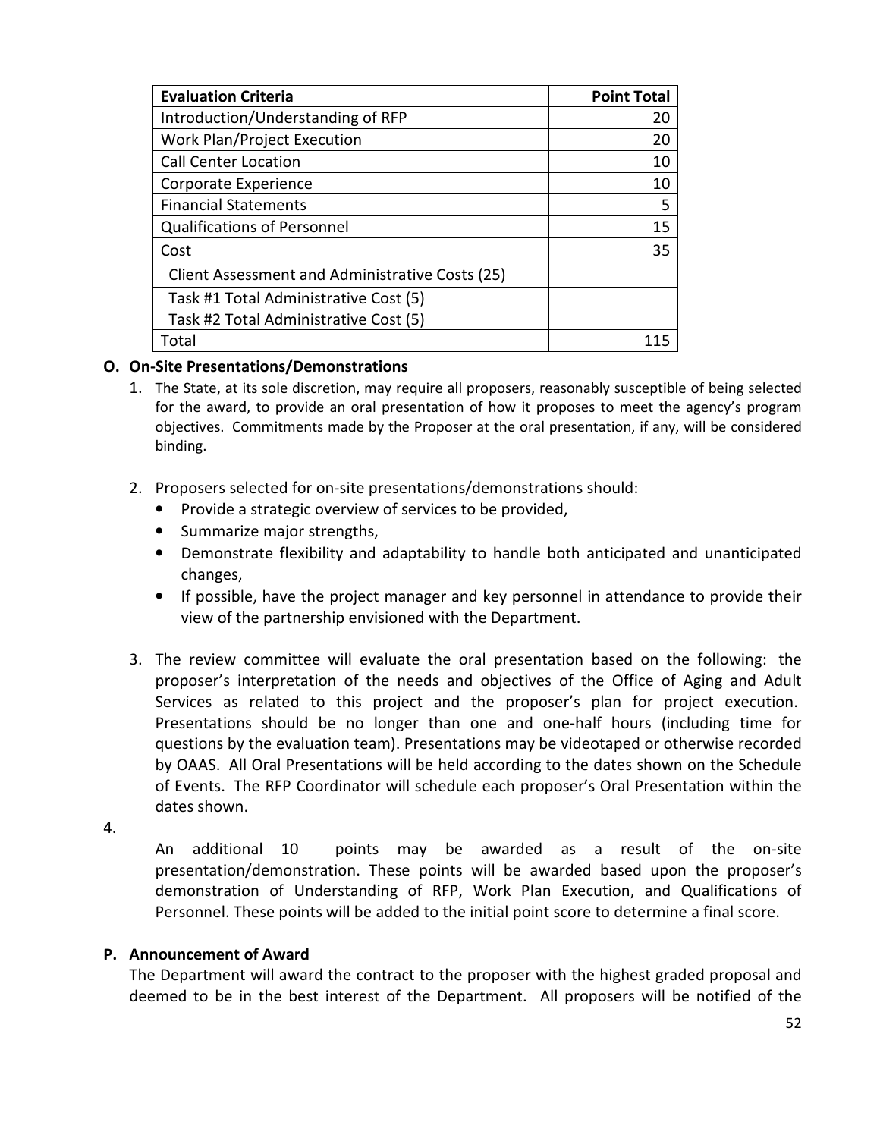| <b>Evaluation Criteria</b>                      | <b>Point Total</b> |
|-------------------------------------------------|--------------------|
| Introduction/Understanding of RFP               | 20                 |
| Work Plan/Project Execution                     | 20                 |
| <b>Call Center Location</b>                     | 10                 |
| Corporate Experience                            | 10                 |
| <b>Financial Statements</b>                     | 5                  |
| <b>Qualifications of Personnel</b>              | 15                 |
| Cost                                            | 35                 |
| Client Assessment and Administrative Costs (25) |                    |
| Task #1 Total Administrative Cost (5)           |                    |
| Task #2 Total Administrative Cost (5)           |                    |
| Total                                           |                    |

#### O. On-Site Presentations/Demonstrations

- 1. The State, at its sole discretion, may require all proposers, reasonably susceptible of being selected for the award, to provide an oral presentation of how it proposes to meet the agency's program objectives. Commitments made by the Proposer at the oral presentation, if any, will be considered binding.
- 2. Proposers selected for on-site presentations/demonstrations should:
	- Provide a strategic overview of services to be provided,
	- Summarize major strengths,
	- Demonstrate flexibility and adaptability to handle both anticipated and unanticipated changes,
	- If possible, have the project manager and key personnel in attendance to provide their view of the partnership envisioned with the Department.
- 3. The review committee will evaluate the oral presentation based on the following: the proposer's interpretation of the needs and objectives of the Office of Aging and Adult Services as related to this project and the proposer's plan for project execution. Presentations should be no longer than one and one-half hours (including time for questions by the evaluation team). Presentations may be videotaped or otherwise recorded by OAAS. All Oral Presentations will be held according to the dates shown on the Schedule of Events. The RFP Coordinator will schedule each proposer's Oral Presentation within the dates shown.
- 4.

An additional 10 points may be awarded as a result of the on-site presentation/demonstration. These points will be awarded based upon the proposer's demonstration of Understanding of RFP, Work Plan Execution, and Qualifications of Personnel. These points will be added to the initial point score to determine a final score.

#### P. Announcement of Award

The Department will award the contract to the proposer with the highest graded proposal and deemed to be in the best interest of the Department. All proposers will be notified of the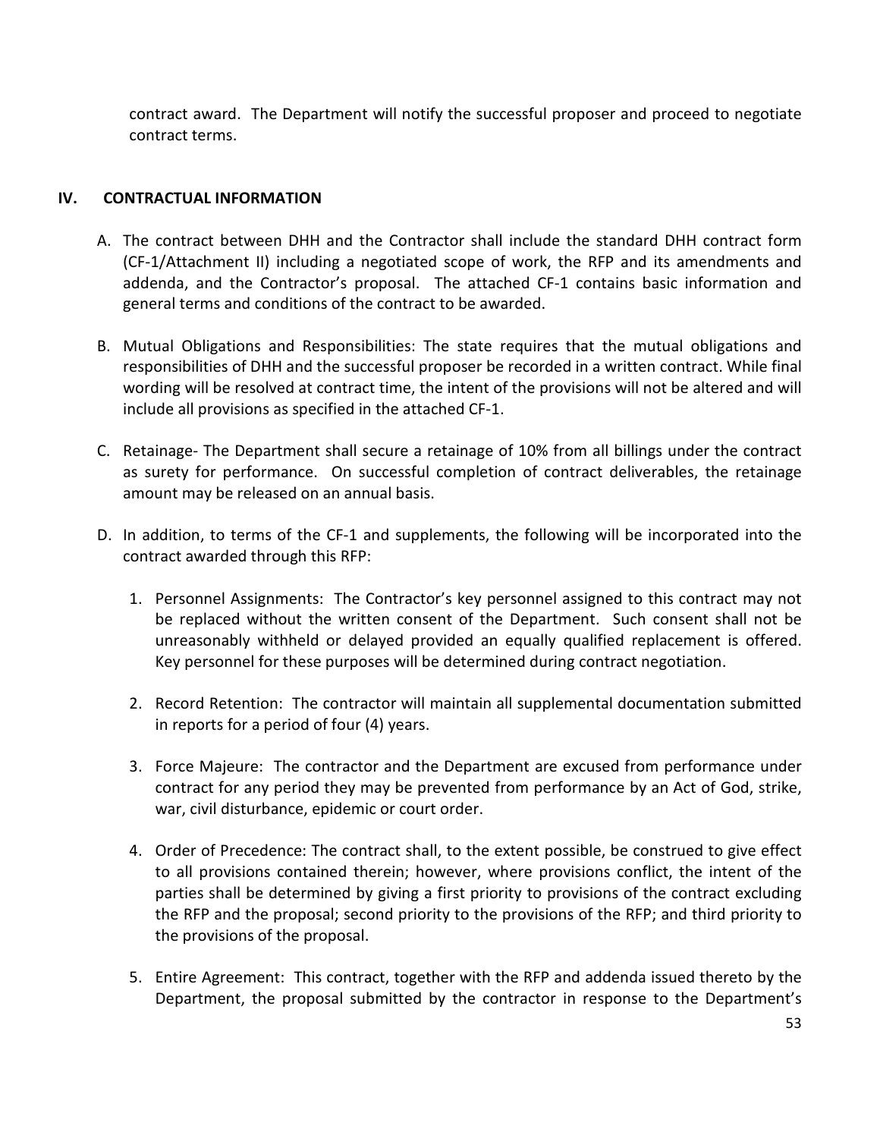contract award. The Department will notify the successful proposer and proceed to negotiate contract terms.

#### IV. CONTRACTUAL INFORMATION

- A. The contract between DHH and the Contractor shall include the standard DHH contract form (CF-1/Attachment II) including a negotiated scope of work, the RFP and its amendments and addenda, and the Contractor's proposal. The attached CF-1 contains basic information and general terms and conditions of the contract to be awarded.
- B. Mutual Obligations and Responsibilities: The state requires that the mutual obligations and responsibilities of DHH and the successful proposer be recorded in a written contract. While final wording will be resolved at contract time, the intent of the provisions will not be altered and will include all provisions as specified in the attached CF-1.
- C. Retainage- The Department shall secure a retainage of 10% from all billings under the contract as surety for performance. On successful completion of contract deliverables, the retainage amount may be released on an annual basis.
- D. In addition, to terms of the CF-1 and supplements, the following will be incorporated into the contract awarded through this RFP:
	- 1. Personnel Assignments: The Contractor's key personnel assigned to this contract may not be replaced without the written consent of the Department. Such consent shall not be unreasonably withheld or delayed provided an equally qualified replacement is offered. Key personnel for these purposes will be determined during contract negotiation.
	- 2. Record Retention: The contractor will maintain all supplemental documentation submitted in reports for a period of four (4) years.
	- 3. Force Majeure: The contractor and the Department are excused from performance under contract for any period they may be prevented from performance by an Act of God, strike, war, civil disturbance, epidemic or court order.
	- 4. Order of Precedence: The contract shall, to the extent possible, be construed to give effect to all provisions contained therein; however, where provisions conflict, the intent of the parties shall be determined by giving a first priority to provisions of the contract excluding the RFP and the proposal; second priority to the provisions of the RFP; and third priority to the provisions of the proposal.
	- 5. Entire Agreement: This contract, together with the RFP and addenda issued thereto by the Department, the proposal submitted by the contractor in response to the Department's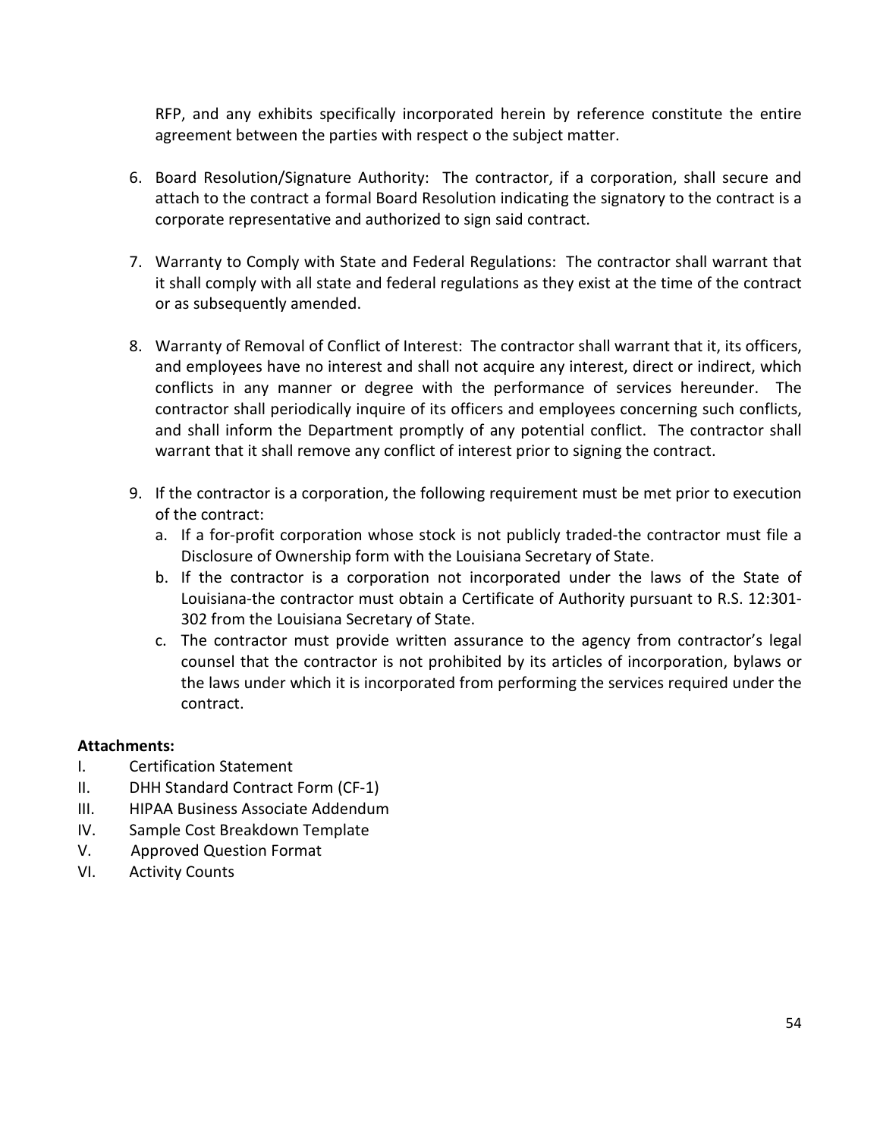RFP, and any exhibits specifically incorporated herein by reference constitute the entire agreement between the parties with respect o the subject matter.

- 6. Board Resolution/Signature Authority: The contractor, if a corporation, shall secure and attach to the contract a formal Board Resolution indicating the signatory to the contract is a corporate representative and authorized to sign said contract.
- 7. Warranty to Comply with State and Federal Regulations: The contractor shall warrant that it shall comply with all state and federal regulations as they exist at the time of the contract or as subsequently amended.
- 8. Warranty of Removal of Conflict of Interest: The contractor shall warrant that it, its officers, and employees have no interest and shall not acquire any interest, direct or indirect, which conflicts in any manner or degree with the performance of services hereunder. The contractor shall periodically inquire of its officers and employees concerning such conflicts, and shall inform the Department promptly of any potential conflict. The contractor shall warrant that it shall remove any conflict of interest prior to signing the contract.
- 9. If the contractor is a corporation, the following requirement must be met prior to execution of the contract:
	- a. If a for-profit corporation whose stock is not publicly traded-the contractor must file a Disclosure of Ownership form with the Louisiana Secretary of State.
	- b. If the contractor is a corporation not incorporated under the laws of the State of Louisiana-the contractor must obtain a Certificate of Authority pursuant to R.S. 12:301- 302 from the Louisiana Secretary of State.
	- c. The contractor must provide written assurance to the agency from contractor's legal counsel that the contractor is not prohibited by its articles of incorporation, bylaws or the laws under which it is incorporated from performing the services required under the contract.

### Attachments:

- I. Certification Statement
- II. DHH Standard Contract Form (CF-1)
- III. HIPAA Business Associate Addendum
- IV. Sample Cost Breakdown Template
- V. Approved Question Format
- VI. Activity Counts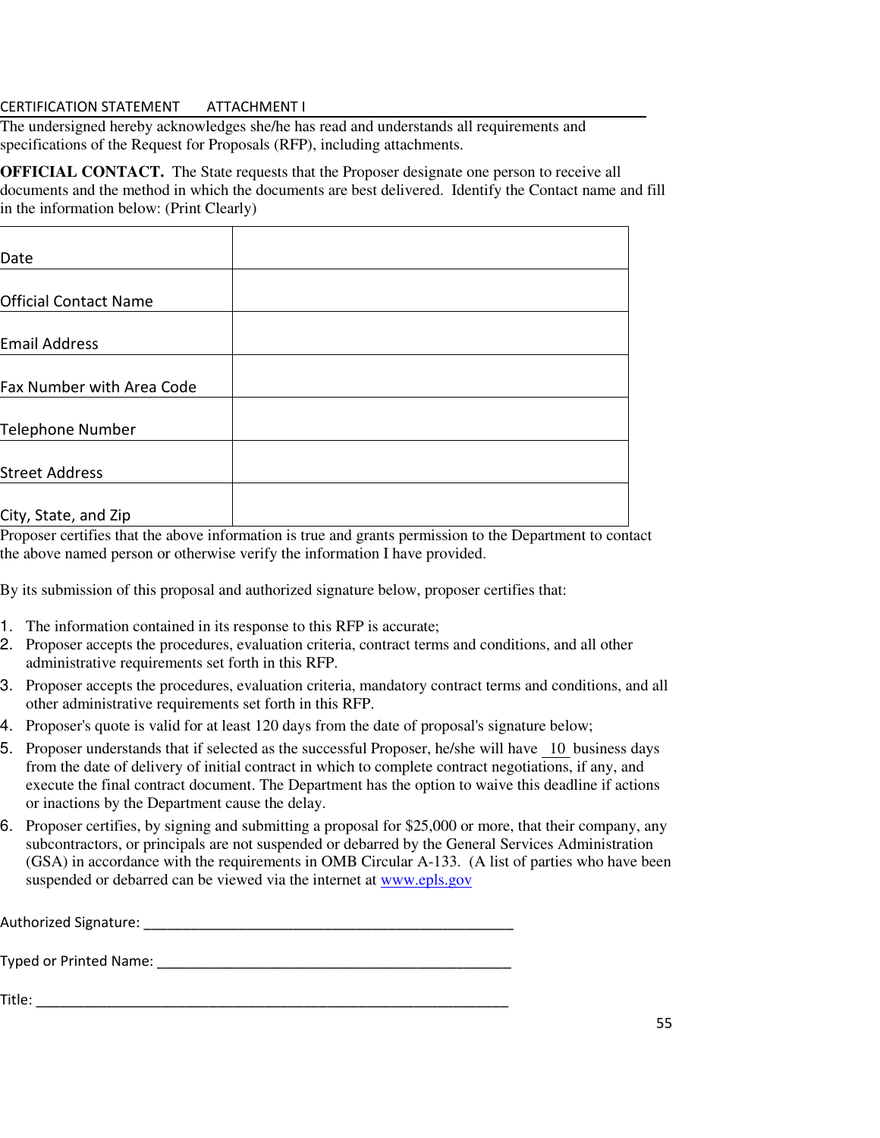#### CERTIFICATION STATEMENT ATTACHMENT I

The undersigned hereby acknowledges she/he has read and understands all requirements and specifications of the Request for Proposals (RFP), including attachments.

**OFFICIAL CONTACT.** The State requests that the Proposer designate one person to receive all documents and the method in which the documents are best delivered. Identify the Contact name and fill in the information below: (Print Clearly)

| Date                             |  |
|----------------------------------|--|
|                                  |  |
| <b>Official Contact Name</b>     |  |
|                                  |  |
| <b>Email Address</b>             |  |
|                                  |  |
| <b>Fax Number with Area Code</b> |  |
|                                  |  |
| Telephone Number                 |  |
|                                  |  |
| <b>Street Address</b>            |  |
|                                  |  |
| City, State, and Zip             |  |

Proposer certifies that the above information is true and grants permission to the Department to contact the above named person or otherwise verify the information I have provided.

By its submission of this proposal and authorized signature below, proposer certifies that:

- 1. The information contained in its response to this RFP is accurate;
- 2. Proposer accepts the procedures, evaluation criteria, contract terms and conditions, and all other administrative requirements set forth in this RFP.
- 3. Proposer accepts the procedures, evaluation criteria, mandatory contract terms and conditions, and all other administrative requirements set forth in this RFP.
- 4. Proposer's quote is valid for at least 120 days from the date of proposal's signature below;
- 5. Proposer understands that if selected as the successful Proposer, he/she will have 10business days from the date of delivery of initial contract in which to complete contract negotiations, if any, and execute the final contract document. The Department has the option to waive this deadline if actions or inactions by the Department cause the delay.
- 6. Proposer certifies, by signing and submitting a proposal for \$25,000 or more, that their company, any subcontractors, or principals are not suspended or debarred by the General Services Administration (GSA) in accordance with the requirements in OMB Circular A-133. (A list of parties who have been suspended or debarred can be viewed via the internet at www.epls.gov

| Authorized Signature: |  |  |  |
|-----------------------|--|--|--|
|                       |  |  |  |

Typed or Printed Name: \_\_\_\_\_\_\_\_\_\_\_\_\_\_\_\_\_\_\_\_\_\_\_\_\_\_\_\_\_\_\_\_\_\_\_\_\_\_\_\_\_\_\_\_\_

Title: \_\_\_\_\_\_\_\_\_\_\_\_\_\_\_\_\_\_\_\_\_\_\_\_\_\_\_\_\_\_\_\_\_\_\_\_\_\_\_\_\_\_\_\_\_\_\_\_\_\_\_\_\_\_\_\_\_\_\_\_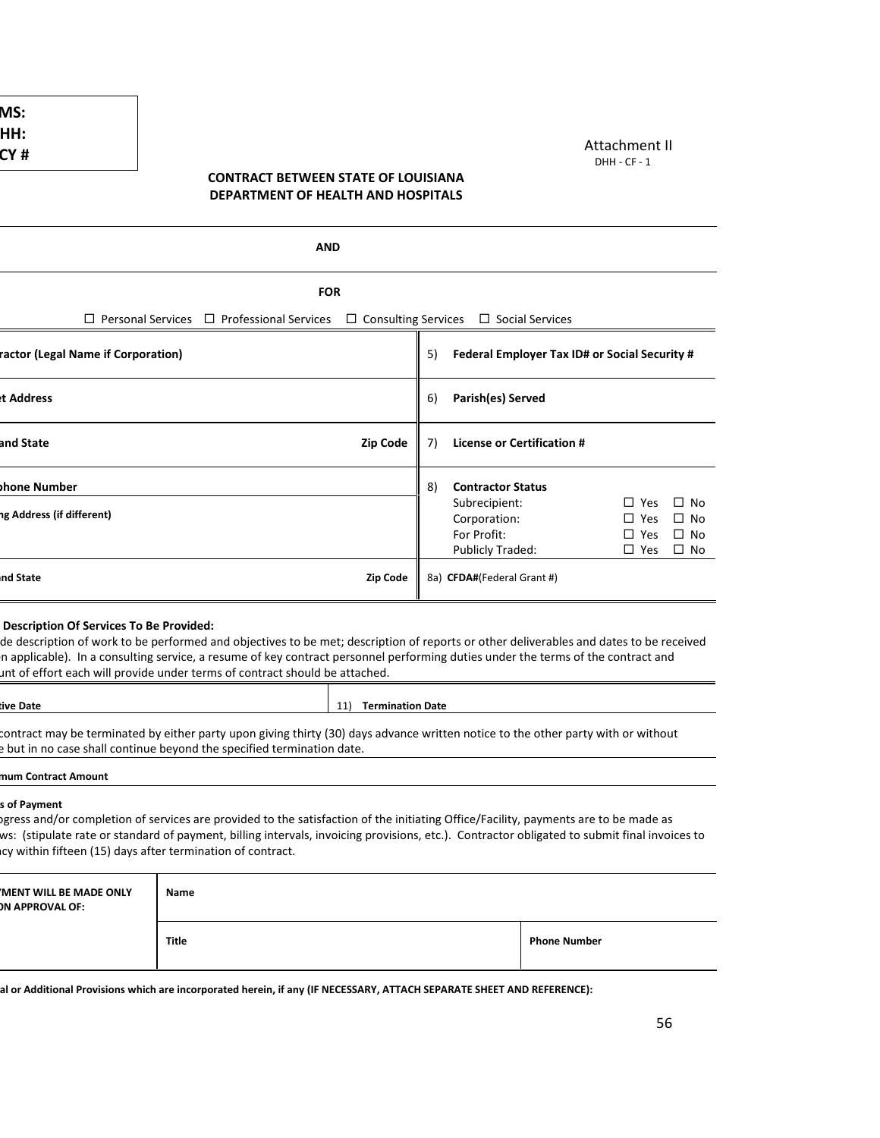#### Attachment II DHH - CF - 1

#### CONTRACT BETWEEN STATE OF LOUISIANA DEPARTMENT OF HEALTH AND HOSPITALS

| AND                                                                                                                                                                                                                                                                                                                                                                                                   |                 |    |                                                                                              |                                                            |                                                  |
|-------------------------------------------------------------------------------------------------------------------------------------------------------------------------------------------------------------------------------------------------------------------------------------------------------------------------------------------------------------------------------------------------------|-----------------|----|----------------------------------------------------------------------------------------------|------------------------------------------------------------|--------------------------------------------------|
| <b>FOR</b>                                                                                                                                                                                                                                                                                                                                                                                            |                 |    |                                                                                              |                                                            |                                                  |
| $\Box$ Personal Services $\Box$ Professional Services                                                                                                                                                                                                                                                                                                                                                 |                 |    | $\Box$ Consulting Services $\Box$ Social Services                                            |                                                            |                                                  |
| ractor (Legal Name if Corporation)                                                                                                                                                                                                                                                                                                                                                                    |                 | 5) | Federal Employer Tax ID# or Social Security #                                                |                                                            |                                                  |
| t Address                                                                                                                                                                                                                                                                                                                                                                                             |                 | 6) | Parish(es) Served                                                                            |                                                            |                                                  |
| and State                                                                                                                                                                                                                                                                                                                                                                                             | <b>Zip Code</b> | 7) | <b>License or Certification #</b>                                                            |                                                            |                                                  |
| bhone Number<br>ng Address (if different)                                                                                                                                                                                                                                                                                                                                                             |                 | 8) | <b>Contractor Status</b><br>Subrecipient:<br>Corporation:<br>For Profit:<br>Publicly Traded: | $\square$ Yes<br>$\Box$ Yes<br>$\Box$ Yes<br>$\square$ Yes | $\Box$ No<br>$\Box$ No<br>$\Box$ No<br>$\Box$ No |
| nd State                                                                                                                                                                                                                                                                                                                                                                                              | Zip Code        |    | 8a) CFDA#(Federal Grant #)                                                                   |                                                            |                                                  |
| Description Of Services To Be Provided:<br>de description of work to be performed and objectives to be met; description of reports or other deliverables and dates to be received<br>In applicable). In a consulting service, a resume of key contract personnel performing duties under the terms of the contract and<br>unt of effort each will provide under terms of contract should be attached. |                 |    |                                                                                              |                                                            |                                                  |
| tive Date<br>11) Termination Date                                                                                                                                                                                                                                                                                                                                                                     |                 |    |                                                                                              |                                                            |                                                  |
| contract may be terminated by either party upon giving thirty (30) days advance written notice to the other party with or without<br>but in no case shall continue beyond the specified termination date.                                                                                                                                                                                             |                 |    |                                                                                              |                                                            |                                                  |
| mum Contract Amount                                                                                                                                                                                                                                                                                                                                                                                   |                 |    |                                                                                              |                                                            |                                                  |
| s of Payment                                                                                                                                                                                                                                                                                                                                                                                          |                 |    |                                                                                              |                                                            |                                                  |

If progress and/or completion of services are provided to the satisfaction of the initiating Office/Facility, payments are to be made as ws: (stipulate rate or standard of payment, billing intervals, invoicing provisions, etc.). Contractor obligated to submit final invoices to Icy within fifteen (15) days after termination of contract.

| <b>MENT WILL BE MADE ONLY</b><br><b>DN APPROVAL OF:</b> | Name         |                     |  |
|---------------------------------------------------------|--------------|---------------------|--|
|                                                         | <b>Title</b> | <b>Phone Number</b> |  |

al or Additional Provisions which are incorporated herein, if any (IF NECESSARY, ATTACH SEPARATE SHEET AND REFERENCE):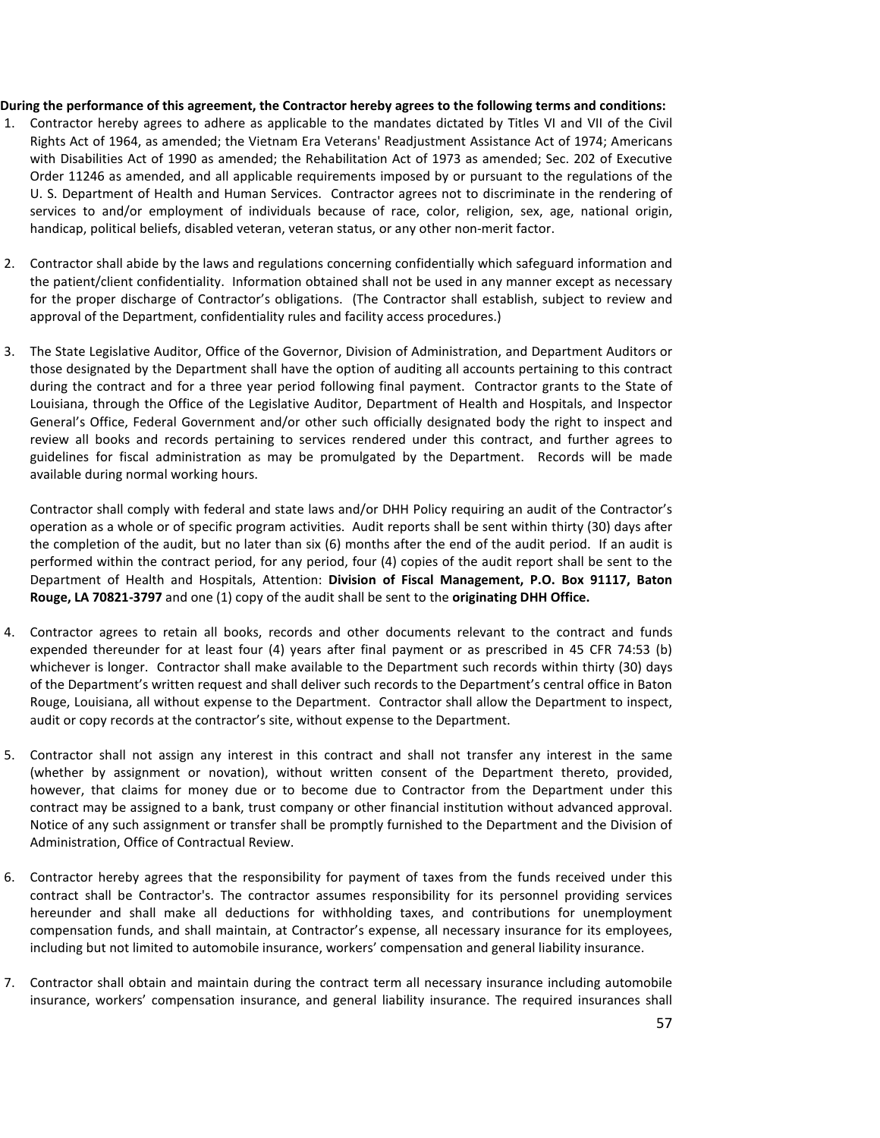#### During the performance of this agreement, the Contractor hereby agrees to the following terms and conditions:

- 1. Contractor hereby agrees to adhere as applicable to the mandates dictated by Titles VI and VII of the Civil Rights Act of 1964, as amended; the Vietnam Era Veterans' Readjustment Assistance Act of 1974; Americans with Disabilities Act of 1990 as amended; the Rehabilitation Act of 1973 as amended; Sec. 202 of Executive Order 11246 as amended, and all applicable requirements imposed by or pursuant to the regulations of the U. S. Department of Health and Human Services. Contractor agrees not to discriminate in the rendering of services to and/or employment of individuals because of race, color, religion, sex, age, national origin, handicap, political beliefs, disabled veteran, veteran status, or any other non-merit factor.
- 2. Contractor shall abide by the laws and regulations concerning confidentially which safeguard information and the patient/client confidentiality. Information obtained shall not be used in any manner except as necessary for the proper discharge of Contractor's obligations. (The Contractor shall establish, subject to review and approval of the Department, confidentiality rules and facility access procedures.)
- 3. The State Legislative Auditor, Office of the Governor, Division of Administration, and Department Auditors or those designated by the Department shall have the option of auditing all accounts pertaining to this contract during the contract and for a three year period following final payment. Contractor grants to the State of Louisiana, through the Office of the Legislative Auditor, Department of Health and Hospitals, and Inspector General's Office, Federal Government and/or other such officially designated body the right to inspect and review all books and records pertaining to services rendered under this contract, and further agrees to guidelines for fiscal administration as may be promulgated by the Department. Records will be made available during normal working hours.

Contractor shall comply with federal and state laws and/or DHH Policy requiring an audit of the Contractor's operation as a whole or of specific program activities. Audit reports shall be sent within thirty (30) days after the completion of the audit, but no later than six (6) months after the end of the audit period. If an audit is performed within the contract period, for any period, four (4) copies of the audit report shall be sent to the Department of Health and Hospitals, Attention: Division of Fiscal Management, P.O. Box 91117, Baton Rouge, LA 70821-3797 and one (1) copy of the audit shall be sent to the originating DHH Office.

- 4. Contractor agrees to retain all books, records and other documents relevant to the contract and funds expended thereunder for at least four (4) years after final payment or as prescribed in 45 CFR 74:53 (b) whichever is longer. Contractor shall make available to the Department such records within thirty (30) days of the Department's written request and shall deliver such records to the Department's central office in Baton Rouge, Louisiana, all without expense to the Department. Contractor shall allow the Department to inspect, audit or copy records at the contractor's site, without expense to the Department.
- 5. Contractor shall not assign any interest in this contract and shall not transfer any interest in the same (whether by assignment or novation), without written consent of the Department thereto, provided, however, that claims for money due or to become due to Contractor from the Department under this contract may be assigned to a bank, trust company or other financial institution without advanced approval. Notice of any such assignment or transfer shall be promptly furnished to the Department and the Division of Administration, Office of Contractual Review.
- 6. Contractor hereby agrees that the responsibility for payment of taxes from the funds received under this contract shall be Contractor's. The contractor assumes responsibility for its personnel providing services hereunder and shall make all deductions for withholding taxes, and contributions for unemployment compensation funds, and shall maintain, at Contractor's expense, all necessary insurance for its employees, including but not limited to automobile insurance, workers' compensation and general liability insurance.
- 7. Contractor shall obtain and maintain during the contract term all necessary insurance including automobile insurance, workers' compensation insurance, and general liability insurance. The required insurances shall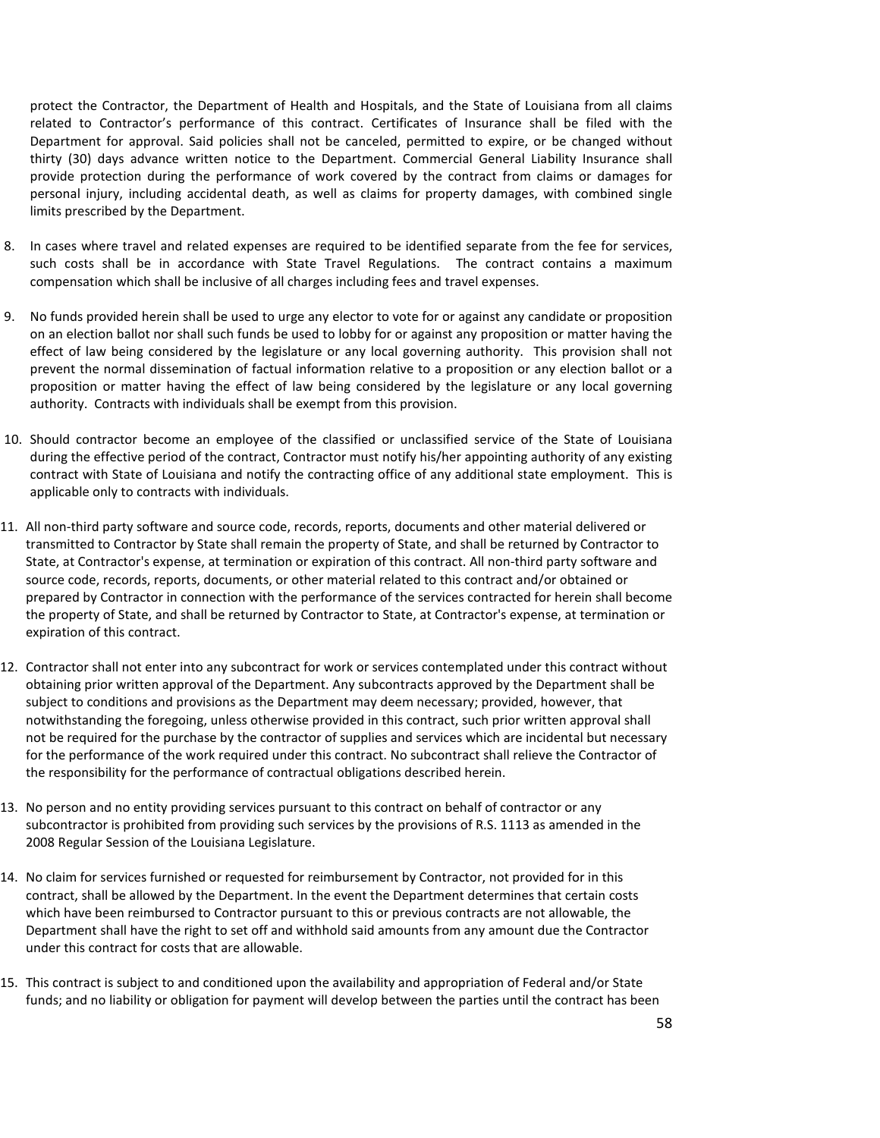protect the Contractor, the Department of Health and Hospitals, and the State of Louisiana from all claims related to Contractor's performance of this contract. Certificates of Insurance shall be filed with the Department for approval. Said policies shall not be canceled, permitted to expire, or be changed without thirty (30) days advance written notice to the Department. Commercial General Liability Insurance shall provide protection during the performance of work covered by the contract from claims or damages for personal injury, including accidental death, as well as claims for property damages, with combined single limits prescribed by the Department.

- 8. In cases where travel and related expenses are required to be identified separate from the fee for services, such costs shall be in accordance with State Travel Regulations. The contract contains a maximum compensation which shall be inclusive of all charges including fees and travel expenses.
- 9. No funds provided herein shall be used to urge any elector to vote for or against any candidate or proposition on an election ballot nor shall such funds be used to lobby for or against any proposition or matter having the effect of law being considered by the legislature or any local governing authority. This provision shall not prevent the normal dissemination of factual information relative to a proposition or any election ballot or a proposition or matter having the effect of law being considered by the legislature or any local governing authority. Contracts with individuals shall be exempt from this provision.
- 10. Should contractor become an employee of the classified or unclassified service of the State of Louisiana during the effective period of the contract, Contractor must notify his/her appointing authority of any existing contract with State of Louisiana and notify the contracting office of any additional state employment. This is applicable only to contracts with individuals.
- 11. All non-third party software and source code, records, reports, documents and other material delivered or transmitted to Contractor by State shall remain the property of State, and shall be returned by Contractor to State, at Contractor's expense, at termination or expiration of this contract. All non-third party software and source code, records, reports, documents, or other material related to this contract and/or obtained or prepared by Contractor in connection with the performance of the services contracted for herein shall become the property of State, and shall be returned by Contractor to State, at Contractor's expense, at termination or expiration of this contract.
- 12. Contractor shall not enter into any subcontract for work or services contemplated under this contract without obtaining prior written approval of the Department. Any subcontracts approved by the Department shall be subject to conditions and provisions as the Department may deem necessary; provided, however, that notwithstanding the foregoing, unless otherwise provided in this contract, such prior written approval shall not be required for the purchase by the contractor of supplies and services which are incidental but necessary for the performance of the work required under this contract. No subcontract shall relieve the Contractor of the responsibility for the performance of contractual obligations described herein.
- 13. No person and no entity providing services pursuant to this contract on behalf of contractor or any subcontractor is prohibited from providing such services by the provisions of R.S. 1113 as amended in the 2008 Regular Session of the Louisiana Legislature.
- 14. No claim for services furnished or requested for reimbursement by Contractor, not provided for in this contract, shall be allowed by the Department. In the event the Department determines that certain costs which have been reimbursed to Contractor pursuant to this or previous contracts are not allowable, the Department shall have the right to set off and withhold said amounts from any amount due the Contractor under this contract for costs that are allowable.
- 15. This contract is subject to and conditioned upon the availability and appropriation of Federal and/or State funds; and no liability or obligation for payment will develop between the parties until the contract has been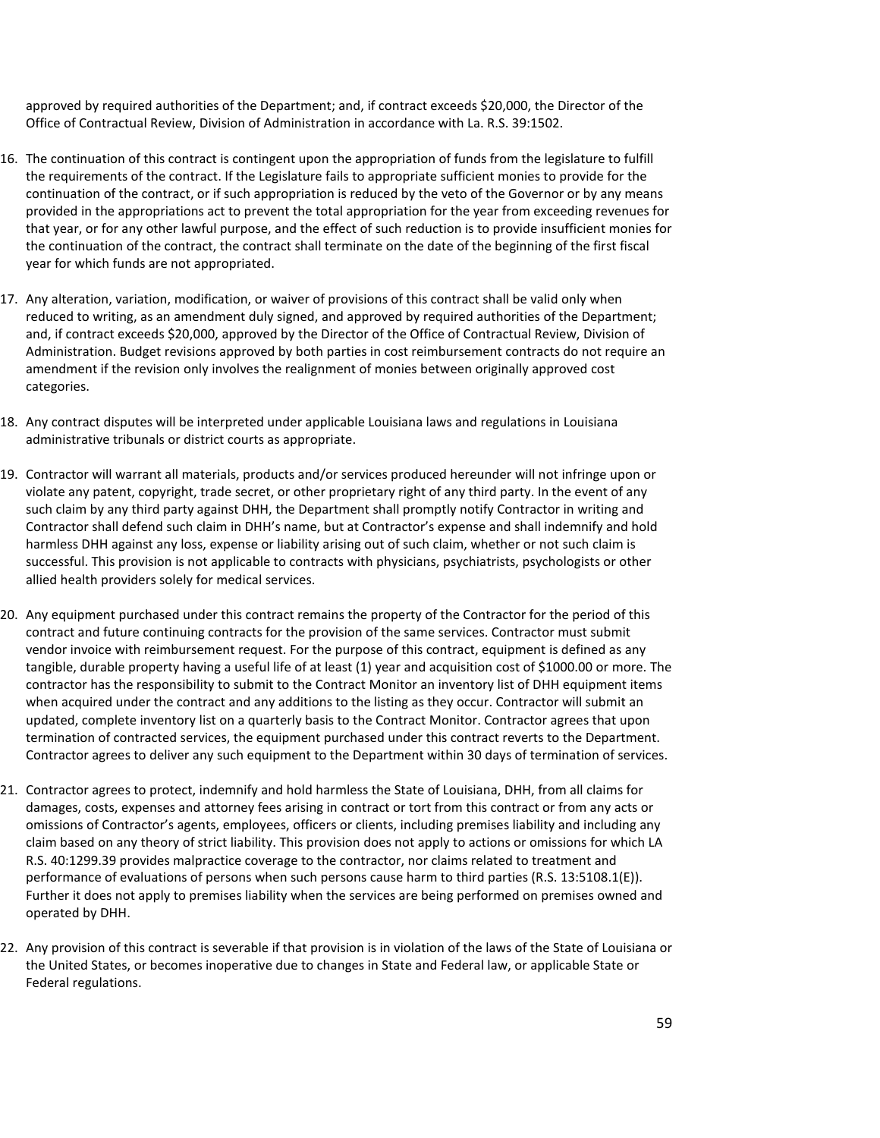approved by required authorities of the Department; and, if contract exceeds \$20,000, the Director of the Office of Contractual Review, Division of Administration in accordance with La. R.S. 39:1502.

- 16. The continuation of this contract is contingent upon the appropriation of funds from the legislature to fulfill the requirements of the contract. If the Legislature fails to appropriate sufficient monies to provide for the continuation of the contract, or if such appropriation is reduced by the veto of the Governor or by any means provided in the appropriations act to prevent the total appropriation for the year from exceeding revenues for that year, or for any other lawful purpose, and the effect of such reduction is to provide insufficient monies for the continuation of the contract, the contract shall terminate on the date of the beginning of the first fiscal year for which funds are not appropriated.
- 17. Any alteration, variation, modification, or waiver of provisions of this contract shall be valid only when reduced to writing, as an amendment duly signed, and approved by required authorities of the Department; and, if contract exceeds \$20,000, approved by the Director of the Office of Contractual Review, Division of Administration. Budget revisions approved by both parties in cost reimbursement contracts do not require an amendment if the revision only involves the realignment of monies between originally approved cost categories.
- 18. Any contract disputes will be interpreted under applicable Louisiana laws and regulations in Louisiana administrative tribunals or district courts as appropriate.
- 19. Contractor will warrant all materials, products and/or services produced hereunder will not infringe upon or violate any patent, copyright, trade secret, or other proprietary right of any third party. In the event of any such claim by any third party against DHH, the Department shall promptly notify Contractor in writing and Contractor shall defend such claim in DHH's name, but at Contractor's expense and shall indemnify and hold harmless DHH against any loss, expense or liability arising out of such claim, whether or not such claim is successful. This provision is not applicable to contracts with physicians, psychiatrists, psychologists or other allied health providers solely for medical services.
- 20. Any equipment purchased under this contract remains the property of the Contractor for the period of this contract and future continuing contracts for the provision of the same services. Contractor must submit vendor invoice with reimbursement request. For the purpose of this contract, equipment is defined as any tangible, durable property having a useful life of at least (1) year and acquisition cost of \$1000.00 or more. The contractor has the responsibility to submit to the Contract Monitor an inventory list of DHH equipment items when acquired under the contract and any additions to the listing as they occur. Contractor will submit an updated, complete inventory list on a quarterly basis to the Contract Monitor. Contractor agrees that upon termination of contracted services, the equipment purchased under this contract reverts to the Department. Contractor agrees to deliver any such equipment to the Department within 30 days of termination of services.
- 21. Contractor agrees to protect, indemnify and hold harmless the State of Louisiana, DHH, from all claims for damages, costs, expenses and attorney fees arising in contract or tort from this contract or from any acts or omissions of Contractor's agents, employees, officers or clients, including premises liability and including any claim based on any theory of strict liability. This provision does not apply to actions or omissions for which LA R.S. 40:1299.39 provides malpractice coverage to the contractor, nor claims related to treatment and performance of evaluations of persons when such persons cause harm to third parties (R.S. 13:5108.1(E)). Further it does not apply to premises liability when the services are being performed on premises owned and operated by DHH.
- 22. Any provision of this contract is severable if that provision is in violation of the laws of the State of Louisiana or the United States, or becomes inoperative due to changes in State and Federal law, or applicable State or Federal regulations.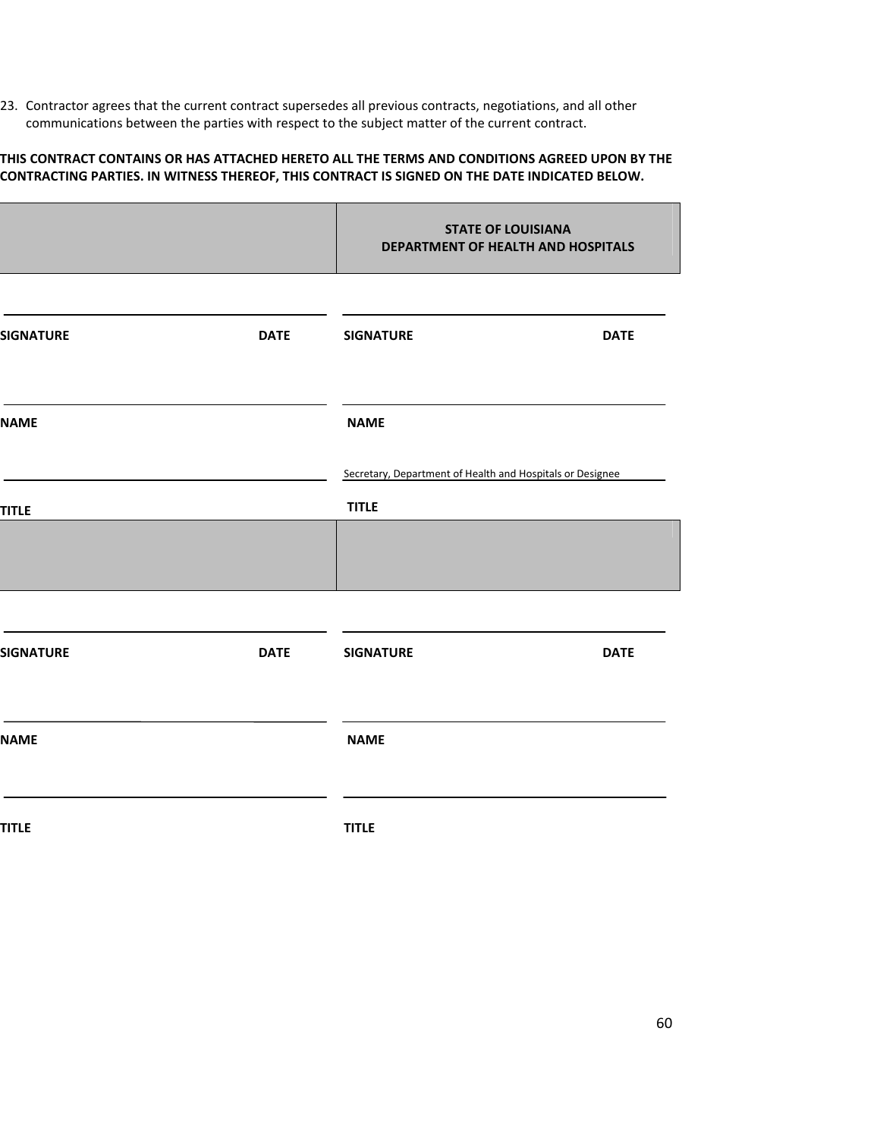23. Contractor agrees that the current contract supersedes all previous contracts, negotiations, and all other communications between the parties with respect to the subject matter of the current contract.

#### THIS CONTRACT CONTAINS OR HAS ATTACHED HERETO ALL THE TERMS AND CONDITIONS AGREED UPON BY THE CONTRACTING PARTIES. IN WITNESS THEREOF, THIS CONTRACT IS SIGNED ON THE DATE INDICATED BELOW.

|                  |             | <b>STATE OF LOUISIANA</b><br>DEPARTMENT OF HEALTH AND HOSPITALS |             |  |
|------------------|-------------|-----------------------------------------------------------------|-------------|--|
| <b>SIGNATURE</b> | <b>DATE</b> | <b>SIGNATURE</b>                                                | <b>DATE</b> |  |
| <b>NAME</b>      |             | <b>NAME</b>                                                     |             |  |
|                  |             | Secretary, Department of Health and Hospitals or Designee       |             |  |
| <b>TITLE</b>     |             | <b>TITLE</b>                                                    |             |  |
|                  |             |                                                                 |             |  |
| <b>SIGNATURE</b> | <b>DATE</b> | <b>SIGNATURE</b>                                                | <b>DATE</b> |  |
| <b>NAME</b>      |             | <b>NAME</b>                                                     |             |  |
| <b>TITLE</b>     |             | <b>TITLE</b>                                                    |             |  |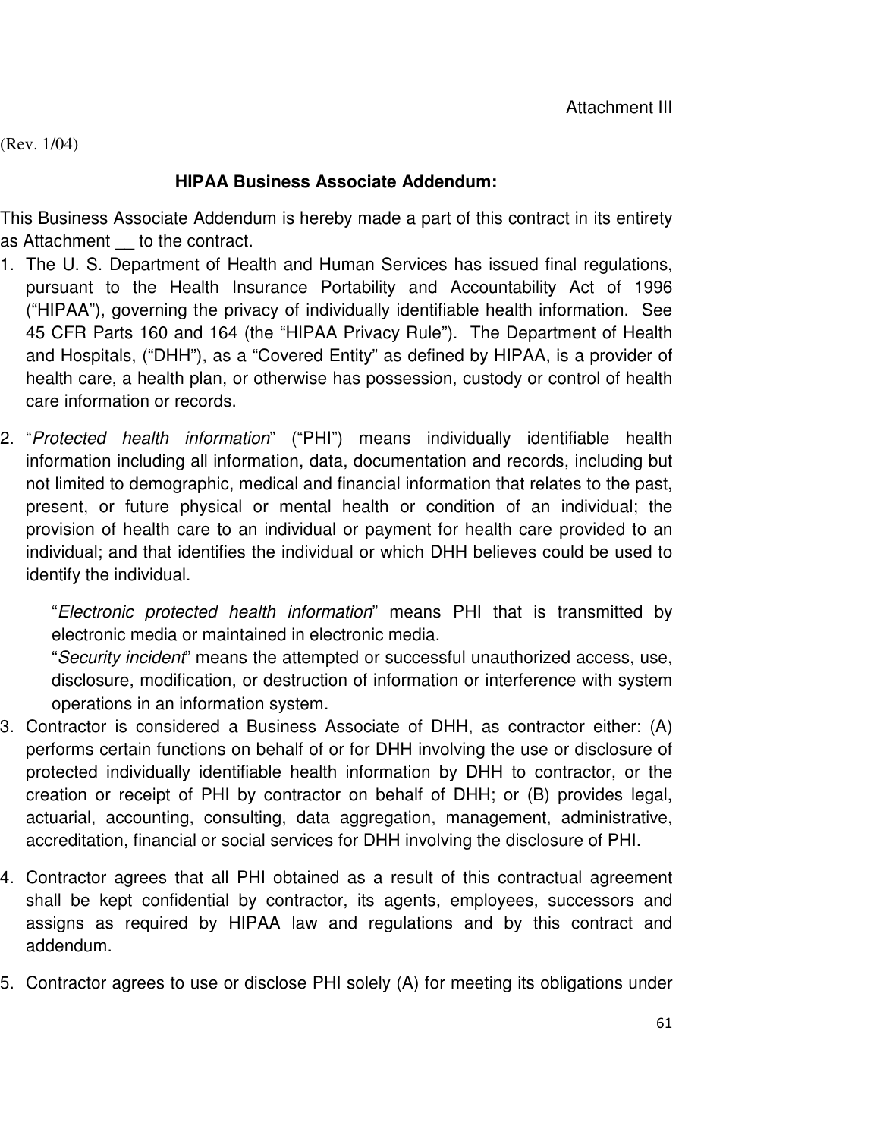(Rev. 1/04)

## **HIPAA Business Associate Addendum:**

This Business Associate Addendum is hereby made a part of this contract in its entirety as Attachment **\_\_** to the contract.

- 1. The U. S. Department of Health and Human Services has issued final regulations, pursuant to the Health Insurance Portability and Accountability Act of 1996 ("HIPAA"), governing the privacy of individually identifiable health information. See 45 CFR Parts 160 and 164 (the "HIPAA Privacy Rule"). The Department of Health and Hospitals, ("DHH"), as a "Covered Entity" as defined by HIPAA, is a provider of health care, a health plan, or otherwise has possession, custody or control of health care information or records.
- 2. "Protected health information" ("PHI") means individually identifiable health information including all information, data, documentation and records, including but not limited to demographic, medical and financial information that relates to the past, present, or future physical or mental health or condition of an individual; the provision of health care to an individual or payment for health care provided to an individual; and that identifies the individual or which DHH believes could be used to identify the individual.

"Electronic protected health information" means PHI that is transmitted by electronic media or maintained in electronic media.

"Security incident" means the attempted or successful unauthorized access, use, disclosure, modification, or destruction of information or interference with system operations in an information system.

- 3. Contractor is considered a Business Associate of DHH, as contractor either: (A) performs certain functions on behalf of or for DHH involving the use or disclosure of protected individually identifiable health information by DHH to contractor, or the creation or receipt of PHI by contractor on behalf of DHH; or (B) provides legal, actuarial, accounting, consulting, data aggregation, management, administrative, accreditation, financial or social services for DHH involving the disclosure of PHI.
- 4. Contractor agrees that all PHI obtained as a result of this contractual agreement shall be kept confidential by contractor, its agents, employees, successors and assigns as required by HIPAA law and regulations and by this contract and addendum.
- 5. Contractor agrees to use or disclose PHI solely (A) for meeting its obligations under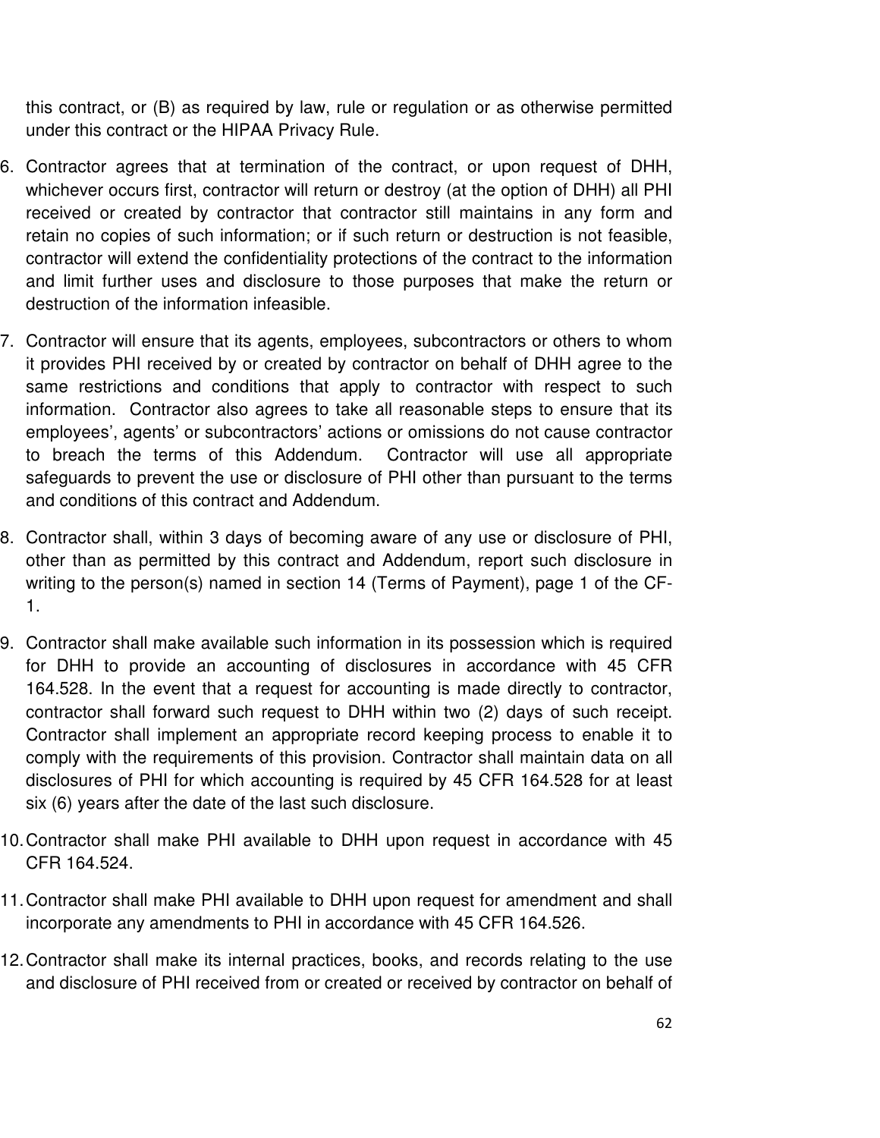this contract, or (B) as required by law, rule or regulation or as otherwise permitted under this contract or the HIPAA Privacy Rule.

- 6. Contractor agrees that at termination of the contract, or upon request of DHH, whichever occurs first, contractor will return or destroy (at the option of DHH) all PHI received or created by contractor that contractor still maintains in any form and retain no copies of such information; or if such return or destruction is not feasible, contractor will extend the confidentiality protections of the contract to the information and limit further uses and disclosure to those purposes that make the return or destruction of the information infeasible.
- 7. Contractor will ensure that its agents, employees, subcontractors or others to whom it provides PHI received by or created by contractor on behalf of DHH agree to the same restrictions and conditions that apply to contractor with respect to such information. Contractor also agrees to take all reasonable steps to ensure that its employees', agents' or subcontractors' actions or omissions do not cause contractor to breach the terms of this Addendum. Contractor will use all appropriate safeguards to prevent the use or disclosure of PHI other than pursuant to the terms and conditions of this contract and Addendum.
- 8. Contractor shall, within 3 days of becoming aware of any use or disclosure of PHI, other than as permitted by this contract and Addendum, report such disclosure in writing to the person(s) named in section 14 (Terms of Payment), page 1 of the CF-1.
- 9. Contractor shall make available such information in its possession which is required for DHH to provide an accounting of disclosures in accordance with 45 CFR 164.528. In the event that a request for accounting is made directly to contractor, contractor shall forward such request to DHH within two (2) days of such receipt. Contractor shall implement an appropriate record keeping process to enable it to comply with the requirements of this provision. Contractor shall maintain data on all disclosures of PHI for which accounting is required by 45 CFR 164.528 for at least six (6) years after the date of the last such disclosure.
- 10. Contractor shall make PHI available to DHH upon request in accordance with 45 CFR 164.524.
- 11. Contractor shall make PHI available to DHH upon request for amendment and shall incorporate any amendments to PHI in accordance with 45 CFR 164.526.
- 12. Contractor shall make its internal practices, books, and records relating to the use and disclosure of PHI received from or created or received by contractor on behalf of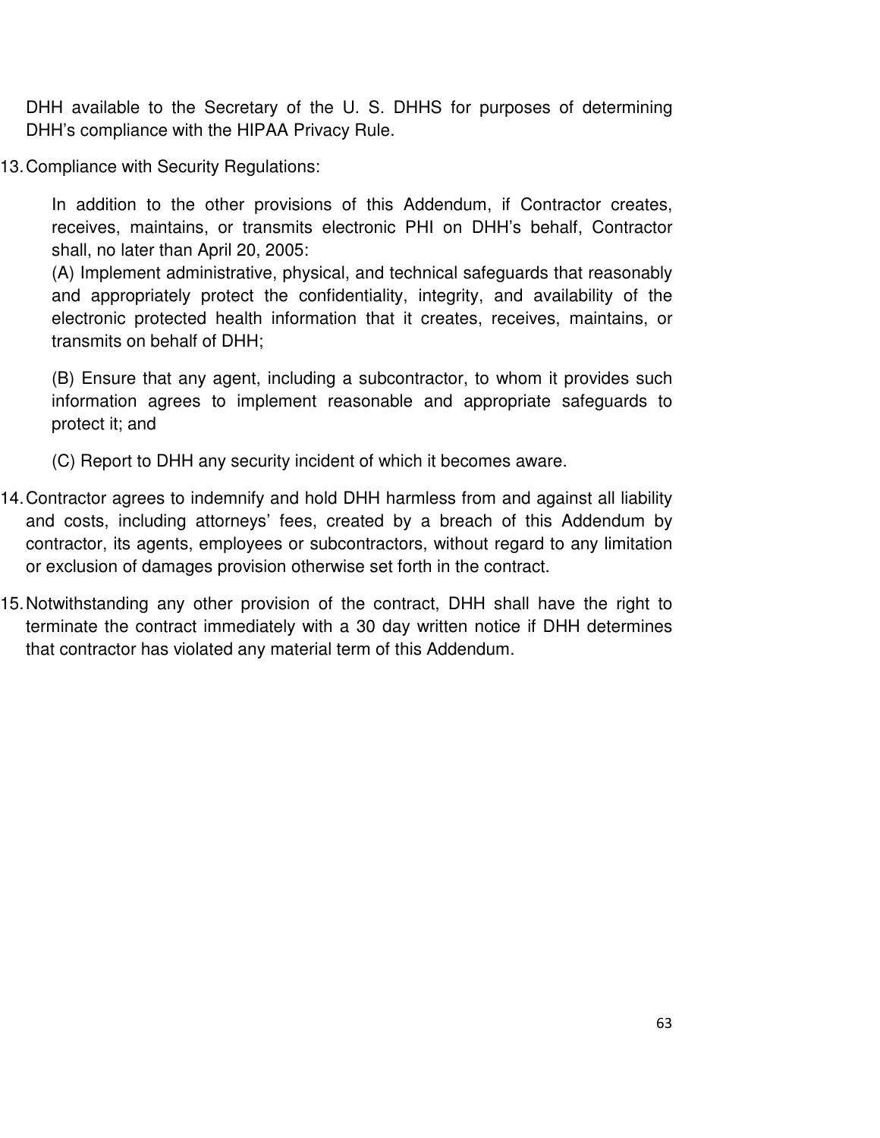DHH available to the Secretary of the U. S. DHHS for purposes of determining DHH's compliance with the HIPAA Privacy Rule.

13. Compliance with Security Regulations:

In addition to the other provisions of this Addendum, if Contractor creates, receives, maintains, or transmits electronic PHI on DHH's behalf, Contractor shall, no later than April 20, 2005:

(A) Implement administrative, physical, and technical safeguards that reasonably and appropriately protect the confidentiality, integrity, and availability of the electronic protected health information that it creates, receives, maintains, or transmits on behalf of DHH;

(B) Ensure that any agent, including a subcontractor, to whom it provides such information agrees to implement reasonable and appropriate safeguards to protect it; and

(C) Report to DHH any security incident of which it becomes aware.

- 14. Contractor agrees to indemnify and hold DHH harmless from and against all liability and costs, including attorneys' fees, created by a breach of this Addendum by contractor, its agents, employees or subcontractors, without regard to any limitation or exclusion of damages provision otherwise set forth in the contract.
- 15. Notwithstanding any other provision of the contract, DHH shall have the right to terminate the contract immediately with a 30 day written notice if DHH determines that contractor has violated any material term of this Addendum.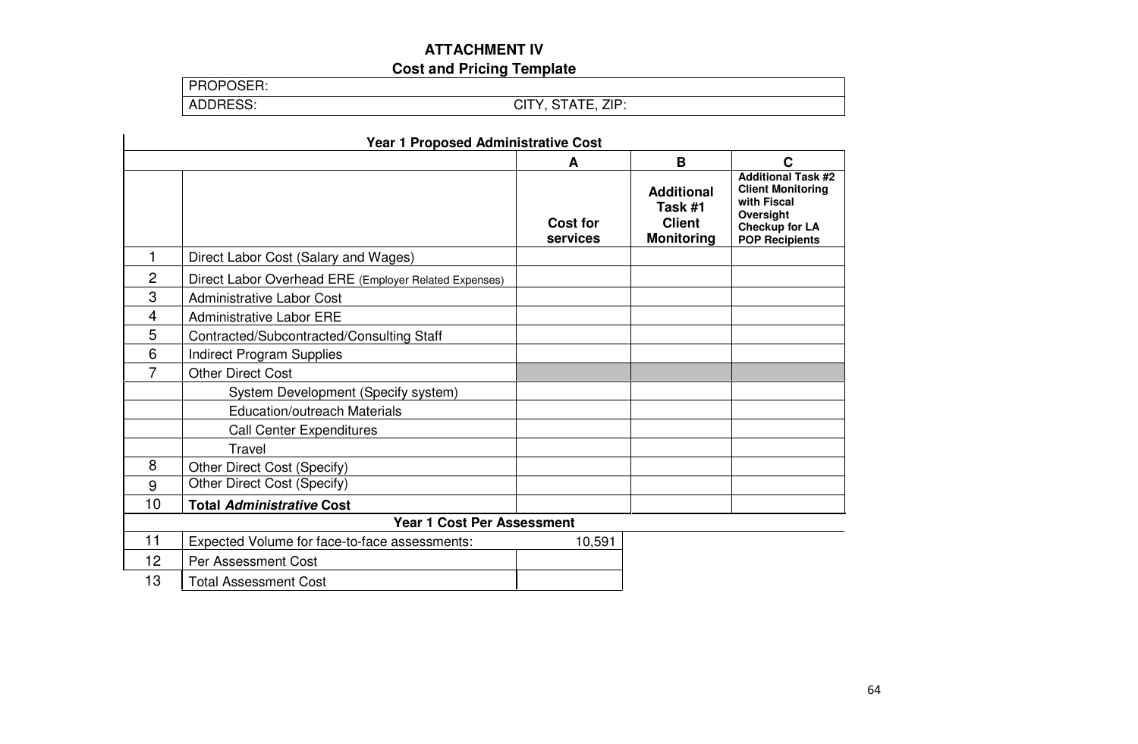# **ATTACHMENT IV**

**Cost and Pricing Template** 

| PROPOSER: |  |
|-----------|--|
| ADDRESS:  |  |

ADDRESS: CITY, STATE, ZIP:

| <b>Year 1 Proposed Administrative Cost</b> |                                                       |                             |                                                                    |                                                                                                                                     |
|--------------------------------------------|-------------------------------------------------------|-----------------------------|--------------------------------------------------------------------|-------------------------------------------------------------------------------------------------------------------------------------|
|                                            |                                                       | A                           | B                                                                  | C                                                                                                                                   |
|                                            |                                                       | <b>Cost for</b><br>services | <b>Additional</b><br>Task #1<br><b>Client</b><br><b>Monitoring</b> | <b>Additional Task #2</b><br><b>Client Monitoring</b><br>with Fiscal<br>Oversight<br><b>Checkup for LA</b><br><b>POP Recipients</b> |
| 1                                          | Direct Labor Cost (Salary and Wages)                  |                             |                                                                    |                                                                                                                                     |
| $\overline{2}$                             | Direct Labor Overhead ERE (Employer Related Expenses) |                             |                                                                    |                                                                                                                                     |
| 3                                          | <b>Administrative Labor Cost</b>                      |                             |                                                                    |                                                                                                                                     |
| 4                                          | <b>Administrative Labor ERE</b>                       |                             |                                                                    |                                                                                                                                     |
| 5                                          | Contracted/Subcontracted/Consulting Staff             |                             |                                                                    |                                                                                                                                     |
| 6                                          | <b>Indirect Program Supplies</b>                      |                             |                                                                    |                                                                                                                                     |
| 7                                          | <b>Other Direct Cost</b>                              |                             |                                                                    |                                                                                                                                     |
|                                            | System Development (Specify system)                   |                             |                                                                    |                                                                                                                                     |
|                                            | <b>Education/outreach Materials</b>                   |                             |                                                                    |                                                                                                                                     |
|                                            | <b>Call Center Expenditures</b>                       |                             |                                                                    |                                                                                                                                     |
|                                            | Travel                                                |                             |                                                                    |                                                                                                                                     |
| 8                                          | Other Direct Cost (Specify)                           |                             |                                                                    |                                                                                                                                     |
| 9                                          | Other Direct Cost (Specify)                           |                             |                                                                    |                                                                                                                                     |
| 10                                         | <b>Total Administrative Cost</b>                      |                             |                                                                    |                                                                                                                                     |
|                                            | <b>Year 1 Cost Per Assessment</b>                     |                             |                                                                    |                                                                                                                                     |
| 11                                         | Expected Volume for face-to-face assessments:         | 10,591                      |                                                                    |                                                                                                                                     |
| 12                                         | Per Assessment Cost                                   |                             |                                                                    |                                                                                                                                     |
| 13                                         | <b>Total Assessment Cost</b>                          |                             |                                                                    |                                                                                                                                     |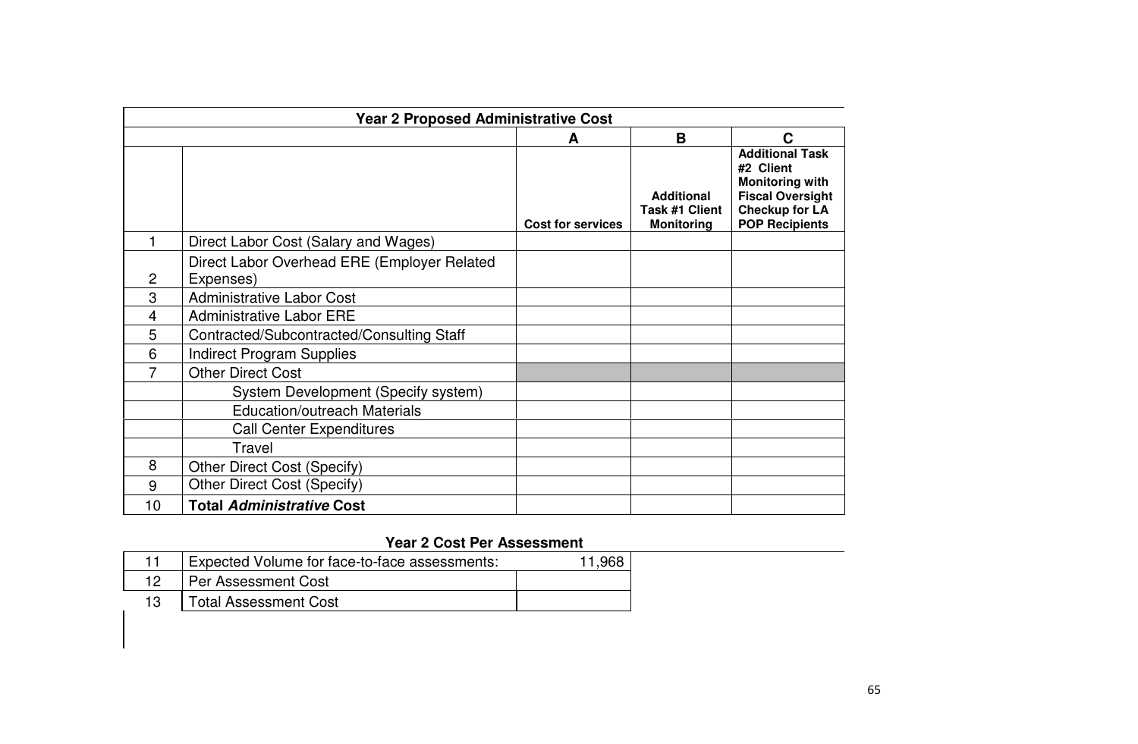| <b>Year 2 Proposed Administrative Cost</b> |                                                          |                   |                                                          |                                                                                                                                            |
|--------------------------------------------|----------------------------------------------------------|-------------------|----------------------------------------------------------|--------------------------------------------------------------------------------------------------------------------------------------------|
| B<br>C<br>A                                |                                                          |                   |                                                          |                                                                                                                                            |
|                                            |                                                          | Cost for services | <b>Additional</b><br>Task #1 Client<br><b>Monitoring</b> | <b>Additional Task</b><br>#2 Client<br><b>Monitoring with</b><br><b>Fiscal Oversight</b><br><b>Checkup for LA</b><br><b>POP Recipients</b> |
|                                            | Direct Labor Cost (Salary and Wages)                     |                   |                                                          |                                                                                                                                            |
| $\overline{c}$                             | Direct Labor Overhead ERE (Employer Related<br>Expenses) |                   |                                                          |                                                                                                                                            |
| 3                                          | <b>Administrative Labor Cost</b>                         |                   |                                                          |                                                                                                                                            |
| 4                                          | <b>Administrative Labor ERE</b>                          |                   |                                                          |                                                                                                                                            |
| 5                                          | Contracted/Subcontracted/Consulting Staff                |                   |                                                          |                                                                                                                                            |
| 6                                          | <b>Indirect Program Supplies</b>                         |                   |                                                          |                                                                                                                                            |
| 7                                          | <b>Other Direct Cost</b>                                 |                   |                                                          |                                                                                                                                            |
|                                            | System Development (Specify system)                      |                   |                                                          |                                                                                                                                            |
|                                            | <b>Education/outreach Materials</b>                      |                   |                                                          |                                                                                                                                            |
|                                            | <b>Call Center Expenditures</b>                          |                   |                                                          |                                                                                                                                            |
|                                            | Travel                                                   |                   |                                                          |                                                                                                                                            |
| 8                                          | Other Direct Cost (Specify)                              |                   |                                                          |                                                                                                                                            |
| 9                                          | Other Direct Cost (Specify)                              |                   |                                                          |                                                                                                                                            |
| 10                                         | <b>Total Administrative Cost</b>                         |                   |                                                          |                                                                                                                                            |

## **Year 2 Cost Per Assessment**

| Expected Volume for face-to-face assessments: |  |
|-----------------------------------------------|--|
| l Per Assessment Cost                         |  |
| <b>Total Assessment Cost</b>                  |  |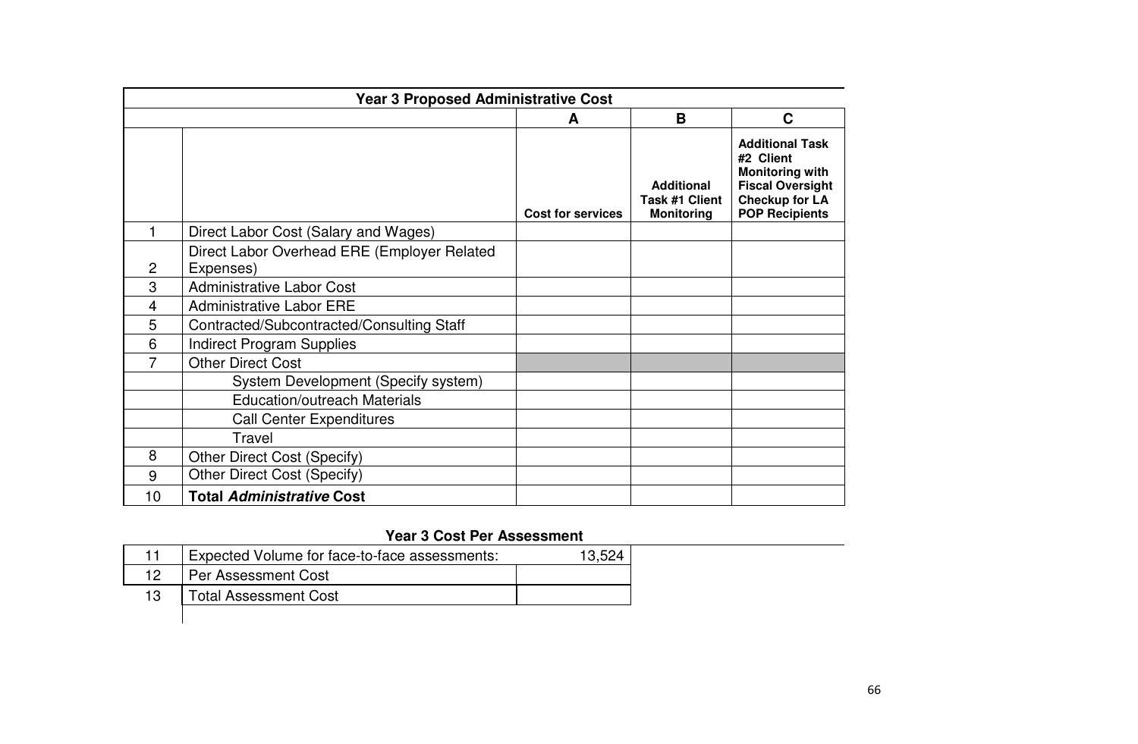| <b>Year 3 Proposed Administrative Cost</b> |                                                          |                          |                                                          |                                                                                                                                            |
|--------------------------------------------|----------------------------------------------------------|--------------------------|----------------------------------------------------------|--------------------------------------------------------------------------------------------------------------------------------------------|
|                                            |                                                          | A                        | B                                                        | C                                                                                                                                          |
|                                            |                                                          | <b>Cost for services</b> | <b>Additional</b><br>Task #1 Client<br><b>Monitoring</b> | <b>Additional Task</b><br>#2 Client<br><b>Monitoring with</b><br><b>Fiscal Oversight</b><br><b>Checkup for LA</b><br><b>POP Recipients</b> |
|                                            | Direct Labor Cost (Salary and Wages)                     |                          |                                                          |                                                                                                                                            |
| $\mathbf{2}$                               | Direct Labor Overhead ERE (Employer Related<br>Expenses) |                          |                                                          |                                                                                                                                            |
| 3                                          | <b>Administrative Labor Cost</b>                         |                          |                                                          |                                                                                                                                            |
| 4                                          | <b>Administrative Labor ERE</b>                          |                          |                                                          |                                                                                                                                            |
| 5                                          | Contracted/Subcontracted/Consulting Staff                |                          |                                                          |                                                                                                                                            |
| 6                                          | <b>Indirect Program Supplies</b>                         |                          |                                                          |                                                                                                                                            |
|                                            | <b>Other Direct Cost</b>                                 |                          |                                                          |                                                                                                                                            |
|                                            | System Development (Specify system)                      |                          |                                                          |                                                                                                                                            |
|                                            | <b>Education/outreach Materials</b>                      |                          |                                                          |                                                                                                                                            |
|                                            | <b>Call Center Expenditures</b>                          |                          |                                                          |                                                                                                                                            |
|                                            | Travel                                                   |                          |                                                          |                                                                                                                                            |
| 8                                          | Other Direct Cost (Specify)                              |                          |                                                          |                                                                                                                                            |
| 9                                          | Other Direct Cost (Specify)                              |                          |                                                          |                                                                                                                                            |
| 10                                         | <b>Total Administrative Cost</b>                         |                          |                                                          |                                                                                                                                            |

## **Year 3 Cost Per Assessment**

|    | Expected Volume for face-to-face assessments: | 13.52 |
|----|-----------------------------------------------|-------|
| 12 | Per Assessment Cost                           |       |
| 13 | <b>Total Assessment Cost</b>                  |       |
|    |                                               |       |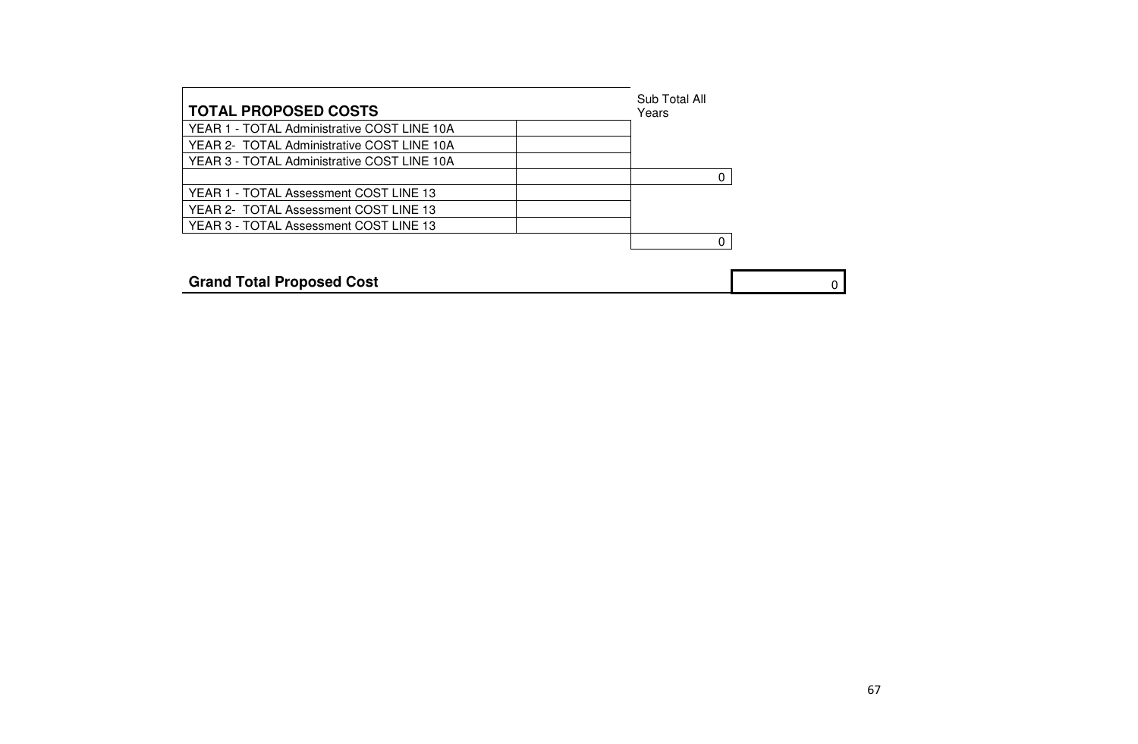| <b>TOTAL PROPOSED COSTS</b>                 | Sub Total All<br>Years |   |
|---------------------------------------------|------------------------|---|
| YEAR 1 - TOTAL Administrative COST LINE 10A |                        |   |
| YEAR 2- TOTAL Administrative COST LINE 10A  |                        |   |
| YEAR 3 - TOTAL Administrative COST LINE 10A |                        |   |
|                                             |                        |   |
| YEAR 1 - TOTAL Assessment COST LINE 13      |                        |   |
| YEAR 2- TOTAL Assessment COST LINE 13       |                        |   |
| YEAR 3 - TOTAL Assessment COST LINE 13      |                        |   |
|                                             |                        |   |
|                                             |                        |   |
| <b>Grand Total Proposed Cost</b>            |                        | 0 |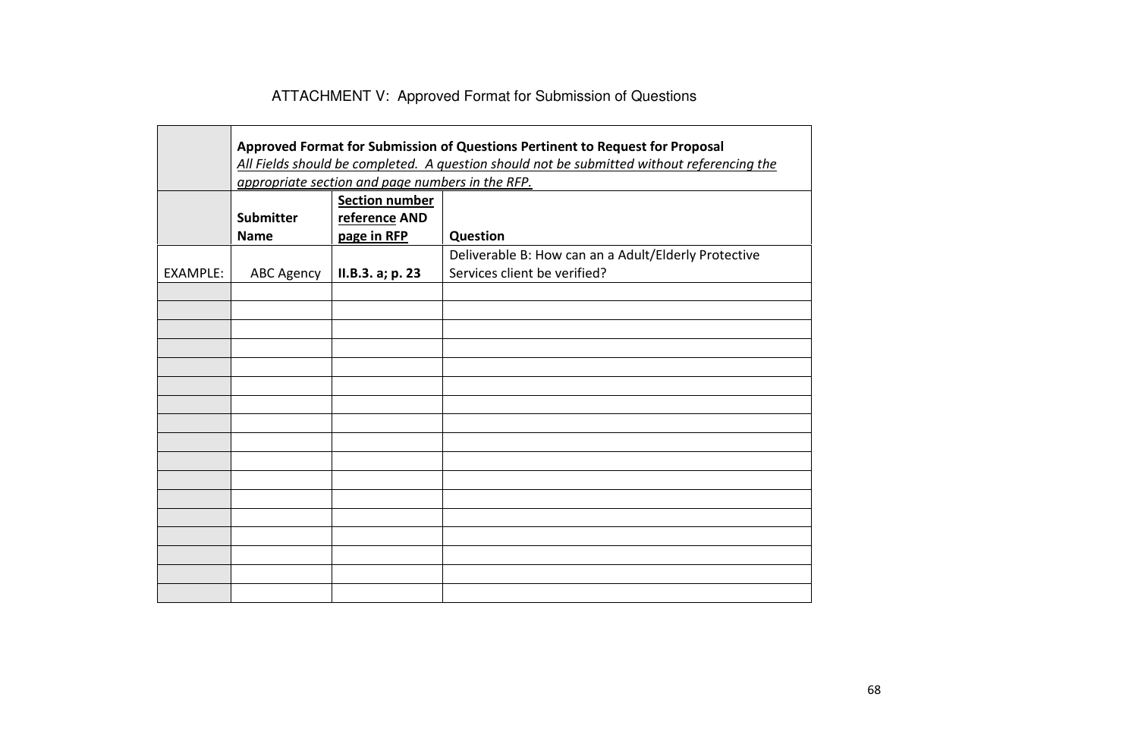# ATTACHMENT V: Approved Format for Submission of Questions

|          | Approved Format for Submission of Questions Pertinent to Request for Proposal<br>All Fields should be completed. A question should not be submitted without referencing the |                                                       |                                                                                      |  |  |  |  |  |  |  |
|----------|-----------------------------------------------------------------------------------------------------------------------------------------------------------------------------|-------------------------------------------------------|--------------------------------------------------------------------------------------|--|--|--|--|--|--|--|
|          |                                                                                                                                                                             | appropriate section and page numbers in the RFP.      |                                                                                      |  |  |  |  |  |  |  |
|          | <b>Submitter</b><br><b>Name</b>                                                                                                                                             | <b>Section number</b><br>reference AND<br>page in RFP | Question                                                                             |  |  |  |  |  |  |  |
| EXAMPLE: | <b>ABC Agency</b>                                                                                                                                                           | II.B.3. a; p. 23                                      | Deliverable B: How can an a Adult/Elderly Protective<br>Services client be verified? |  |  |  |  |  |  |  |
|          |                                                                                                                                                                             |                                                       |                                                                                      |  |  |  |  |  |  |  |
|          |                                                                                                                                                                             |                                                       |                                                                                      |  |  |  |  |  |  |  |
|          |                                                                                                                                                                             |                                                       |                                                                                      |  |  |  |  |  |  |  |
|          |                                                                                                                                                                             |                                                       |                                                                                      |  |  |  |  |  |  |  |
|          |                                                                                                                                                                             |                                                       |                                                                                      |  |  |  |  |  |  |  |
|          |                                                                                                                                                                             |                                                       |                                                                                      |  |  |  |  |  |  |  |
|          |                                                                                                                                                                             |                                                       |                                                                                      |  |  |  |  |  |  |  |
|          |                                                                                                                                                                             |                                                       |                                                                                      |  |  |  |  |  |  |  |
|          |                                                                                                                                                                             |                                                       |                                                                                      |  |  |  |  |  |  |  |
|          |                                                                                                                                                                             |                                                       |                                                                                      |  |  |  |  |  |  |  |
|          |                                                                                                                                                                             |                                                       |                                                                                      |  |  |  |  |  |  |  |
|          |                                                                                                                                                                             |                                                       |                                                                                      |  |  |  |  |  |  |  |
|          |                                                                                                                                                                             |                                                       |                                                                                      |  |  |  |  |  |  |  |
|          |                                                                                                                                                                             |                                                       |                                                                                      |  |  |  |  |  |  |  |
|          |                                                                                                                                                                             |                                                       |                                                                                      |  |  |  |  |  |  |  |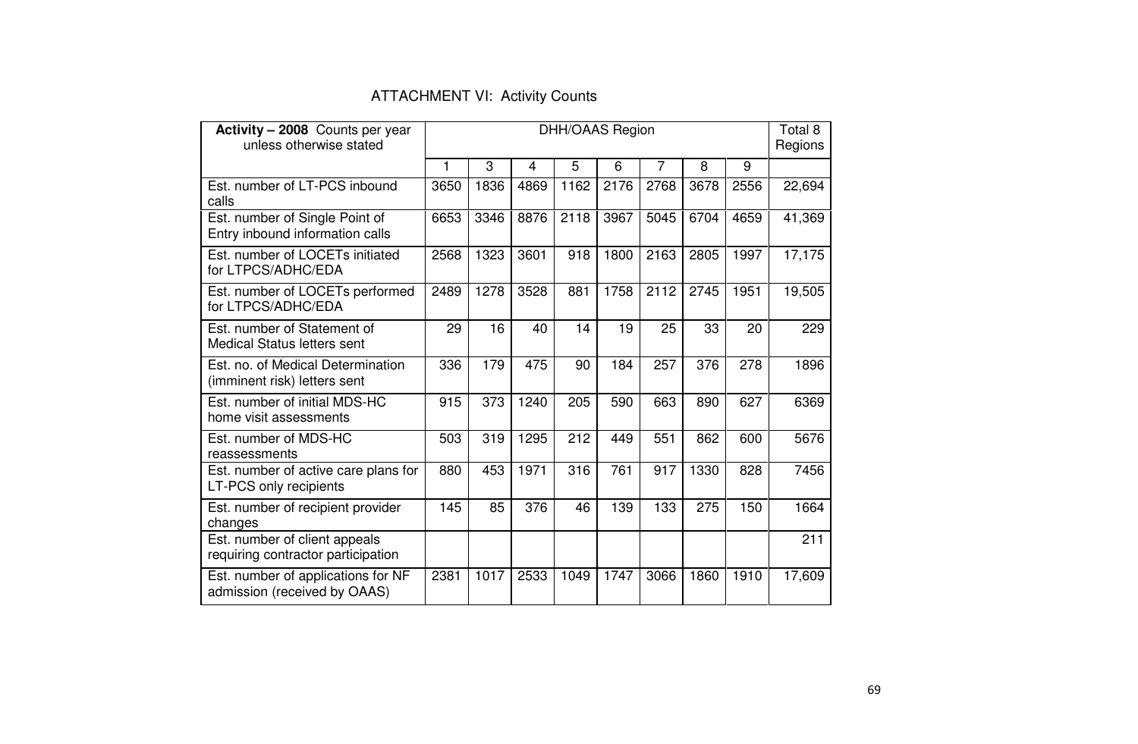| Activity - 2008 Counts per year<br>unless otherwise stated          | <b>DHH/OAAS Region</b> |      |                |      |      |                |      | Total 8<br>Regions |        |
|---------------------------------------------------------------------|------------------------|------|----------------|------|------|----------------|------|--------------------|--------|
|                                                                     | 1                      | 3    | $\overline{4}$ | 5    | 6    | $\overline{7}$ | 8    | 9                  |        |
| Est. number of LT-PCS inbound<br>calls                              | 3650                   | 1836 | 4869           | 1162 | 2176 | 2768           | 3678 | 2556               | 22,694 |
| Est. number of Single Point of<br>Entry inbound information calls   | 6653                   | 3346 | 8876           | 2118 | 3967 | 5045           | 6704 | 4659               | 41,369 |
| Est. number of LOCETs initiated<br>for LTPCS/ADHC/EDA               | 2568                   | 1323 | 3601           | 918  | 1800 | 2163           | 2805 | 1997               | 17,175 |
| Est. number of LOCETs performed<br>for LTPCS/ADHC/EDA               | 2489                   | 1278 | 3528           | 881  | 1758 | 2112           | 2745 | 1951               | 19,505 |
| Est. number of Statement of<br><b>Medical Status letters sent</b>   | 29                     | 16   | 40             | 14   | 19   | 25             | 33   | 20                 | 229    |
| Est. no. of Medical Determination<br>(imminent risk) letters sent   | 336                    | 179  | 475            | 90   | 184  | 257            | 376  | 278                | 1896   |
| Est. number of initial MDS-HC<br>home visit assessments             | 915                    | 373  | 1240           | 205  | 590  | 663            | 890  | 627                | 6369   |
| Est. number of MDS-HC<br>reassessments                              | 503                    | 319  | 1295           | 212  | 449  | 551            | 862  | 600                | 5676   |
| Est. number of active care plans for<br>LT-PCS only recipients      | 880                    | 453  | 1971           | 316  | 761  | 917            | 1330 | 828                | 7456   |
| Est. number of recipient provider<br>changes                        | 145                    | 85   | 376            | 46   | 139  | 133            | 275  | 150                | 1664   |
| Est. number of client appeals<br>requiring contractor participation |                        |      |                |      |      |                |      |                    | 211    |
| Est. number of applications for NF<br>admission (received by OAAS)  | 2381                   | 1017 | 2533           | 1049 | 1747 | 3066           | 1860 | 1910               | 17,609 |

### ATTACHMENT VI: Activity Counts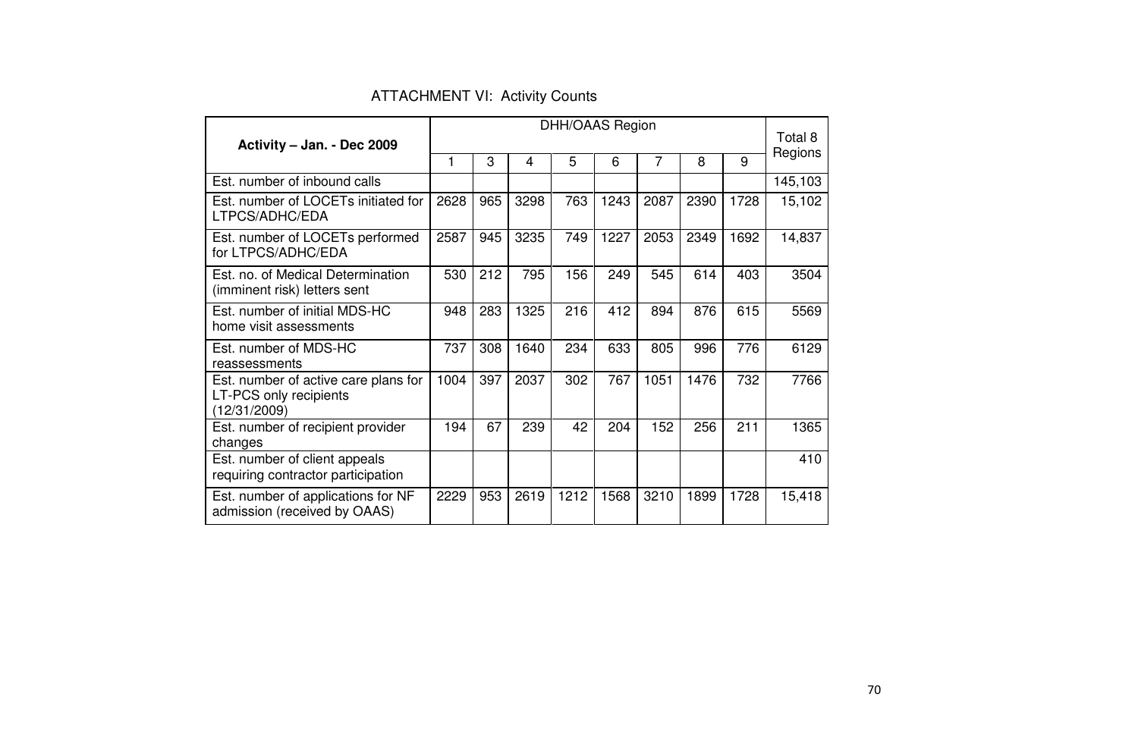| Activity - Jan. - Dec 2009                                                     |      | <b>DHH/OAAS Region</b> |      |      |      |      |      | Total 8 |         |
|--------------------------------------------------------------------------------|------|------------------------|------|------|------|------|------|---------|---------|
|                                                                                | 1    | 3                      | 4    | 5    | 6    | 7    | 8    | 9       | Regions |
| Est. number of inbound calls                                                   |      |                        |      |      |      |      |      |         | 145,103 |
| Est. number of LOCETs initiated for<br>LTPCS/ADHC/EDA                          |      | 965                    | 3298 | 763  | 1243 | 2087 | 2390 | 1728    | 15,102  |
| Est. number of LOCETs performed<br>for LTPCS/ADHC/EDA                          | 2587 | 945                    | 3235 | 749  | 1227 | 2053 | 2349 | 1692    | 14,837  |
| Est. no. of Medical Determination<br>(imminent risk) letters sent              | 530  | 212                    | 795  | 156  | 249  | 545  | 614  | 403     | 3504    |
| Est. number of initial MDS-HC<br>home visit assessments                        | 948  | 283                    | 1325 | 216  | 412  | 894  | 876  | 615     | 5569    |
| Est. number of MDS-HC<br>reassessments                                         | 737  | 308                    | 1640 | 234  | 633  | 805  | 996  | 776     | 6129    |
| Est. number of active care plans for<br>LT-PCS only recipients<br>(12/31/2009) | 1004 | 397                    | 2037 | 302  | 767  | 1051 | 1476 | 732     | 7766    |
| Est. number of recipient provider<br>changes                                   | 194  | 67                     | 239  | 42   | 204  | 152  | 256  | 211     | 1365    |
| Est. number of client appeals<br>requiring contractor participation            |      |                        |      |      |      |      |      |         | 410     |
| Est. number of applications for NF<br>admission (received by OAAS)             | 2229 | 953                    | 2619 | 1212 | 1568 | 3210 | 1899 | 1728    | 15,418  |

ATTACHMENT VI: Activity Counts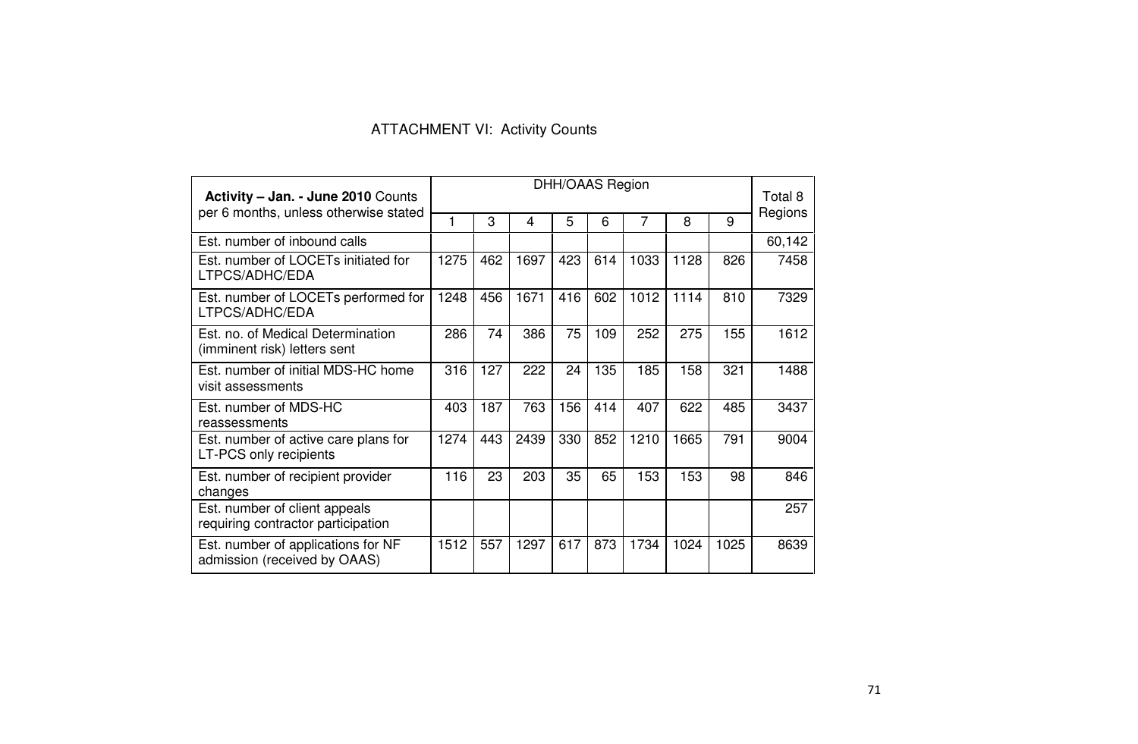### ATTACHMENT VI: Activity Counts

| <b>Activity - Jan. - June 2010 Counts</b><br>per 6 months, unless otherwise stated |      | DHH/OAAS Region |      |     |     |      |      | Total 8 |         |
|------------------------------------------------------------------------------------|------|-----------------|------|-----|-----|------|------|---------|---------|
|                                                                                    |      | 3               | 4    | 5   | 6   | 7    | 8    | 9       | Regions |
| Est. number of inbound calls                                                       |      |                 |      |     |     |      |      |         | 60,142  |
| Est. number of LOCETs initiated for<br>LTPCS/ADHC/EDA                              | 1275 | 462             | 1697 | 423 | 614 | 1033 | 1128 | 826     | 7458    |
| Est. number of LOCETs performed for<br>LTPCS/ADHC/EDA                              | 1248 | 456             | 1671 | 416 | 602 | 1012 | 1114 | 810     | 7329    |
| Est. no. of Medical Determination<br>(imminent risk) letters sent                  | 286  | 74              | 386  | 75  | 109 | 252  | 275  | 155     | 1612    |
| Est. number of initial MDS-HC home<br>visit assessments                            | 316  | 127             | 222  | 24  | 135 | 185  | 158  | 321     | 1488    |
| Est. number of MDS-HC<br>reassessments                                             | 403  | 187             | 763  | 156 | 414 | 407  | 622  | 485     | 3437    |
| Est. number of active care plans for<br>LT-PCS only recipients                     | 1274 | 443             | 2439 | 330 | 852 | 1210 | 1665 | 791     | 9004    |
| Est. number of recipient provider<br>changes                                       | 116  | 23              | 203  | 35  | 65  | 153  | 153  | 98      | 846     |
| Est. number of client appeals<br>requiring contractor participation                |      |                 |      |     |     |      |      |         | 257     |
| Est. number of applications for NF<br>admission (received by OAAS)                 | 1512 | 557             | 1297 | 617 | 873 | 1734 | 1024 | 1025    | 8639    |